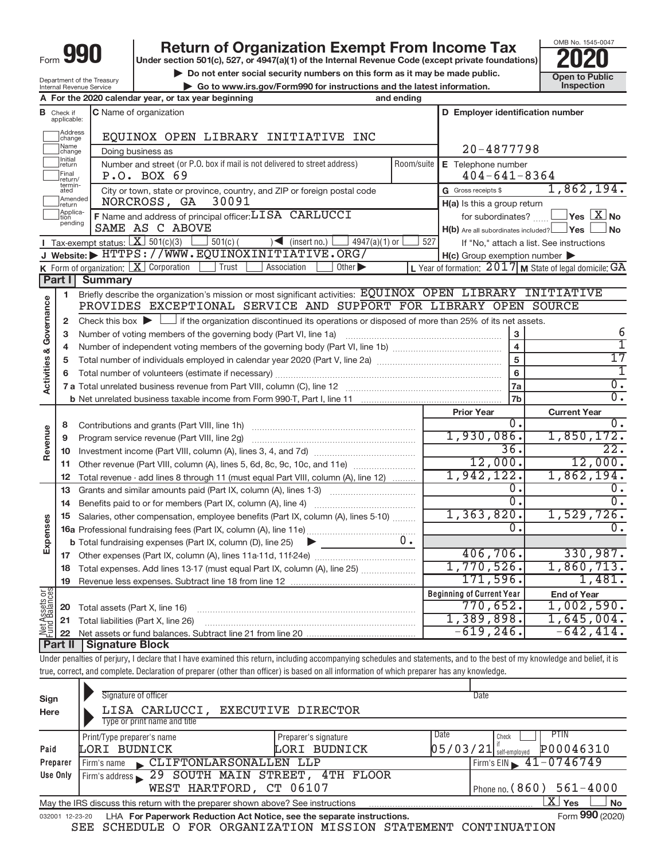|      | . . |  |
|------|-----|--|
| -orm |     |  |

Department of the Treasury Internal Revenue Service

## **Return of Organization Exempt From Income Tax**<br>r section 501(c), 527, or 4947(a)(1) of the Internal Revenue Code (except private foundations)<br>**2020**

**Under section 501(c), 527, or 4947(a)(1) of the Internal Revenue Code (except private foundations)**

**but the Social security numbers on this form as it may be made public.** The only only the Society of the United Society of the latest information. The Society of the United Society of the latest information. This pection

**| Go to www.irs.gov/Form990 for instructions and the latest information. Inspection**



|                                |                         | A For the 2020 calendar year, or tax year beginning                                                                                         | and ending |                                                         |                                                         |
|--------------------------------|-------------------------|---------------------------------------------------------------------------------------------------------------------------------------------|------------|---------------------------------------------------------|---------------------------------------------------------|
| в                              | Check if<br>applicable: | <b>C</b> Name of organization                                                                                                               |            | D Employer identification number                        |                                                         |
|                                | Address<br>change       | EQUINOX OPEN LIBRARY INITIATIVE INC                                                                                                         |            |                                                         |                                                         |
|                                | Name<br>change          | Doing business as                                                                                                                           |            | 20-4877798                                              |                                                         |
|                                | Initial<br> return      | Number and street (or P.O. box if mail is not delivered to street address)                                                                  | Room/suite | E Telephone number                                      |                                                         |
|                                | Final<br>return/        | P.O. BOX 69                                                                                                                                 |            | $404 - 641 - 8364$                                      |                                                         |
|                                | termin-<br>ated         | City or town, state or province, country, and ZIP or foreign postal code                                                                    |            | G Gross receipts \$                                     | 1,862,194.                                              |
|                                | Amended<br>return       | 30091<br>NORCROSS, GA                                                                                                                       |            | $H(a)$ is this a group return                           |                                                         |
|                                | Applica-                | F Name and address of principal officer: LISA CARLUCCI                                                                                      |            | for subordinates?                                       | $ Yes $ $\overline{X}$ No                               |
|                                | pending                 | SAME AS C ABOVE                                                                                                                             |            | $H(b)$ Are all subordinates included? $\Box$ Yes $\Box$ | ⊿ No                                                    |
|                                |                         | Tax-exempt status: $X \overline{3}$ 501(c)(3)<br>$501(c)$ (<br>$\leq$ (insert no.)<br>$4947(a)(1)$ or                                       | 527        |                                                         | If "No," attach a list. See instructions                |
|                                |                         | J Website: FITTPS://WWW.EQUINOXINITIATIVE.ORG/                                                                                              |            | $H(c)$ Group exemption number $\blacktriangleright$     |                                                         |
|                                |                         | K Form of organization: $X$ Corporation<br>Trust<br>Association<br>Other $\blacktriangleright$                                              |            |                                                         | L Year of formation: 2017 M State of legal domicile: GA |
|                                | Part I                  | <b>Summary</b>                                                                                                                              |            |                                                         |                                                         |
|                                | 1                       | Briefly describe the organization's mission or most significant activities: EQUINOX OPEN LIBRARY INITIATIVE                                 |            |                                                         |                                                         |
|                                |                         | PROVIDES EXCEPTIONAL SERVICE AND SUPPORT FOR LIBRARY OPEN SOURCE                                                                            |            |                                                         |                                                         |
| Governance                     | $\mathbf{2}$            | Check this box $\blacktriangleright$ $\Box$ if the organization discontinued its operations or disposed of more than 25% of its net assets. |            |                                                         |                                                         |
|                                | 3                       | Number of voting members of the governing body (Part VI, line 1a)                                                                           |            | 3                                                       | 6<br>ī                                                  |
|                                | 4                       |                                                                                                                                             |            | $\overline{\mathbf{4}}$<br>$\overline{5}$               | 17                                                      |
|                                | 5                       |                                                                                                                                             |            |                                                         | 1                                                       |
| <b>Activities &amp;</b>        | 6                       |                                                                                                                                             | 6          | $\overline{0}$ .                                        |                                                         |
|                                |                         |                                                                                                                                             |            | 7a<br>7 <sub>b</sub>                                    | $\overline{0}$ .                                        |
|                                |                         |                                                                                                                                             |            | <b>Prior Year</b>                                       | <b>Current Year</b>                                     |
|                                | 8                       | Contributions and grants (Part VIII, line 1h)                                                                                               |            | 0.                                                      | 0.                                                      |
|                                | 9                       | Program service revenue (Part VIII, line 2g)                                                                                                |            | 1,930,086.                                              | 1,850,172.                                              |
| Revenue                        | 10                      |                                                                                                                                             |            | 36.                                                     | 22.                                                     |
|                                | 11                      | Other revenue (Part VIII, column (A), lines 5, 6d, 8c, 9c, 10c, and 11e)                                                                    |            | 12,000.                                                 | 12,000.                                                 |
|                                | 12                      | Total revenue - add lines 8 through 11 (must equal Part VIII, column (A), line 12)                                                          |            | 1,942,122.                                              | 1,862,194.                                              |
|                                | 13                      | Grants and similar amounts paid (Part IX, column (A), lines 1-3)                                                                            |            | 0.                                                      | ο.                                                      |
|                                | 14                      |                                                                                                                                             |            | $\overline{0}$ .                                        | $\overline{0}$ .                                        |
|                                | 15                      | Salaries, other compensation, employee benefits (Part IX, column (A), lines 5-10)                                                           |            | 1, 363, 820.                                            | 1,529,726.                                              |
| Expenses                       |                         |                                                                                                                                             |            | 0.                                                      | 0.                                                      |
|                                |                         | <b>b</b> Total fundraising expenses (Part IX, column (D), line 25)<br>▶                                                                     | $0 \cdot$  |                                                         |                                                         |
|                                |                         |                                                                                                                                             |            | 406,706.                                                | 330,987.                                                |
|                                | 18                      | Total expenses. Add lines 13-17 (must equal Part IX, column (A), line 25)                                                                   |            | 1,770,526.                                              | 1,860,713.                                              |
|                                | 19                      |                                                                                                                                             |            | 171,596.                                                | 1,481.                                                  |
|                                |                         |                                                                                                                                             |            | <b>Beginning of Current Year</b>                        | <b>End of Year</b>                                      |
| Net Assets or<br>Fund Balances | 20                      | Total assets (Part X, line 16)                                                                                                              |            | 770,652.                                                | 1,002,590.                                              |
|                                |                         | 21 Total liabilities (Part X, line 26)                                                                                                      |            | 1,389,898.                                              | 1,645,004.                                              |
|                                |                         |                                                                                                                                             |            | $-619, 246.$                                            | $-642, 414.$                                            |
|                                |                         | <b>Part II   Signature Block</b>                                                                                                            |            |                                                         |                                                         |

Under penalties of perjury, I declare that I have examined this return, including accompanying schedules and statements, and to the best of my knowledge and belief, it is true, correct, and complete. Declaration of preparer (other than officer) is based on all information of which preparer has any knowledge.

| Sign<br>Here    | Signature of officer<br>LISA CARLUCCI, EXECUTIVE DIRECTOR<br>Type or print name and title                 |                      | Date                                  |  |  |  |  |
|-----------------|-----------------------------------------------------------------------------------------------------------|----------------------|---------------------------------------|--|--|--|--|
|                 | Print/Type preparer's name                                                                                | Preparer's signature | Date<br><b>PTIN</b><br>Check          |  |  |  |  |
| Paid            | LORI BUDNICK                                                                                              | LORI BUDNICK         | P00046310<br>$05/03/21$ self-employed |  |  |  |  |
| Preparer        | Firm's name CLIFTONLARSONALLEN LLP                                                                        |                      | Firm's EIN $\sqrt{41-0746749}$        |  |  |  |  |
| Use Only        | Firm's address 29 SOUTH MAIN STREET, 4TH FLOOR                                                            |                      |                                       |  |  |  |  |
|                 | WEST HARTFORD, CT 06107                                                                                   |                      | Phone no. $(860)$ 561-4000            |  |  |  |  |
|                 | ΧI<br>Yes<br><b>No</b><br>May the IRS discuss this return with the preparer shown above? See instructions |                      |                                       |  |  |  |  |
| 032001 12-23-20 | LHA For Paperwork Reduction Act Notice, see the separate instructions.                                    |                      | Form 990 (2020)                       |  |  |  |  |

SEE SCHEDULE O FOR ORGANIZATION MISSION STATEMENT CONTINUATION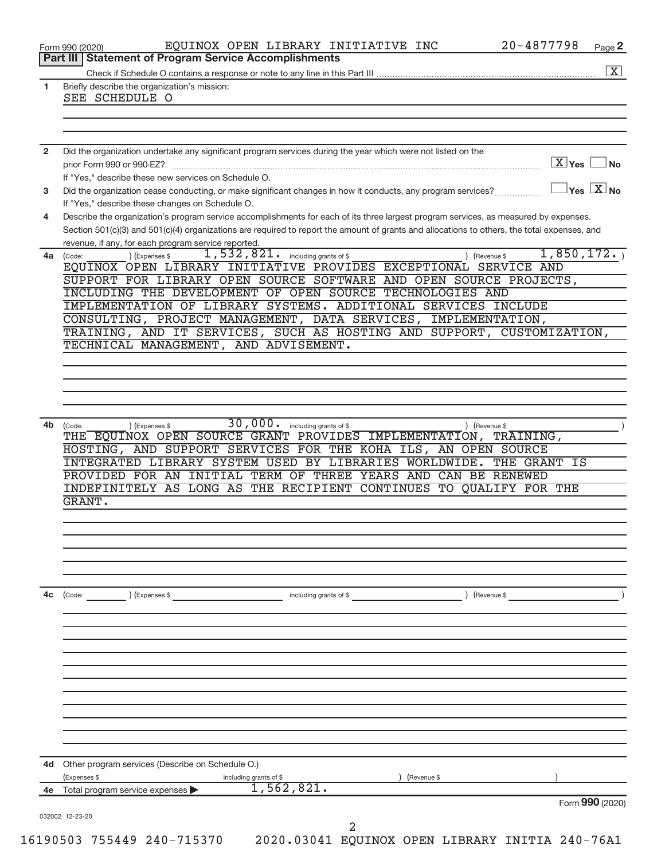|                | Part III   Statement of Program Service Accomplishments                                                                                      |                                              |
|----------------|----------------------------------------------------------------------------------------------------------------------------------------------|----------------------------------------------|
|                |                                                                                                                                              |                                              |
| 1              | Briefly describe the organization's mission:<br>SEE SCHEDULE O                                                                               |                                              |
|                |                                                                                                                                              |                                              |
|                |                                                                                                                                              |                                              |
|                |                                                                                                                                              |                                              |
| $\overline{2}$ | Did the organization undertake any significant program services during the year which were not listed on the                                 |                                              |
|                | prior Form 990 or 990-EZ?                                                                                                                    | $\boxed{\text{X}}$ Yes $\boxed{\phantom{0}}$ |
|                | If "Yes," describe these new services on Schedule O.                                                                                         |                                              |
| 3              | Did the organization cease conducting, or make significant changes in how it conducts, any program services?                                 | $\sqrt{}$ Yes $\boxed{\text{X}}$ No          |
|                | If "Yes," describe these changes on Schedule O.                                                                                              |                                              |
| 4              | Describe the organization's program service accomplishments for each of its three largest program services, as measured by expenses.         |                                              |
|                | Section 501(c)(3) and 501(c)(4) organizations are required to report the amount of grants and allocations to others, the total expenses, and |                                              |
|                | revenue, if any, for each program service reported.                                                                                          |                                              |
|                | 1,532,821. including grants of \$<br>) (Expenses \$                                                                                          | 1,850,172.                                   |
|                | 4a (Code:<br>Revenue \$<br>EQUINOX OPEN LIBRARY INITIATIVE PROVIDES EXCEPTIONAL SERVICE AND                                                  |                                              |
|                | SUPPORT FOR LIBRARY OPEN SOURCE SOFTWARE AND OPEN SOURCE PROJECTS,                                                                           |                                              |
|                | INCLUDING THE DEVELOPMENT OF OPEN SOURCE TECHNOLOGIES AND                                                                                    |                                              |
|                | IMPLEMENTATION OF LIBRARY SYSTEMS. ADDITIONAL SERVICES INCLUDE                                                                               |                                              |
|                | CONSULTING, PROJECT MANAGEMENT, DATA SERVICES, IMPLEMENTATION,                                                                               |                                              |
|                | TRAINING, AND IT SERVICES, SUCH AS HOSTING AND SUPPORT, CUSTOMIZATION,                                                                       |                                              |
|                | TECHNICAL MANAGEMENT, AND ADVISEMENT.                                                                                                        |                                              |
|                |                                                                                                                                              |                                              |
|                |                                                                                                                                              |                                              |
|                |                                                                                                                                              |                                              |
|                |                                                                                                                                              |                                              |
|                |                                                                                                                                              |                                              |
| 4b             | 30,000 · including grants of \$<br>) (Expenses \$                                                                                            |                                              |
|                | (Code:<br>) (Revenue \$<br>THE EQUINOX OPEN SOURCE GRANT PROVIDES IMPLEMENTATION, TRAINING,                                                  |                                              |
|                | HOSTING, AND SUPPORT SERVICES FOR THE KOHA ILS, AN OPEN SOURCE                                                                               |                                              |
|                | INTEGRATED LIBRARY SYSTEM USED BY LIBRARIES WORLDWIDE. THE GRANT IS                                                                          |                                              |
|                | PROVIDED FOR AN INITIAL TERM OF THREE YEARS AND CAN BE RENEWED                                                                               |                                              |
|                | INDEFINITELY AS LONG AS THE RECIPIENT CONTINUES TO QUALIFY FOR THE                                                                           |                                              |
|                | GRANT.                                                                                                                                       |                                              |
|                |                                                                                                                                              |                                              |
|                |                                                                                                                                              |                                              |
|                |                                                                                                                                              |                                              |
|                |                                                                                                                                              |                                              |
|                |                                                                                                                                              |                                              |
|                |                                                                                                                                              |                                              |
| 4c             | (Code:<br>(Expenses \$<br>(Revenue \$<br>including grants of \$                                                                              |                                              |
|                |                                                                                                                                              |                                              |
|                |                                                                                                                                              |                                              |
|                |                                                                                                                                              |                                              |
|                |                                                                                                                                              |                                              |
|                |                                                                                                                                              |                                              |
|                |                                                                                                                                              |                                              |
|                |                                                                                                                                              |                                              |
|                |                                                                                                                                              |                                              |
|                |                                                                                                                                              |                                              |
|                |                                                                                                                                              |                                              |
|                |                                                                                                                                              |                                              |
|                |                                                                                                                                              |                                              |
|                | 4d Other program services (Describe on Schedule O.)                                                                                          |                                              |
|                |                                                                                                                                              |                                              |
|                | (Expenses \$<br>(Revenue \$<br>including grants of \$                                                                                        |                                              |
|                |                                                                                                                                              |                                              |
| 4e             | 1,562,821.<br>Total program service expenses                                                                                                 | Form 990 (2020)                              |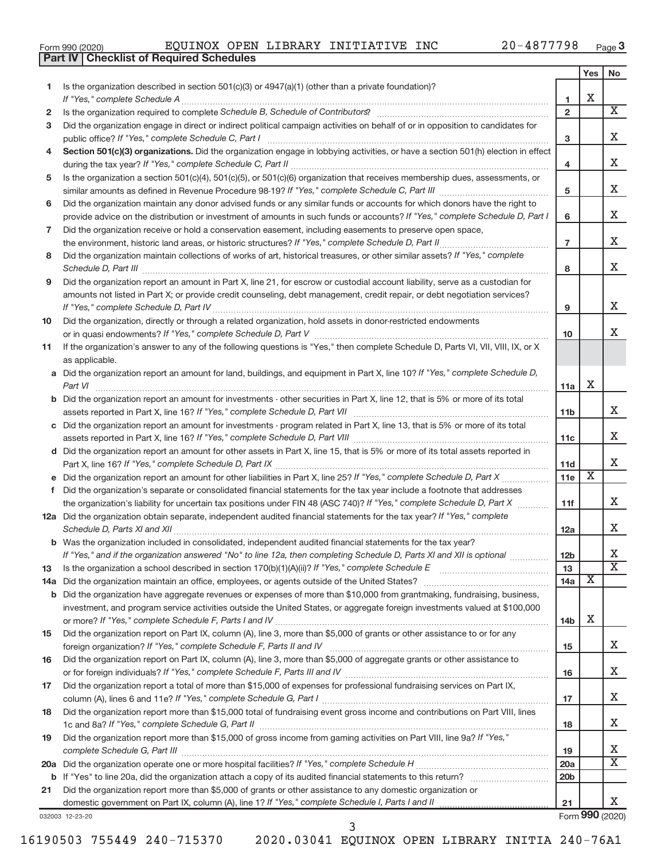|  | Form 990 (2020) |
|--|-----------------|
|  |                 |

**Part IV Checklist of Required Schedules**

Form 990 (2020)  ${\bf EQUINOX\,\,\, OPEN\,\,\, LIBRARY\,\,\, INITIATIVE\,\,\, INC}$  20-4877798  $_{\rm Page}$ 

|     |                                                                                                                                                    |                 | Yes | No                          |
|-----|----------------------------------------------------------------------------------------------------------------------------------------------------|-----------------|-----|-----------------------------|
| 1.  | Is the organization described in section $501(c)(3)$ or $4947(a)(1)$ (other than a private foundation)?                                            |                 |     |                             |
|     | If "Yes," complete Schedule A                                                                                                                      | 1               | х   |                             |
| 2   |                                                                                                                                                    | $\overline{2}$  |     | $\overline{\mathbf{X}}$     |
| 3   | Did the organization engage in direct or indirect political campaign activities on behalf of or in opposition to candidates for                    |                 |     | x                           |
|     | public office? If "Yes," complete Schedule C, Part I                                                                                               | 3               |     |                             |
| 4   | Section 501(c)(3) organizations. Did the organization engage in lobbying activities, or have a section 501(h) election in effect                   |                 |     | X                           |
|     | Is the organization a section 501(c)(4), 501(c)(5), or 501(c)(6) organization that receives membership dues, assessments, or                       | 4               |     |                             |
| 5   |                                                                                                                                                    | 5               |     | X                           |
| 6   | Did the organization maintain any donor advised funds or any similar funds or accounts for which donors have the right to                          |                 |     |                             |
|     | provide advice on the distribution or investment of amounts in such funds or accounts? If "Yes," complete Schedule D, Part I                       | 6               |     | x                           |
| 7   | Did the organization receive or hold a conservation easement, including easements to preserve open space,                                          |                 |     |                             |
|     | the environment, historic land areas, or historic structures? If "Yes," complete Schedule D, Part II                                               | $\overline{7}$  |     | x                           |
| 8   | Did the organization maintain collections of works of art, historical treasures, or other similar assets? If "Yes," complete                       |                 |     |                             |
|     | Schedule D, Part III                                                                                                                               | 8               |     | x                           |
| 9   | Did the organization report an amount in Part X, line 21, for escrow or custodial account liability, serve as a custodian for                      |                 |     |                             |
|     | amounts not listed in Part X; or provide credit counseling, debt management, credit repair, or debt negotiation services?                          |                 |     |                             |
|     |                                                                                                                                                    | 9               |     | X.                          |
| 10  | Did the organization, directly or through a related organization, hold assets in donor-restricted endowments                                       |                 |     |                             |
|     |                                                                                                                                                    | 10              |     | X.                          |
| 11  | If the organization's answer to any of the following questions is "Yes," then complete Schedule D, Parts VI, VII, VIII, IX, or X                   |                 |     |                             |
|     | as applicable.<br>a Did the organization report an amount for land, buildings, and equipment in Part X, line 10? If "Yes," complete Schedule D,    |                 |     |                             |
|     | Part VI                                                                                                                                            | 11a             | х   |                             |
|     | <b>b</b> Did the organization report an amount for investments - other securities in Part X, line 12, that is 5% or more of its total              |                 |     |                             |
|     |                                                                                                                                                    | 11 <sub>b</sub> |     | x                           |
|     | c Did the organization report an amount for investments - program related in Part X, line 13, that is 5% or more of its total                      |                 |     |                             |
|     |                                                                                                                                                    | 11c             |     | x                           |
|     | d Did the organization report an amount for other assets in Part X, line 15, that is 5% or more of its total assets reported in                    |                 |     |                             |
|     |                                                                                                                                                    | 11d             |     | x                           |
|     |                                                                                                                                                    | 11e             | X   |                             |
| f   | Did the organization's separate or consolidated financial statements for the tax year include a footnote that addresses                            |                 |     |                             |
|     | the organization's liability for uncertain tax positions under FIN 48 (ASC 740)? If "Yes," complete Schedule D, Part X                             | 11f             |     | х                           |
|     | 12a Did the organization obtain separate, independent audited financial statements for the tax year? If "Yes," complete                            |                 |     | x                           |
|     | Schedule D, Parts XI and XII<br><b>b</b> Was the organization included in consolidated, independent audited financial statements for the tax year? | 12a             |     |                             |
|     | If "Yes," and if the organization answered "No" to line 12a, then completing Schedule D, Parts XI and XII is optional                              | 12 <sub>b</sub> |     | х                           |
| 13  |                                                                                                                                                    | 13              |     | $\overline{\textnormal{x}}$ |
| 14a | Did the organization maintain an office, employees, or agents outside of the United States?                                                        | 14a             | X   |                             |
| b   | Did the organization have aggregate revenues or expenses of more than \$10,000 from grantmaking, fundraising, business,                            |                 |     |                             |
|     | investment, and program service activities outside the United States, or aggregate foreign investments valued at \$100,000                         |                 |     |                             |
|     |                                                                                                                                                    | 14b             | х   |                             |
| 15  | Did the organization report on Part IX, column (A), line 3, more than \$5,000 of grants or other assistance to or for any                          |                 |     |                             |
|     |                                                                                                                                                    | 15              |     | X.                          |
| 16  | Did the organization report on Part IX, column (A), line 3, more than \$5,000 of aggregate grants or other assistance to                           |                 |     |                             |
|     |                                                                                                                                                    | 16              |     | X                           |
| 17  | Did the organization report a total of more than \$15,000 of expenses for professional fundraising services on Part IX,                            |                 |     | x                           |
| 18  | Did the organization report more than \$15,000 total of fundraising event gross income and contributions on Part VIII, lines                       | 17              |     |                             |
|     |                                                                                                                                                    | 18              |     | x                           |
| 19  | Did the organization report more than \$15,000 of gross income from gaming activities on Part VIII, line 9a? If "Yes,"                             |                 |     |                             |
|     |                                                                                                                                                    | 19              |     | X                           |
| 20a |                                                                                                                                                    | 20a             |     | $\overline{\mathbf{X}}$     |
| b   |                                                                                                                                                    | 20 <sub>b</sub> |     |                             |
| 21  | Did the organization report more than \$5,000 of grants or other assistance to any domestic organization or                                        |                 |     |                             |
|     |                                                                                                                                                    | 21              |     | X.                          |

032003 12-23-20

Form **990** (2020)

|  | 6190503 755449 240-715370 |
|--|---------------------------|
|  |                           |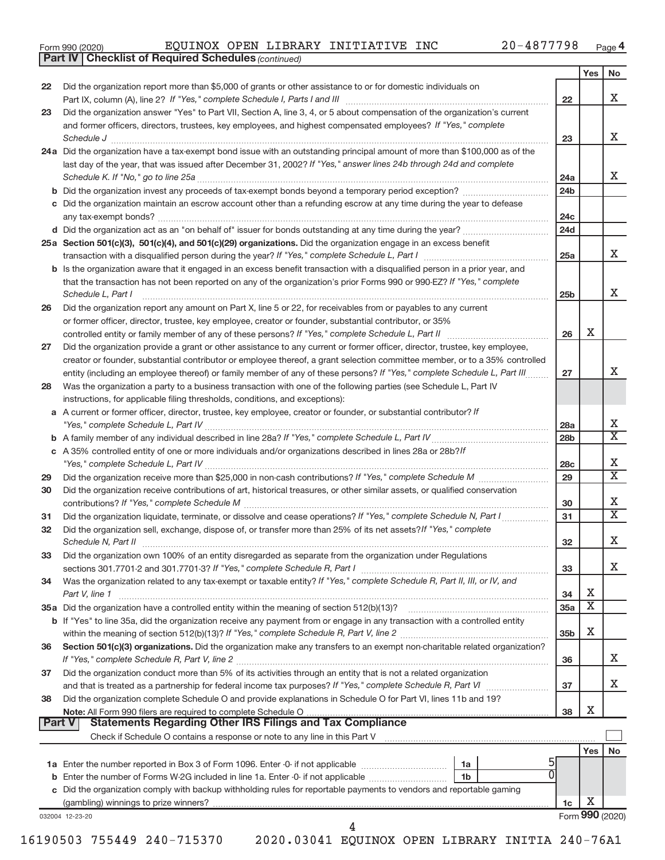|  | Form 990 (2020) |
|--|-----------------|
|  |                 |

*(continued)* **Part IV Checklist of Required Schedules**

|               |                                                                                                                                                                                                                                                                                                                                                                                                                                                                                                                                                                                          |                 | Yes | No                               |
|---------------|------------------------------------------------------------------------------------------------------------------------------------------------------------------------------------------------------------------------------------------------------------------------------------------------------------------------------------------------------------------------------------------------------------------------------------------------------------------------------------------------------------------------------------------------------------------------------------------|-----------------|-----|----------------------------------|
| 22            | Did the organization report more than \$5,000 of grants or other assistance to or for domestic individuals on                                                                                                                                                                                                                                                                                                                                                                                                                                                                            |                 |     |                                  |
|               |                                                                                                                                                                                                                                                                                                                                                                                                                                                                                                                                                                                          | 22              |     | x                                |
| 23            | Did the organization answer "Yes" to Part VII, Section A, line 3, 4, or 5 about compensation of the organization's current                                                                                                                                                                                                                                                                                                                                                                                                                                                               |                 |     |                                  |
|               | and former officers, directors, trustees, key employees, and highest compensated employees? If "Yes," complete                                                                                                                                                                                                                                                                                                                                                                                                                                                                           |                 |     | X                                |
|               | $\textit{Schedule J} \textit{ \textbf{}} \textit{ \textbf{}} \textit{ \textbf{}} \textit{ \textbf{}} \textit{ \textbf{}} \textit{ \textbf{}} \textit{ \textbf{}} \textit{ \textbf{}} \textit{ \textbf{}} \textit{ \textbf{}} \textit{ \textbf{}} \textit{ \textbf{}} \textit{ \textbf{}} \textit{ \textbf{}} \textit{ \textbf{}} \textit{ \textbf{}} \textit{ \textbf{}} \textit{ \textbf{}} \textit{ \textbf{}} \textit{ \textbf{}} \textit{ \textbf{}}$<br>24a Did the organization have a tax-exempt bond issue with an outstanding principal amount of more than \$100,000 as of the | 23              |     |                                  |
|               | last day of the year, that was issued after December 31, 2002? If "Yes," answer lines 24b through 24d and complete                                                                                                                                                                                                                                                                                                                                                                                                                                                                       |                 |     |                                  |
|               |                                                                                                                                                                                                                                                                                                                                                                                                                                                                                                                                                                                          | 24a             |     | X                                |
|               |                                                                                                                                                                                                                                                                                                                                                                                                                                                                                                                                                                                          | 24 <sub>b</sub> |     |                                  |
|               | c Did the organization maintain an escrow account other than a refunding escrow at any time during the year to defease                                                                                                                                                                                                                                                                                                                                                                                                                                                                   |                 |     |                                  |
|               |                                                                                                                                                                                                                                                                                                                                                                                                                                                                                                                                                                                          | 24c             |     |                                  |
|               |                                                                                                                                                                                                                                                                                                                                                                                                                                                                                                                                                                                          | 24d             |     |                                  |
|               | 25a Section 501(c)(3), 501(c)(4), and 501(c)(29) organizations. Did the organization engage in an excess benefit                                                                                                                                                                                                                                                                                                                                                                                                                                                                         |                 |     |                                  |
|               |                                                                                                                                                                                                                                                                                                                                                                                                                                                                                                                                                                                          | 25a             |     | X                                |
|               | <b>b</b> Is the organization aware that it engaged in an excess benefit transaction with a disqualified person in a prior year, and<br>that the transaction has not been reported on any of the organization's prior Forms 990 or 990-EZ? If "Yes," complete                                                                                                                                                                                                                                                                                                                             |                 |     |                                  |
|               | Schedule L, Part I                                                                                                                                                                                                                                                                                                                                                                                                                                                                                                                                                                       | 25b             |     | x                                |
| 26            | Did the organization report any amount on Part X, line 5 or 22, for receivables from or payables to any current                                                                                                                                                                                                                                                                                                                                                                                                                                                                          |                 |     |                                  |
|               | or former officer, director, trustee, key employee, creator or founder, substantial contributor, or 35%                                                                                                                                                                                                                                                                                                                                                                                                                                                                                  |                 |     |                                  |
|               | controlled entity or family member of any of these persons? If "Yes," complete Schedule L, Part II                                                                                                                                                                                                                                                                                                                                                                                                                                                                                       | 26              | х   |                                  |
| 27            | Did the organization provide a grant or other assistance to any current or former officer, director, trustee, key employee,                                                                                                                                                                                                                                                                                                                                                                                                                                                              |                 |     |                                  |
|               | creator or founder, substantial contributor or employee thereof, a grant selection committee member, or to a 35% controlled                                                                                                                                                                                                                                                                                                                                                                                                                                                              |                 |     |                                  |
|               | entity (including an employee thereof) or family member of any of these persons? If "Yes," complete Schedule L, Part III                                                                                                                                                                                                                                                                                                                                                                                                                                                                 | 27              |     | X                                |
| 28            | Was the organization a party to a business transaction with one of the following parties (see Schedule L, Part IV                                                                                                                                                                                                                                                                                                                                                                                                                                                                        |                 |     |                                  |
|               | instructions, for applicable filing thresholds, conditions, and exceptions):<br>a A current or former officer, director, trustee, key employee, creator or founder, or substantial contributor? If                                                                                                                                                                                                                                                                                                                                                                                       |                 |     |                                  |
|               |                                                                                                                                                                                                                                                                                                                                                                                                                                                                                                                                                                                          | 28a             |     | Х                                |
|               |                                                                                                                                                                                                                                                                                                                                                                                                                                                                                                                                                                                          | 28 <sub>b</sub> |     | X                                |
|               | c A 35% controlled entity of one or more individuals and/or organizations described in lines 28a or 28b? If                                                                                                                                                                                                                                                                                                                                                                                                                                                                              |                 |     |                                  |
|               |                                                                                                                                                                                                                                                                                                                                                                                                                                                                                                                                                                                          | 28c             |     | Х                                |
| 29            |                                                                                                                                                                                                                                                                                                                                                                                                                                                                                                                                                                                          | 29              |     | $\overline{\textnormal{x}}$      |
| 30            | Did the organization receive contributions of art, historical treasures, or other similar assets, or qualified conservation                                                                                                                                                                                                                                                                                                                                                                                                                                                              |                 |     |                                  |
|               |                                                                                                                                                                                                                                                                                                                                                                                                                                                                                                                                                                                          | 30              |     | Х<br>$\overline{\textnormal{x}}$ |
| 31<br>32      | Did the organization liquidate, terminate, or dissolve and cease operations? If "Yes," complete Schedule N, Part I<br>Did the organization sell, exchange, dispose of, or transfer more than 25% of its net assets? If "Yes," complete                                                                                                                                                                                                                                                                                                                                                   | 31              |     |                                  |
|               |                                                                                                                                                                                                                                                                                                                                                                                                                                                                                                                                                                                          | 32              |     | X                                |
| 33            | Did the organization own 100% of an entity disregarded as separate from the organization under Regulations                                                                                                                                                                                                                                                                                                                                                                                                                                                                               |                 |     |                                  |
|               |                                                                                                                                                                                                                                                                                                                                                                                                                                                                                                                                                                                          | 33              |     | x                                |
| 34            | Was the organization related to any tax-exempt or taxable entity? If "Yes," complete Schedule R, Part II, III, or IV, and                                                                                                                                                                                                                                                                                                                                                                                                                                                                |                 |     |                                  |
|               | Part V, line 1                                                                                                                                                                                                                                                                                                                                                                                                                                                                                                                                                                           | 34              | х   |                                  |
|               |                                                                                                                                                                                                                                                                                                                                                                                                                                                                                                                                                                                          | 35a             | X   |                                  |
|               | b If "Yes" to line 35a, did the organization receive any payment from or engage in any transaction with a controlled entity                                                                                                                                                                                                                                                                                                                                                                                                                                                              | 35 <sub>b</sub> | х   |                                  |
| 36            | Section 501(c)(3) organizations. Did the organization make any transfers to an exempt non-charitable related organization?                                                                                                                                                                                                                                                                                                                                                                                                                                                               |                 |     |                                  |
|               |                                                                                                                                                                                                                                                                                                                                                                                                                                                                                                                                                                                          | 36              |     | x                                |
| 37            | Did the organization conduct more than 5% of its activities through an entity that is not a related organization                                                                                                                                                                                                                                                                                                                                                                                                                                                                         |                 |     |                                  |
|               |                                                                                                                                                                                                                                                                                                                                                                                                                                                                                                                                                                                          | 37              |     | Х                                |
| 38            | Did the organization complete Schedule O and provide explanations in Schedule O for Part VI, lines 11b and 19?                                                                                                                                                                                                                                                                                                                                                                                                                                                                           |                 |     |                                  |
|               |                                                                                                                                                                                                                                                                                                                                                                                                                                                                                                                                                                                          | 38              | х   |                                  |
| <b>Part V</b> |                                                                                                                                                                                                                                                                                                                                                                                                                                                                                                                                                                                          |                 |     |                                  |
|               |                                                                                                                                                                                                                                                                                                                                                                                                                                                                                                                                                                                          |                 | Yes | No                               |
|               | 5<br>1a                                                                                                                                                                                                                                                                                                                                                                                                                                                                                                                                                                                  |                 |     |                                  |
|               | 0<br>1 <sub>b</sub>                                                                                                                                                                                                                                                                                                                                                                                                                                                                                                                                                                      |                 |     |                                  |
|               | c Did the organization comply with backup withholding rules for reportable payments to vendors and reportable gaming                                                                                                                                                                                                                                                                                                                                                                                                                                                                     |                 |     |                                  |
|               |                                                                                                                                                                                                                                                                                                                                                                                                                                                                                                                                                                                          | 1c              | х   |                                  |
|               | 032004 12-23-20                                                                                                                                                                                                                                                                                                                                                                                                                                                                                                                                                                          |                 |     | Form 990 (2020)                  |

16190503 755449 240-715370 2020.03041 EQUINOX OPEN LIBRARY INITIA 240-76A1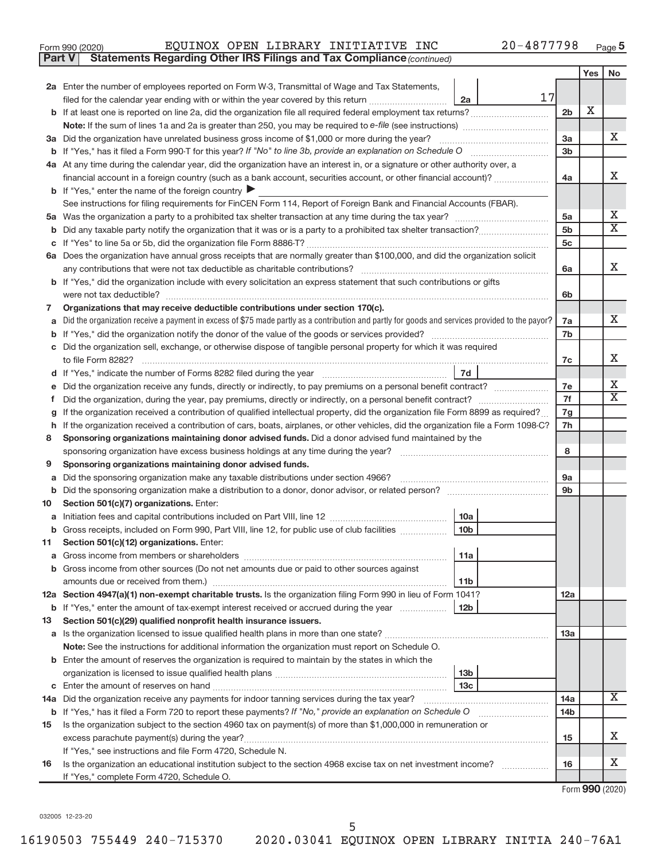| Form 990 (2020) |  |  |  |  | EQUINOX OPEN LIBRARY INITIATIVE INC |  | 20-4877798 | Page |  |
|-----------------|--|--|--|--|-------------------------------------|--|------------|------|--|
|-----------------|--|--|--|--|-------------------------------------|--|------------|------|--|

**Part V Statements Regarding Other IRS Filings and Tax Compliance**

*(continued)*

|        |                                                                                                                                                                                                                                                                        |                      | Yes | No                           |  |
|--------|------------------------------------------------------------------------------------------------------------------------------------------------------------------------------------------------------------------------------------------------------------------------|----------------------|-----|------------------------------|--|
|        | 2a Enter the number of employees reported on Form W-3, Transmittal of Wage and Tax Statements,                                                                                                                                                                         |                      |     |                              |  |
|        | 17<br>2a                                                                                                                                                                                                                                                               |                      |     |                              |  |
|        |                                                                                                                                                                                                                                                                        | 2 <sub>b</sub>       | X   |                              |  |
|        |                                                                                                                                                                                                                                                                        |                      |     |                              |  |
|        | 3a Did the organization have unrelated business gross income of \$1,000 or more during the year?                                                                                                                                                                       | 3a                   |     | х                            |  |
|        |                                                                                                                                                                                                                                                                        | 3 <sub>b</sub>       |     |                              |  |
|        | 4a At any time during the calendar year, did the organization have an interest in, or a signature or other authority over, a                                                                                                                                           |                      |     |                              |  |
|        | financial account in a foreign country (such as a bank account, securities account, or other financial account)?                                                                                                                                                       | 4a                   |     | X                            |  |
|        | <b>b</b> If "Yes," enter the name of the foreign country $\blacktriangleright$                                                                                                                                                                                         |                      |     |                              |  |
|        | See instructions for filing requirements for FinCEN Form 114, Report of Foreign Bank and Financial Accounts (FBAR).                                                                                                                                                    |                      |     |                              |  |
|        |                                                                                                                                                                                                                                                                        | 5a<br>5 <sub>b</sub> |     | х<br>$\overline{\mathbf{X}}$ |  |
| b      |                                                                                                                                                                                                                                                                        |                      |     |                              |  |
|        |                                                                                                                                                                                                                                                                        | 5c                   |     |                              |  |
|        | 6a Does the organization have annual gross receipts that are normally greater than \$100,000, and did the organization solicit                                                                                                                                         |                      |     |                              |  |
|        | any contributions that were not tax deductible as charitable contributions?                                                                                                                                                                                            | 6a                   |     | X                            |  |
|        | b If "Yes," did the organization include with every solicitation an express statement that such contributions or gifts                                                                                                                                                 |                      |     |                              |  |
|        | were not tax deductible?                                                                                                                                                                                                                                               | 6b                   |     |                              |  |
| 7      | Organizations that may receive deductible contributions under section 170(c).                                                                                                                                                                                          |                      |     |                              |  |
| a      | Did the organization receive a payment in excess of \$75 made partly as a contribution and partly for goods and services provided to the payor?                                                                                                                        | 7a                   |     | x                            |  |
|        |                                                                                                                                                                                                                                                                        | 7b                   |     |                              |  |
| C      | Did the organization sell, exchange, or otherwise dispose of tangible personal property for which it was required                                                                                                                                                      |                      |     | x                            |  |
|        | to file Form 8282?                                                                                                                                                                                                                                                     | 7c                   |     |                              |  |
| d      | 7d                                                                                                                                                                                                                                                                     |                      |     | Х                            |  |
|        | Did the organization receive any funds, directly or indirectly, to pay premiums on a personal benefit contract?                                                                                                                                                        | 7e<br>7f             |     | $\overline{\mathbf{X}}$      |  |
|        | Did the organization, during the year, pay premiums, directly or indirectly, on a personal benefit contract?                                                                                                                                                           |                      |     |                              |  |
| g      | If the organization received a contribution of qualified intellectual property, did the organization file Form 8899 as required?<br>If the organization received a contribution of cars, boats, airplanes, or other vehicles, did the organization file a Form 1098-C? | 7g<br>7h             |     |                              |  |
| h<br>8 | Sponsoring organizations maintaining donor advised funds. Did a donor advised fund maintained by the                                                                                                                                                                   |                      |     |                              |  |
|        | sponsoring organization have excess business holdings at any time during the year?                                                                                                                                                                                     | 8                    |     |                              |  |
| 9      | Sponsoring organizations maintaining donor advised funds.                                                                                                                                                                                                              |                      |     |                              |  |
| a      | Did the sponsoring organization make any taxable distributions under section 4966?                                                                                                                                                                                     | 9a                   |     |                              |  |
| b      |                                                                                                                                                                                                                                                                        | 9 <sub>b</sub>       |     |                              |  |
| 10     | Section 501(c)(7) organizations. Enter:                                                                                                                                                                                                                                |                      |     |                              |  |
| а      | 10a                                                                                                                                                                                                                                                                    |                      |     |                              |  |
| b      | 10 <sub>b</sub><br>Gross receipts, included on Form 990, Part VIII, line 12, for public use of club facilities                                                                                                                                                         |                      |     |                              |  |
| 11     | Section 501(c)(12) organizations. Enter:                                                                                                                                                                                                                               |                      |     |                              |  |
|        | 11a                                                                                                                                                                                                                                                                    |                      |     |                              |  |
|        | <b>b</b> Gross income from other sources (Do not net amounts due or paid to other sources against                                                                                                                                                                      |                      |     |                              |  |
|        | amounts due or received from them.)<br>11 <sub>b</sub>                                                                                                                                                                                                                 |                      |     |                              |  |
|        | 12a Section 4947(a)(1) non-exempt charitable trusts. Is the organization filing Form 990 in lieu of Form 1041?                                                                                                                                                         | 12a                  |     |                              |  |
|        | <b>b</b> If "Yes," enter the amount of tax-exempt interest received or accrued during the year<br>12 <sub>b</sub>                                                                                                                                                      |                      |     |                              |  |
| 13     | Section 501(c)(29) qualified nonprofit health insurance issuers.                                                                                                                                                                                                       |                      |     |                              |  |
|        |                                                                                                                                                                                                                                                                        | <b>13a</b>           |     |                              |  |
|        | Note: See the instructions for additional information the organization must report on Schedule O.                                                                                                                                                                      |                      |     |                              |  |
|        | <b>b</b> Enter the amount of reserves the organization is required to maintain by the states in which the                                                                                                                                                              |                      |     |                              |  |
|        | 13 <sub>b</sub>                                                                                                                                                                                                                                                        |                      |     |                              |  |
|        | 13 <sub>c</sub>                                                                                                                                                                                                                                                        |                      |     |                              |  |
|        | 14a Did the organization receive any payments for indoor tanning services during the tax year?                                                                                                                                                                         | 14a                  |     | x                            |  |
|        | b If "Yes," has it filed a Form 720 to report these payments? If "No," provide an explanation on Schedule O                                                                                                                                                            | 14b                  |     |                              |  |
| 15     | Is the organization subject to the section 4960 tax on payment(s) of more than \$1,000,000 in remuneration or                                                                                                                                                          |                      |     |                              |  |
|        |                                                                                                                                                                                                                                                                        | 15                   |     | x                            |  |
|        | If "Yes," see instructions and file Form 4720, Schedule N.                                                                                                                                                                                                             |                      |     | x                            |  |
| 16     | Is the organization an educational institution subject to the section 4968 excise tax on net investment income?                                                                                                                                                        | 16                   |     |                              |  |
|        | If "Yes," complete Form 4720, Schedule O.                                                                                                                                                                                                                              |                      |     |                              |  |

Form (2020) **990**

032005 12-23-20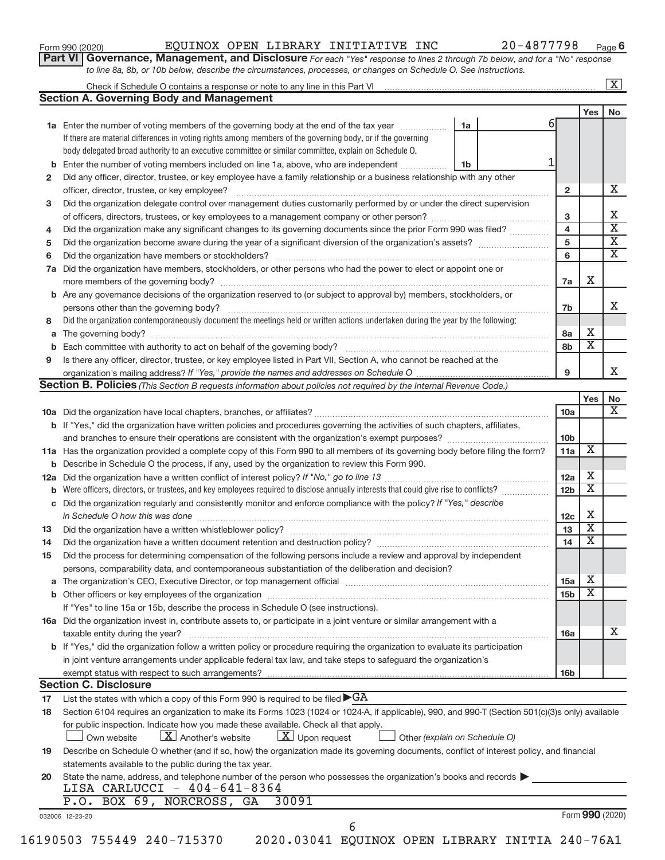| Form 990 (2020) |  |  |
|-----------------|--|--|
|-----------------|--|--|

#### Form 990 (2020)  ${\bf EQUINOX\,\,\, OPEN\,\,\, LIBRARY\,\,\, INITIATIVE\,\,\, INC}$  20-4877798  $_{\rm Page}$

**Part VI** Governance, Management, and Disclosure For each "Yes" response to lines 2 through 7b below, and for a "No" response *to line 8a, 8b, or 10b below, describe the circumstances, processes, or changes on Schedule O. See instructions.*

|     | <b>Section A. Governing Body and Management</b>                                                                                                  |                               |    |                 |                         |    |
|-----|--------------------------------------------------------------------------------------------------------------------------------------------------|-------------------------------|----|-----------------|-------------------------|----|
|     |                                                                                                                                                  |                               |    |                 |                         | No |
|     |                                                                                                                                                  |                               | 61 |                 | Yes                     |    |
|     | 1a Enter the number of voting members of the governing body at the end of the tax year                                                           | 1a                            |    |                 |                         |    |
|     | If there are material differences in voting rights among members of the governing body, or if the governing                                      |                               |    |                 |                         |    |
|     | body delegated broad authority to an executive committee or similar committee, explain on Schedule O.                                            |                               |    |                 |                         |    |
|     | <b>b</b> Enter the number of voting members included on line 1a, above, who are independent                                                      | 1b                            |    |                 |                         |    |
| 2   | Did any officer, director, trustee, or key employee have a family relationship or a business relationship with any other                         |                               |    |                 |                         |    |
|     |                                                                                                                                                  |                               |    | $\mathbf{2}$    |                         |    |
| 3   | Did the organization delegate control over management duties customarily performed by or under the direct supervision                            |                               |    |                 |                         |    |
|     |                                                                                                                                                  |                               |    | 3               |                         |    |
| 4   | Did the organization make any significant changes to its governing documents since the prior Form 990 was filed?                                 |                               |    | $\overline{4}$  |                         |    |
| 5   |                                                                                                                                                  |                               |    | 5               |                         |    |
| 6   |                                                                                                                                                  |                               |    | 6               |                         |    |
| 7a  | Did the organization have members, stockholders, or other persons who had the power to elect or appoint one or                                   |                               |    |                 |                         |    |
|     |                                                                                                                                                  |                               |    | 7a              | X                       |    |
|     | <b>b</b> Are any governance decisions of the organization reserved to (or subject to approval by) members, stockholders, or                      |                               |    |                 |                         |    |
|     | persons other than the governing body?                                                                                                           |                               |    | 7b              |                         |    |
| 8   | Did the organization contemporaneously document the meetings held or written actions undertaken during the year by the following:                |                               |    |                 |                         |    |
|     |                                                                                                                                                  |                               |    | 8a              | х                       |    |
|     |                                                                                                                                                  |                               |    | 8b              | $\overline{\textbf{x}}$ |    |
| 9   | Is there any officer, director, trustee, or key employee listed in Part VII, Section A, who cannot be reached at the                             |                               |    |                 |                         |    |
|     |                                                                                                                                                  |                               |    | 9               |                         |    |
|     | <b>Section B. Policies</b> (This Section B requests information about policies not required by the Internal Revenue Code.)                       |                               |    |                 |                         |    |
|     |                                                                                                                                                  |                               |    |                 | Yes                     |    |
|     |                                                                                                                                                  |                               |    | 10a             |                         |    |
|     | b If "Yes," did the organization have written policies and procedures governing the activities of such chapters, affiliates,                     |                               |    |                 |                         |    |
|     |                                                                                                                                                  |                               |    | 10b             |                         |    |
|     | 11a Has the organization provided a complete copy of this Form 990 to all members of its governing body before filing the form?                  |                               |    | 11a             | х                       |    |
|     | <b>b</b> Describe in Schedule O the process, if any, used by the organization to review this Form 990.                                           |                               |    |                 |                         |    |
| 12a |                                                                                                                                                  |                               |    | 12a             | х                       |    |
|     |                                                                                                                                                  |                               |    | 12 <sub>b</sub> | $\overline{\textbf{x}}$ |    |
|     | c Did the organization regularly and consistently monitor and enforce compliance with the policy? If "Yes," describe                             |                               |    |                 |                         |    |
|     | in Schedule O how this was done manufactured and continuum and contact the way to have a set of the set of the                                   |                               |    | 12c             | X                       |    |
| 13  |                                                                                                                                                  |                               |    | 13              | $\overline{\textbf{x}}$ |    |
| 14  |                                                                                                                                                  |                               |    | 14              | $\overline{\textbf{x}}$ |    |
|     |                                                                                                                                                  |                               |    |                 |                         |    |
| 15  | Did the process for determining compensation of the following persons include a review and approval by independent                               |                               |    |                 |                         |    |
|     | persons, comparability data, and contemporaneous substantiation of the deliberation and decision?                                                |                               |    |                 | х                       |    |
|     |                                                                                                                                                  |                               |    | 15a             | $\overline{\textbf{x}}$ |    |
|     |                                                                                                                                                  |                               |    | 15 <sub>b</sub> |                         |    |
|     | If "Yes" to line 15a or 15b, describe the process in Schedule O (see instructions).                                                              |                               |    |                 |                         |    |
|     | 16a Did the organization invest in, contribute assets to, or participate in a joint venture or similar arrangement with a                        |                               |    |                 |                         |    |
|     | taxable entity during the year?                                                                                                                  |                               |    | 16a             |                         |    |
|     | <b>b</b> If "Yes," did the organization follow a written policy or procedure requiring the organization to evaluate its participation            |                               |    |                 |                         |    |
|     | in joint venture arrangements under applicable federal tax law, and take steps to safeguard the organization's                                   |                               |    |                 |                         |    |
|     | exempt status with respect to such arrangements?                                                                                                 |                               |    | <b>16b</b>      |                         |    |
|     | <b>Section C. Disclosure</b>                                                                                                                     |                               |    |                 |                         |    |
| 17  | List the states with which a copy of this Form 990 is required to be filed $\blacktriangleright$ GA                                              |                               |    |                 |                         |    |
| 18  | Section 6104 requires an organization to make its Forms 1023 (1024 or 1024-A, if applicable), 990, and 990-T (Section 501(c)(3)s only) available |                               |    |                 |                         |    |
|     | for public inspection. Indicate how you made these available. Check all that apply.                                                              |                               |    |                 |                         |    |
|     | $X$ Upon request<br>$X$ Another's website<br>Own website                                                                                         | Other (explain on Schedule O) |    |                 |                         |    |
| 19  | Describe on Schedule O whether (and if so, how) the organization made its governing documents, conflict of interest policy, and financial        |                               |    |                 |                         |    |
|     | statements available to the public during the tax year.                                                                                          |                               |    |                 |                         |    |
| 20  | State the name, address, and telephone number of the person who possesses the organization's books and records                                   |                               |    |                 |                         |    |
|     | LISA CARLUCCI - 404-641-8364                                                                                                                     |                               |    |                 |                         |    |
|     |                                                                                                                                                  |                               |    |                 |                         |    |
|     | P.O. BOX 69, NORCROSS, GA<br>30091                                                                                                               |                               |    |                 |                         |    |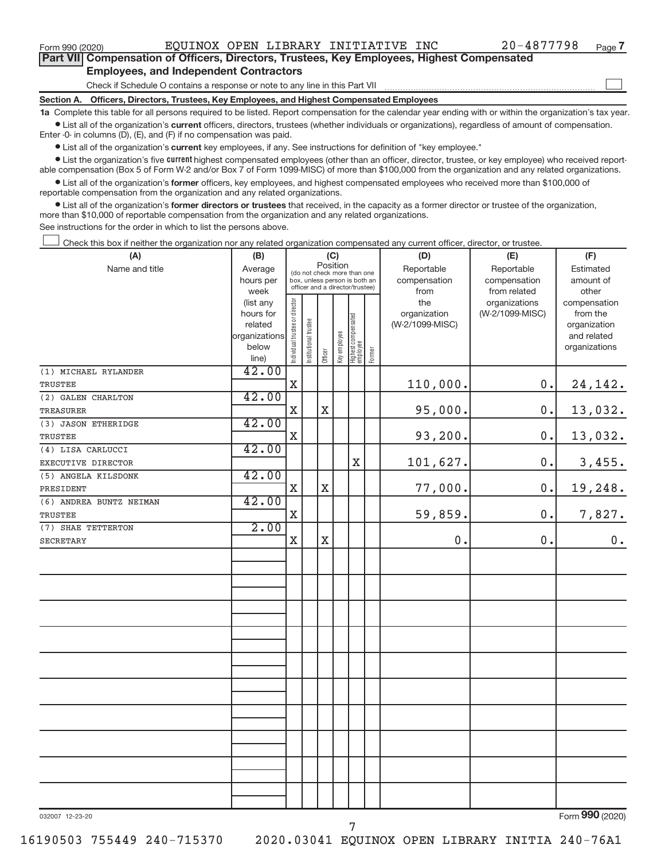$\begin{array}{c} \hline \end{array}$ 

| Part VII Compensation of Officers, Directors, Trustees, Key Employees, Highest Compensated |  |  |  |
|--------------------------------------------------------------------------------------------|--|--|--|
| <b>Employees, and Independent Contractors</b>                                              |  |  |  |

Check if Schedule O contains a response or note to any line in this Part VII

**Section A. Officers, Directors, Trustees, Key Employees, and Highest Compensated Employees**

**1a**  Complete this table for all persons required to be listed. Report compensation for the calendar year ending with or within the organization's tax year.  $\bullet$  List all of the organization's current officers, directors, trustees (whether individuals or organizations), regardless of amount of compensation.

Enter -0- in columns (D), (E), and (F) if no compensation was paid.

**•** List all of the organization's **current** key employees, if any. See instructions for definition of "key employee."

**Examber 1** List the organization's five *current* highest compensated employees (other than an officer, director, trustee, or key employee) who received reportable compensation (Box 5 of Form W-2 and/or Box 7 of Form 1099-MISC) of more than \$100,000 from the organization and any related organizations.

 $\bullet$  List all of the organization's former officers, key employees, and highest compensated employees who received more than \$100,000 of reportable compensation from the organization and any related organizations.

**•** List all of the organization's former directors or trustees that received, in the capacity as a former director or trustee of the organization, more than \$10,000 of reportable compensation from the organization and any related organizations.

See instructions for the order in which to list the persons above.

Check this box if neither the organization nor any related organization compensated any current officer, director, or trustee.  $\overline{\phantom{a}}$ 

| (A)                     | (B)           |                                         | (C)                                                              |             |              |                                   |        | (D)             | (E)             | (F)           |
|-------------------------|---------------|-----------------------------------------|------------------------------------------------------------------|-------------|--------------|-----------------------------------|--------|-----------------|-----------------|---------------|
| Name and title          | Average       | Position<br>(do not check more than one |                                                                  |             |              |                                   |        | Reportable      | Reportable      | Estimated     |
|                         | hours per     |                                         | box, unless person is both an<br>officer and a director/trustee) |             |              |                                   |        | compensation    | compensation    | amount of     |
|                         | week          |                                         |                                                                  |             |              |                                   |        | from            | from related    | other         |
|                         | (list any     |                                         |                                                                  |             |              |                                   |        | the             | organizations   | compensation  |
|                         | hours for     |                                         |                                                                  |             |              |                                   |        | organization    | (W-2/1099-MISC) | from the      |
|                         | related       |                                         |                                                                  |             |              |                                   |        | (W-2/1099-MISC) |                 | organization  |
|                         | organizations |                                         |                                                                  |             |              |                                   |        |                 |                 | and related   |
|                         | below         | Individual trustee or director          | Institutional trustee                                            | Officer     | Key employee | Highest compensated<br>  employee | Former |                 |                 | organizations |
|                         | line)         |                                         |                                                                  |             |              |                                   |        |                 |                 |               |
| (1) MICHAEL RYLANDER    | 42.00         |                                         |                                                                  |             |              |                                   |        |                 |                 |               |
| TRUSTEE                 |               | $\mathbf X$                             |                                                                  |             |              |                                   |        | 110,000.        | 0.              | 24, 142.      |
| (2) GALEN CHARLTON      | 42.00         |                                         |                                                                  |             |              |                                   |        |                 |                 |               |
| <b>TREASURER</b>        |               | $\mathbf X$                             |                                                                  | $\mathbf X$ |              |                                   |        | 95,000.         | 0.              | 13,032.       |
| (3) JASON ETHERIDGE     | 42.00         |                                         |                                                                  |             |              |                                   |        |                 |                 |               |
| <b>TRUSTEE</b>          |               | $\mathbf X$                             |                                                                  |             |              |                                   |        | 93,200.         | $0$ .           | 13,032.       |
| (4) LISA CARLUCCI       | 42.00         |                                         |                                                                  |             |              |                                   |        |                 |                 |               |
| EXECUTIVE DIRECTOR      |               |                                         |                                                                  |             |              | $\mathbf X$                       |        | 101,627.        | 0.              | 3,455.        |
| (5) ANGELA KILSDONK     | 42.00         |                                         |                                                                  |             |              |                                   |        |                 |                 |               |
| PRESIDENT               |               | $\mathbf X$                             |                                                                  | $\mathbf X$ |              |                                   |        | 77,000.         | 0.              | 19,248.       |
| (6) ANDREA BUNTZ NEIMAN | 42.00         |                                         |                                                                  |             |              |                                   |        |                 |                 |               |
| TRUSTEE                 |               | $\mathbf X$                             |                                                                  |             |              |                                   |        | 59,859.         | 0.              | 7,827.        |
| (7) SHAE TETTERTON      | 2.00          |                                         |                                                                  |             |              |                                   |        |                 |                 |               |
| <b>SECRETARY</b>        |               | $\mathbf X$                             |                                                                  | $\mathbf X$ |              |                                   |        | $0$ .           | 0.              | $0$ .         |
|                         |               |                                         |                                                                  |             |              |                                   |        |                 |                 |               |
|                         |               |                                         |                                                                  |             |              |                                   |        |                 |                 |               |
|                         |               |                                         |                                                                  |             |              |                                   |        |                 |                 |               |
|                         |               |                                         |                                                                  |             |              |                                   |        |                 |                 |               |
|                         |               |                                         |                                                                  |             |              |                                   |        |                 |                 |               |
|                         |               |                                         |                                                                  |             |              |                                   |        |                 |                 |               |
|                         |               |                                         |                                                                  |             |              |                                   |        |                 |                 |               |
|                         |               |                                         |                                                                  |             |              |                                   |        |                 |                 |               |
|                         |               |                                         |                                                                  |             |              |                                   |        |                 |                 |               |
|                         |               |                                         |                                                                  |             |              |                                   |        |                 |                 |               |
|                         |               |                                         |                                                                  |             |              |                                   |        |                 |                 |               |
|                         |               |                                         |                                                                  |             |              |                                   |        |                 |                 |               |
|                         |               |                                         |                                                                  |             |              |                                   |        |                 |                 |               |
|                         |               |                                         |                                                                  |             |              |                                   |        |                 |                 |               |
|                         |               |                                         |                                                                  |             |              |                                   |        |                 |                 |               |
|                         |               |                                         |                                                                  |             |              |                                   |        |                 |                 |               |
|                         |               |                                         |                                                                  |             |              |                                   |        |                 |                 |               |
|                         |               |                                         |                                                                  |             |              |                                   |        |                 |                 |               |
|                         |               |                                         |                                                                  |             |              |                                   |        |                 |                 |               |
|                         |               |                                         |                                                                  |             |              |                                   |        |                 |                 |               |
|                         |               |                                         |                                                                  |             |              |                                   |        |                 |                 |               |

032007 12-23-20

Form (2020) **990**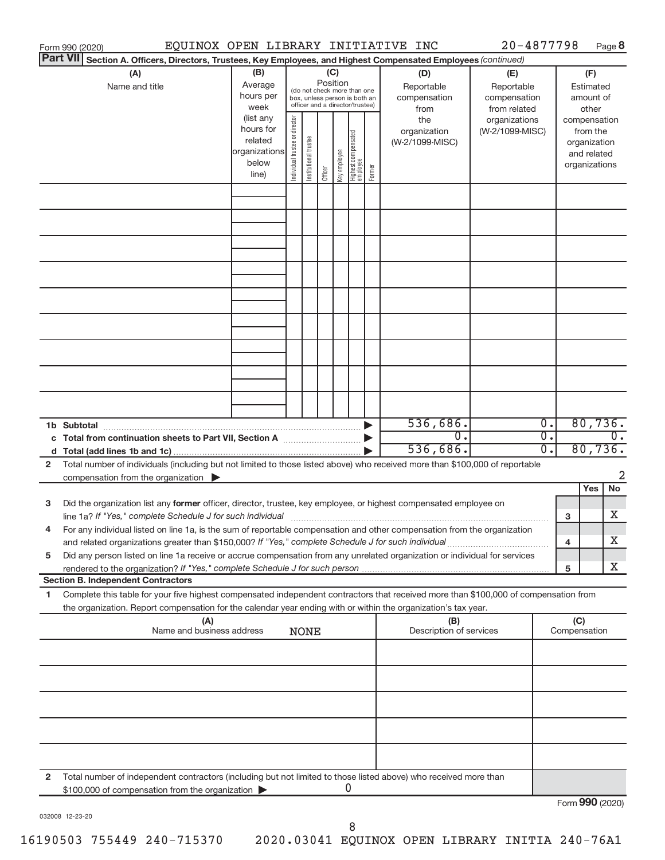|              | EQUINOX OPEN LIBRARY INITIATIVE INC<br>Form 990 (2020)                                                                                                                                                                                                 |                                                                                                                                                                                                                                                                                                                                                            |  |             |  |  |        |                                                                                     |                                                                                       | $20 - 4877798$ |                                      |                                                                                                                    |     | Page 8                      |
|--------------|--------------------------------------------------------------------------------------------------------------------------------------------------------------------------------------------------------------------------------------------------------|------------------------------------------------------------------------------------------------------------------------------------------------------------------------------------------------------------------------------------------------------------------------------------------------------------------------------------------------------------|--|-------------|--|--|--------|-------------------------------------------------------------------------------------|---------------------------------------------------------------------------------------|----------------|--------------------------------------|--------------------------------------------------------------------------------------------------------------------|-----|-----------------------------|
|              | <b>Part VII</b><br>Section A. Officers, Directors, Trustees, Key Employees, and Highest Compensated Employees (continued)                                                                                                                              |                                                                                                                                                                                                                                                                                                                                                            |  |             |  |  |        |                                                                                     |                                                                                       |                |                                      |                                                                                                                    |     |                             |
|              | (A)<br>Name and title                                                                                                                                                                                                                                  | (B)<br>(C)<br>Position<br>Average<br>(do not check more than one<br>hours per<br>box, unless person is both an<br>officer and a director/trustee)<br>week<br>(list any<br>Individual trustee or director<br>hours for<br>Highest compensated<br>employee<br>Institutional trustee<br>related<br>organizations<br>Key employee<br>below<br>Officer<br>line) |  |             |  |  | Former | (D)<br>Reportable<br>compensation<br>from<br>the<br>organization<br>(W-2/1099-MISC) | (E)<br>Reportable<br>compensation<br>from related<br>organizations<br>(W-2/1099-MISC) |                |                                      | (F)<br>Estimated<br>amount of<br>other<br>compensation<br>from the<br>organization<br>and related<br>organizations |     |                             |
|              |                                                                                                                                                                                                                                                        |                                                                                                                                                                                                                                                                                                                                                            |  |             |  |  |        |                                                                                     |                                                                                       |                |                                      |                                                                                                                    |     |                             |
|              |                                                                                                                                                                                                                                                        |                                                                                                                                                                                                                                                                                                                                                            |  |             |  |  |        |                                                                                     |                                                                                       |                |                                      |                                                                                                                    |     |                             |
|              |                                                                                                                                                                                                                                                        |                                                                                                                                                                                                                                                                                                                                                            |  |             |  |  |        |                                                                                     |                                                                                       |                |                                      |                                                                                                                    |     |                             |
|              |                                                                                                                                                                                                                                                        |                                                                                                                                                                                                                                                                                                                                                            |  |             |  |  |        |                                                                                     |                                                                                       |                |                                      |                                                                                                                    |     |                             |
|              |                                                                                                                                                                                                                                                        |                                                                                                                                                                                                                                                                                                                                                            |  |             |  |  |        |                                                                                     |                                                                                       |                |                                      |                                                                                                                    |     |                             |
|              |                                                                                                                                                                                                                                                        |                                                                                                                                                                                                                                                                                                                                                            |  |             |  |  |        |                                                                                     |                                                                                       |                |                                      |                                                                                                                    |     |                             |
|              |                                                                                                                                                                                                                                                        |                                                                                                                                                                                                                                                                                                                                                            |  |             |  |  |        |                                                                                     |                                                                                       |                |                                      |                                                                                                                    |     |                             |
|              |                                                                                                                                                                                                                                                        |                                                                                                                                                                                                                                                                                                                                                            |  |             |  |  |        |                                                                                     |                                                                                       |                |                                      |                                                                                                                    |     |                             |
|              |                                                                                                                                                                                                                                                        |                                                                                                                                                                                                                                                                                                                                                            |  |             |  |  |        |                                                                                     | 536,686.                                                                              |                | 0.                                   |                                                                                                                    |     | 80,736.                     |
|              | 1b Subtotal<br>c Total from continuation sheets to Part VII, Section A [11, 11, 11, 11]                                                                                                                                                                |                                                                                                                                                                                                                                                                                                                                                            |  |             |  |  |        |                                                                                     | $\overline{0}$ .<br>536,686.                                                          |                | $\overline{0}$ .<br>$\overline{0}$ . |                                                                                                                    |     | $\overline{0}$ .<br>80,736. |
| $\mathbf{2}$ | Total number of individuals (including but not limited to those listed above) who received more than \$100,000 of reportable                                                                                                                           |                                                                                                                                                                                                                                                                                                                                                            |  |             |  |  |        |                                                                                     |                                                                                       |                |                                      |                                                                                                                    |     | 2                           |
|              | compensation from the organization $\blacktriangleright$                                                                                                                                                                                               |                                                                                                                                                                                                                                                                                                                                                            |  |             |  |  |        |                                                                                     |                                                                                       |                |                                      |                                                                                                                    | Yes | No                          |
| 3            | Did the organization list any former officer, director, trustee, key employee, or highest compensated employee on                                                                                                                                      |                                                                                                                                                                                                                                                                                                                                                            |  |             |  |  |        |                                                                                     |                                                                                       |                |                                      | 3                                                                                                                  |     | х                           |
| 4            | For any individual listed on line 1a, is the sum of reportable compensation and other compensation from the organization<br>and related organizations greater than \$150,000? If "Yes," complete Schedule J for such individual                        |                                                                                                                                                                                                                                                                                                                                                            |  |             |  |  |        |                                                                                     |                                                                                       |                |                                      | 4                                                                                                                  |     | х                           |
| 5            | Did any person listed on line 1a receive or accrue compensation from any unrelated organization or individual for services                                                                                                                             |                                                                                                                                                                                                                                                                                                                                                            |  |             |  |  |        |                                                                                     |                                                                                       |                |                                      | 5                                                                                                                  |     | X                           |
|              | <b>Section B. Independent Contractors</b>                                                                                                                                                                                                              |                                                                                                                                                                                                                                                                                                                                                            |  |             |  |  |        |                                                                                     |                                                                                       |                |                                      |                                                                                                                    |     |                             |
| 1.           | Complete this table for your five highest compensated independent contractors that received more than \$100,000 of compensation from<br>the organization. Report compensation for the calendar year ending with or within the organization's tax year. |                                                                                                                                                                                                                                                                                                                                                            |  |             |  |  |        |                                                                                     |                                                                                       |                |                                      |                                                                                                                    |     |                             |
|              | (A)<br>Name and business address                                                                                                                                                                                                                       |                                                                                                                                                                                                                                                                                                                                                            |  | <b>NONE</b> |  |  |        |                                                                                     | (B)<br>Description of services                                                        |                |                                      | (C)<br>Compensation                                                                                                |     |                             |
|              |                                                                                                                                                                                                                                                        |                                                                                                                                                                                                                                                                                                                                                            |  |             |  |  |        |                                                                                     |                                                                                       |                |                                      |                                                                                                                    |     |                             |
|              |                                                                                                                                                                                                                                                        |                                                                                                                                                                                                                                                                                                                                                            |  |             |  |  |        |                                                                                     |                                                                                       |                |                                      |                                                                                                                    |     |                             |
|              |                                                                                                                                                                                                                                                        |                                                                                                                                                                                                                                                                                                                                                            |  |             |  |  |        |                                                                                     |                                                                                       |                |                                      |                                                                                                                    |     |                             |
|              |                                                                                                                                                                                                                                                        |                                                                                                                                                                                                                                                                                                                                                            |  |             |  |  |        |                                                                                     |                                                                                       |                |                                      |                                                                                                                    |     |                             |
| 2            | Total number of independent contractors (including but not limited to those listed above) who received more than                                                                                                                                       |                                                                                                                                                                                                                                                                                                                                                            |  |             |  |  |        |                                                                                     |                                                                                       |                |                                      |                                                                                                                    |     |                             |
|              | \$100,000 of compensation from the organization                                                                                                                                                                                                        |                                                                                                                                                                                                                                                                                                                                                            |  |             |  |  | 0      |                                                                                     |                                                                                       |                |                                      | Form 990 (2020)                                                                                                    |     |                             |

032008 12-23-20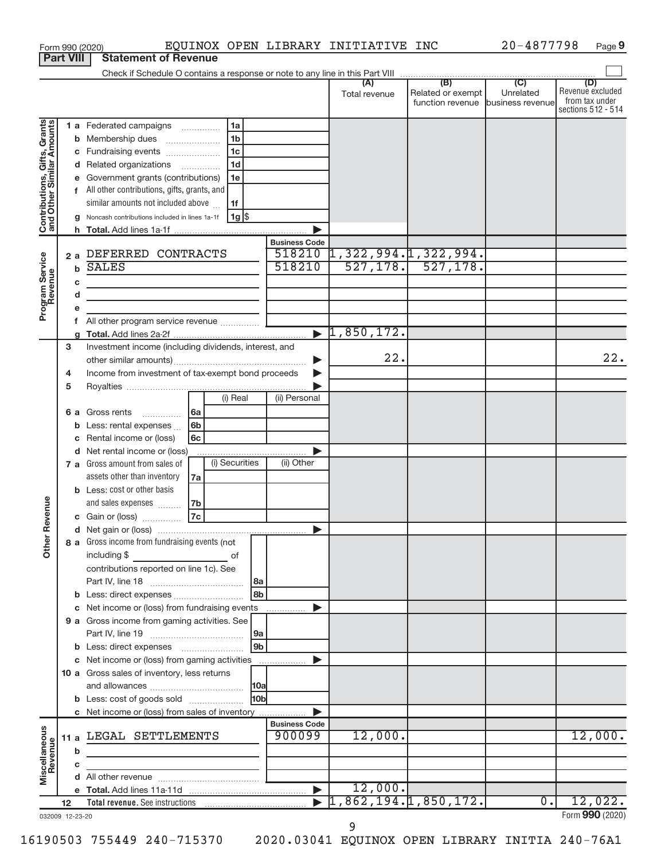| <b>Part VIII</b>                                          |                                                         |             | EQUINOX OPEN LIBRARY INITIATIVE INC<br>Form 990 (2020)<br><b>Statement of Revenue</b>      |                       |                       |                                                        | 20-4877798       | Page 9                             |
|-----------------------------------------------------------|---------------------------------------------------------|-------------|--------------------------------------------------------------------------------------------|-----------------------|-----------------------|--------------------------------------------------------|------------------|------------------------------------|
|                                                           |                                                         |             |                                                                                            |                       |                       |                                                        |                  |                                    |
|                                                           |                                                         |             |                                                                                            |                       | (A)                   | (B)                                                    | (C)              | (D)                                |
|                                                           |                                                         |             |                                                                                            |                       | Total revenue         | Related or exempt<br>function revenue business revenue | Unrelated        | Revenue excluded<br>from tax under |
|                                                           |                                                         |             |                                                                                            |                       |                       |                                                        |                  | sections 512 - 514                 |
| Contributions, Gifts, Grants<br>and Other Similar Amounts |                                                         |             | 1 a Federated campaigns<br>1a                                                              |                       |                       |                                                        |                  |                                    |
|                                                           |                                                         |             | 1 <sub>b</sub><br><b>b</b> Membership dues                                                 |                       |                       |                                                        |                  |                                    |
|                                                           |                                                         |             | 1 <sub>c</sub><br>c Fundraising events                                                     |                       |                       |                                                        |                  |                                    |
|                                                           |                                                         |             | 1 <sub>d</sub><br>d Related organizations                                                  |                       |                       |                                                        |                  |                                    |
|                                                           |                                                         |             | e Government grants (contributions)<br>1e<br>f All other contributions, gifts, grants, and |                       |                       |                                                        |                  |                                    |
|                                                           |                                                         |             | similar amounts not included above<br>1f                                                   |                       |                       |                                                        |                  |                                    |
|                                                           |                                                         | a           | 1g  \$<br>Noncash contributions included in lines 1a-1f                                    |                       |                       |                                                        |                  |                                    |
|                                                           |                                                         |             |                                                                                            |                       |                       |                                                        |                  |                                    |
|                                                           |                                                         |             |                                                                                            | <b>Business Code</b>  |                       |                                                        |                  |                                    |
|                                                           |                                                         |             | 2 a DEFERRED CONTRACTS                                                                     | 518210                | 1,322,994. 1,322,994. |                                                        |                  |                                    |
|                                                           |                                                         | $\mathbf b$ | <b>SALES</b>                                                                               | 518210                | 527, 178.             | 527, 178.                                              |                  |                                    |
|                                                           |                                                         | c           | the control of the control of the control of the control of the control of                 |                       |                       |                                                        |                  |                                    |
|                                                           |                                                         | d           | <u> 1989 - Johann Barbara, martxa alemaniar a</u>                                          |                       |                       |                                                        |                  |                                    |
| Program Service                                           |                                                         | е<br>f.     | All other program service revenue                                                          |                       |                       |                                                        |                  |                                    |
|                                                           |                                                         |             |                                                                                            |                       | 1,850,172.            |                                                        |                  |                                    |
|                                                           | з                                                       |             | Investment income (including dividends, interest, and                                      |                       |                       |                                                        |                  |                                    |
|                                                           |                                                         |             |                                                                                            | ▶                     | 22.                   |                                                        |                  | 22.                                |
|                                                           | Income from investment of tax-exempt bond proceeds<br>4 |             |                                                                                            | Þ                     |                       |                                                        |                  |                                    |
|                                                           | 5                                                       |             |                                                                                            |                       |                       |                                                        |                  |                                    |
|                                                           |                                                         |             | (i) Real                                                                                   | (ii) Personal         |                       |                                                        |                  |                                    |
|                                                           |                                                         |             | 6 a Gross rents<br>6a                                                                      |                       |                       |                                                        |                  |                                    |
|                                                           |                                                         | С           | <b>b</b> Less: rental expenses<br>6b<br>Rental income or (loss)<br>6с                      |                       |                       |                                                        |                  |                                    |
|                                                           |                                                         |             | d Net rental income or (loss)                                                              |                       |                       |                                                        |                  |                                    |
|                                                           |                                                         |             | (i) Securities<br>7 a Gross amount from sales of                                           | (ii) Other            |                       |                                                        |                  |                                    |
|                                                           |                                                         |             | assets other than inventory<br>7a                                                          |                       |                       |                                                        |                  |                                    |
|                                                           |                                                         |             | <b>b</b> Less: cost or other basis                                                         |                       |                       |                                                        |                  |                                    |
| venue                                                     |                                                         |             | and sales expenses<br>7b                                                                   |                       |                       |                                                        |                  |                                    |
|                                                           |                                                         |             | 7c<br>c Gain or (loss)                                                                     |                       |                       |                                                        |                  |                                    |
| Other Re                                                  |                                                         |             |                                                                                            |                       |                       |                                                        |                  |                                    |
|                                                           |                                                         |             | 8 a Gross income from fundraising events (not                                              |                       |                       |                                                        |                  |                                    |
|                                                           |                                                         |             | contributions reported on line 1c). See                                                    |                       |                       |                                                        |                  |                                    |
|                                                           |                                                         |             | l 8a                                                                                       |                       |                       |                                                        |                  |                                    |
|                                                           |                                                         |             | 8b                                                                                         |                       |                       |                                                        |                  |                                    |
|                                                           |                                                         |             | c Net income or (loss) from fundraising events                                             |                       |                       |                                                        |                  |                                    |
|                                                           |                                                         |             | 9 a Gross income from gaming activities. See                                               |                       |                       |                                                        |                  |                                    |
|                                                           |                                                         |             | 9a                                                                                         |                       |                       |                                                        |                  |                                    |
|                                                           |                                                         |             | l 9b                                                                                       |                       |                       |                                                        |                  |                                    |
|                                                           |                                                         |             | c Net income or (loss) from gaming activities                                              |                       |                       |                                                        |                  |                                    |
|                                                           |                                                         |             | 10 a Gross sales of inventory, less returns<br> 10a                                        |                       |                       |                                                        |                  |                                    |
|                                                           |                                                         |             | <b>HObl</b><br><b>b</b> Less: cost of goods sold                                           |                       |                       |                                                        |                  |                                    |
|                                                           |                                                         |             | c Net income or (loss) from sales of inventory                                             |                       |                       |                                                        |                  |                                    |
|                                                           |                                                         |             |                                                                                            | <b>Business Code</b>  |                       |                                                        |                  |                                    |
|                                                           | 11 a                                                    |             | LEGAL SETTLEMENTS                                                                          | 900099                | 12,000.               |                                                        |                  | 12,000.                            |
| Miscellaneous<br>Revenue                                  |                                                         | b           |                                                                                            |                       |                       |                                                        |                  |                                    |
|                                                           |                                                         | с           |                                                                                            |                       |                       |                                                        |                  |                                    |
|                                                           |                                                         | d           |                                                                                            | $\blacktriangleright$ | 12,000.               |                                                        |                  |                                    |
|                                                           | 12                                                      |             |                                                                                            |                       | 1,862,194.1,850,172.  |                                                        | $\overline{0}$ . | 12,022.                            |
| 032009 12-23-20                                           |                                                         |             |                                                                                            |                       |                       |                                                        |                  | Form 990 (2020)                    |

032009 12-23-20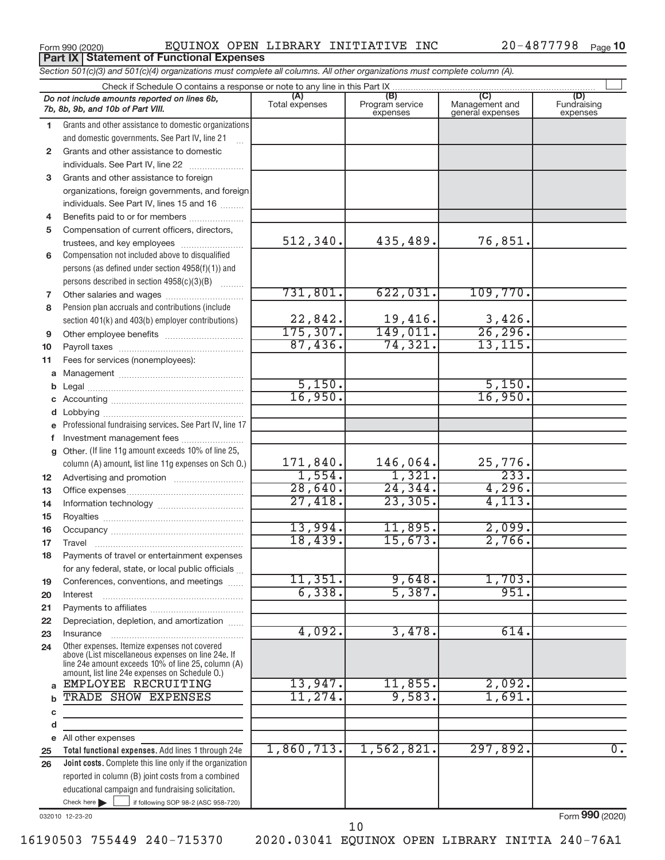**Part IX | Statement of Functional Expenses** 

Form 990 (2020) EQUINOX OPEN LIBRARY INITIATIVE INC 20-4877798 Page

|    | Section 501(c)(3) and 501(c)(4) organizations must complete all columns. All other organizations must complete column (A).                                                                                 |                       |                                    |                                           |                                |
|----|------------------------------------------------------------------------------------------------------------------------------------------------------------------------------------------------------------|-----------------------|------------------------------------|-------------------------------------------|--------------------------------|
|    | Check if Schedule O contains a response or note to any line in this Part IX                                                                                                                                |                       |                                    |                                           |                                |
|    | Do not include amounts reported on lines 6b,<br>7b, 8b, 9b, and 10b of Part VIII.                                                                                                                          | (A)<br>Total expenses | (B)<br>Program service<br>expenses | (C)<br>Management and<br>general expenses | (D)<br>Fundraising<br>expenses |
| 1. | Grants and other assistance to domestic organizations                                                                                                                                                      |                       |                                    |                                           |                                |
|    | and domestic governments. See Part IV, line 21                                                                                                                                                             |                       |                                    |                                           |                                |
| 2  | Grants and other assistance to domestic                                                                                                                                                                    |                       |                                    |                                           |                                |
|    | individuals. See Part IV, line 22                                                                                                                                                                          |                       |                                    |                                           |                                |
| 3  | Grants and other assistance to foreign                                                                                                                                                                     |                       |                                    |                                           |                                |
|    | organizations, foreign governments, and foreign                                                                                                                                                            |                       |                                    |                                           |                                |
|    | individuals. See Part IV, lines 15 and 16                                                                                                                                                                  |                       |                                    |                                           |                                |
| 4  | Benefits paid to or for members                                                                                                                                                                            |                       |                                    |                                           |                                |
| 5  | Compensation of current officers, directors,                                                                                                                                                               |                       |                                    |                                           |                                |
|    | trustees, and key employees                                                                                                                                                                                | 512, 340.             | 435,489.                           | 76,851.                                   |                                |
| 6  | Compensation not included above to disqualified                                                                                                                                                            |                       |                                    |                                           |                                |
|    | persons (as defined under section 4958(f)(1)) and                                                                                                                                                          |                       |                                    |                                           |                                |
|    | persons described in section 4958(c)(3)(B)                                                                                                                                                                 |                       |                                    |                                           |                                |
| 7  |                                                                                                                                                                                                            | 731,801.              | 622,031.                           | 109,770.                                  |                                |
| 8  | Pension plan accruals and contributions (include                                                                                                                                                           |                       |                                    |                                           |                                |
|    | section 401(k) and 403(b) employer contributions)                                                                                                                                                          | 22,842.               | 19,416.                            | 3,426.                                    |                                |
| 9  | Other employee benefits                                                                                                                                                                                    | 175, 307.             | 149,011.                           | 26, 296.                                  |                                |
| 10 |                                                                                                                                                                                                            | 87,436.               | 74,321.                            | 13, 115.                                  |                                |
| 11 | Fees for services (nonemployees):                                                                                                                                                                          |                       |                                    |                                           |                                |
|    |                                                                                                                                                                                                            |                       |                                    |                                           |                                |
| b  |                                                                                                                                                                                                            | 5,150.                |                                    | 5,150.                                    |                                |
|    |                                                                                                                                                                                                            | 16,950.               |                                    | 16,950.                                   |                                |
|    |                                                                                                                                                                                                            |                       |                                    |                                           |                                |
|    | Professional fundraising services. See Part IV, line 17                                                                                                                                                    |                       |                                    |                                           |                                |
| f  | Investment management fees                                                                                                                                                                                 |                       |                                    |                                           |                                |
| g  | Other. (If line 11g amount exceeds 10% of line 25,                                                                                                                                                         |                       |                                    |                                           |                                |
|    | column (A) amount, list line 11g expenses on Sch 0.)                                                                                                                                                       | 171,840.              | 146,064.                           | 25,776.                                   |                                |
| 12 |                                                                                                                                                                                                            | 1,554.                | 1,321.                             | 233.                                      |                                |
| 13 |                                                                                                                                                                                                            | 28,640.               | 24, 344.                           | 4,296.                                    |                                |
| 14 |                                                                                                                                                                                                            | 27,418.               | 23, 305.                           | 4,113.                                    |                                |
| 15 |                                                                                                                                                                                                            |                       |                                    |                                           |                                |
| 16 |                                                                                                                                                                                                            | 13,994.               | 11,895                             | 2,099.                                    |                                |
| 17 |                                                                                                                                                                                                            | 18,439.               | 15,673.                            | 2,766.                                    |                                |
|    | Payments of travel or entertainment expenses                                                                                                                                                               |                       |                                    |                                           |                                |
|    | for any federal, state, or local public officials                                                                                                                                                          |                       |                                    |                                           |                                |
| 19 | Conferences, conventions, and meetings                                                                                                                                                                     | 11,351.               | 9,648.                             | 1,703.                                    |                                |
| 20 | Interest                                                                                                                                                                                                   | 6,338.                | 5,387.                             | 951.                                      |                                |
| 21 |                                                                                                                                                                                                            |                       |                                    |                                           |                                |
| 22 | Depreciation, depletion, and amortization                                                                                                                                                                  | 4,092.                | 3,478.                             | 614.                                      |                                |
| 23 | Insurance                                                                                                                                                                                                  |                       |                                    |                                           |                                |
| 24 | Other expenses. Itemize expenses not covered<br>above (List miscellaneous expenses on line 24e. If<br>line 24e amount exceeds 10% of line 25, column (A)<br>amount, list line 24e expenses on Schedule O.) |                       |                                    |                                           |                                |
| a  | EMPLOYEE RECRUITING                                                                                                                                                                                        | 13,947.               | 11,855.                            | 2,092.                                    |                                |
| b  | TRADE SHOW EXPENSES                                                                                                                                                                                        | 11,274.               | 9,583.                             | 1,691.                                    |                                |
| c  |                                                                                                                                                                                                            |                       |                                    |                                           |                                |
| d  |                                                                                                                                                                                                            |                       |                                    |                                           |                                |
|    | e All other expenses                                                                                                                                                                                       |                       |                                    |                                           |                                |
| 25 | Total functional expenses. Add lines 1 through 24e                                                                                                                                                         | 1,860,713.            | 1,562,821.                         | 297,892.                                  | $\overline{0}$ .               |
| 26 | <b>Joint costs.</b> Complete this line only if the organization                                                                                                                                            |                       |                                    |                                           |                                |
|    | reported in column (B) joint costs from a combined                                                                                                                                                         |                       |                                    |                                           |                                |
|    | educational campaign and fundraising solicitation.                                                                                                                                                         |                       |                                    |                                           |                                |
|    | Check here $\blacktriangleright$<br>if following SOP 98-2 (ASC 958-720)                                                                                                                                    |                       |                                    |                                           |                                |

032010 12-23-20

Form (2020) **990**

10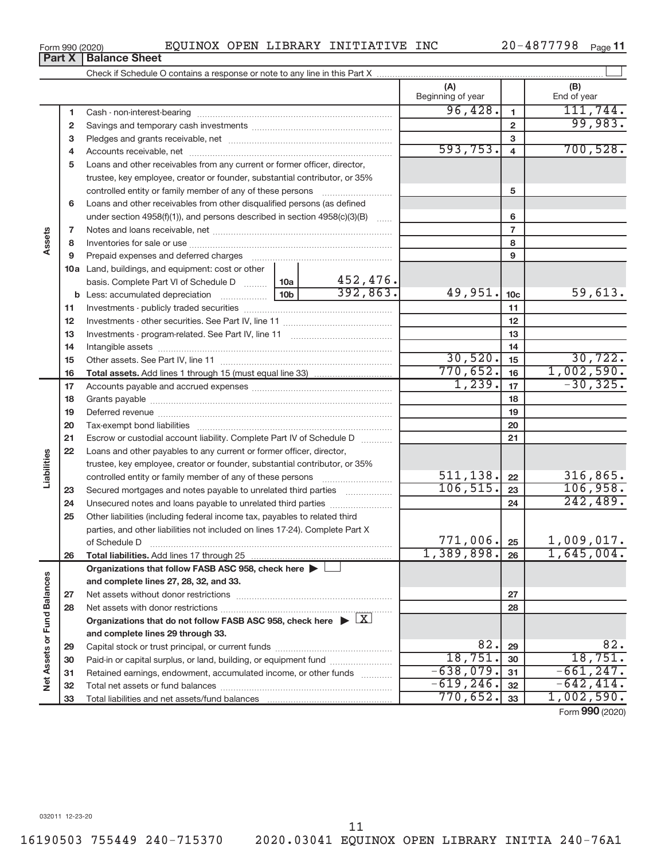16190503 755449 240-715370 2020.03041 EQUINOX OPEN LIBRARY INITIA 240-76A1

20-4877798 Page 11

|                             | <b>Part X</b> | <b>Balance Sheet</b>                                                                         |                                                   |
|-----------------------------|---------------|----------------------------------------------------------------------------------------------|---------------------------------------------------|
|                             |               |                                                                                              |                                                   |
|                             |               |                                                                                              | (A)<br>(B)<br>Beginning of year<br>End of year    |
|                             | 1             |                                                                                              | 96,428.<br>111,744.<br>1                          |
|                             | 2             |                                                                                              | 99,983.<br>$\mathbf{2}$                           |
|                             | з             |                                                                                              | 3                                                 |
|                             | 4             |                                                                                              | 700, 528.<br>593, 753.<br>4                       |
|                             | 5             | Loans and other receivables from any current or former officer, director,                    |                                                   |
|                             |               | trustee, key employee, creator or founder, substantial contributor, or 35%                   |                                                   |
|                             |               |                                                                                              | 5                                                 |
|                             | 6             | Loans and other receivables from other disqualified persons (as defined                      |                                                   |
|                             |               | under section $4958(f)(1)$ , and persons described in section $4958(c)(3)(B)$                | 6                                                 |
|                             | 7             |                                                                                              | 7                                                 |
| Assets                      | 8             |                                                                                              | 8                                                 |
|                             | 9             |                                                                                              | 9                                                 |
|                             |               | 10a Land, buildings, and equipment: cost or other                                            |                                                   |
|                             |               | basis. Complete Part VI of Schedule D<br>  10a                                               | 452,476.                                          |
|                             |               | 10 <sub>b</sub>                                                                              | 392,863.<br>49,951.<br>59,613.<br>10 <sub>c</sub> |
|                             | 11            |                                                                                              | 11                                                |
|                             | 12            |                                                                                              | 12                                                |
|                             | 13            |                                                                                              | 13                                                |
|                             | 14            |                                                                                              | 14                                                |
|                             | 15            |                                                                                              | 30,520.<br>30, 722.<br>15                         |
|                             | 16            |                                                                                              | 770,652.<br>1,002,590.<br>16                      |
|                             | 17            |                                                                                              | 1,239.<br>$-30, 325.$<br>17                       |
|                             | 18            |                                                                                              | 18                                                |
|                             | 19            |                                                                                              | 19                                                |
|                             | 20            |                                                                                              | 20                                                |
|                             | 21            | Escrow or custodial account liability. Complete Part IV of Schedule D                        | 21                                                |
|                             | 22            | Loans and other payables to any current or former officer, director,                         |                                                   |
|                             |               | trustee, key employee, creator or founder, substantial contributor, or 35%                   |                                                   |
| Liabilities                 |               | controlled entity or family member of any of these persons                                   | 511, 138.<br>316,865.<br>22                       |
|                             | 23            | Secured mortgages and notes payable to unrelated third parties                               | 106, 515.<br>106,958.<br>23                       |
|                             | 24            | Unsecured notes and loans payable to unrelated third parties                                 | 242,489.<br>24                                    |
|                             | 25            | Other liabilities (including federal income tax, payables to related third                   |                                                   |
|                             |               | parties, and other liabilities not included on lines 17-24). Complete Part X                 |                                                   |
|                             |               | of Schedule D                                                                                | 771,006.<br>$1,009,017$ .<br>25                   |
|                             | 26            | Total liabilities. Add lines 17 through 25                                                   | 1,389,898.<br>1,645,004.<br>26                    |
|                             |               | Organizations that follow FASB ASC 958, check here                                           |                                                   |
|                             |               | and complete lines 27, 28, 32, and 33.                                                       |                                                   |
|                             | 27            |                                                                                              | 27                                                |
|                             | 28            |                                                                                              | 28                                                |
|                             |               | Organizations that do not follow FASB ASC 958, check here $\triangleright \lfloor X \rfloor$ |                                                   |
|                             |               | and complete lines 29 through 33.                                                            |                                                   |
|                             | 29            |                                                                                              | 82.<br>82.<br>29<br>18,751<br>18,751.             |
| Net Assets or Fund Balances | 30            | Paid-in or capital surplus, or land, building, or equipment fund                             | 30<br>$-638,079.$<br>$-661, 247.$                 |
|                             | 31            | Retained earnings, endowment, accumulated income, or other funds                             | 31<br>$-642, 414.$<br>$-619, 246.$                |
|                             | 32            |                                                                                              | 32<br>770,652.<br>1,002,590.                      |
|                             | 33            |                                                                                              | 33                                                |

11

Form (2020) **990**

### Form 990 (2020) EQUINOX OPEN LIBRARY INITIATIVE INC 20-4877798 Page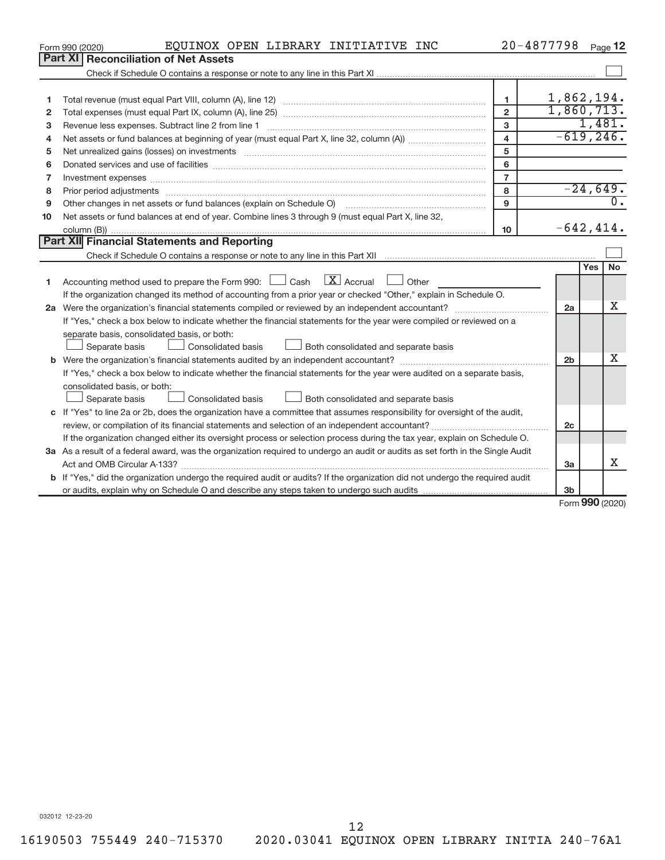|                                                                                                                                 | EQUINOX OPEN LIBRARY INITIATIVE INC<br>Form 990 (2020)                                                                               |                         | $20 - 4877798$ |     | Page 12                   |  |  |
|---------------------------------------------------------------------------------------------------------------------------------|--------------------------------------------------------------------------------------------------------------------------------------|-------------------------|----------------|-----|---------------------------|--|--|
|                                                                                                                                 | Part XI   Reconciliation of Net Assets                                                                                               |                         |                |     |                           |  |  |
|                                                                                                                                 |                                                                                                                                      |                         |                |     |                           |  |  |
|                                                                                                                                 |                                                                                                                                      |                         |                |     |                           |  |  |
| 1                                                                                                                               |                                                                                                                                      | $\mathbf{1}$            | 1,862,194.     |     |                           |  |  |
| 2                                                                                                                               |                                                                                                                                      | $\overline{2}$          | 1,860,713.     |     |                           |  |  |
| 3                                                                                                                               |                                                                                                                                      | 3                       |                |     | 1,481.                    |  |  |
| 4                                                                                                                               |                                                                                                                                      | $\overline{\mathbf{4}}$ | $-619, 246.$   |     |                           |  |  |
| 5                                                                                                                               | Net unrealized gains (losses) on investments [111] www.martime.com/marting.com/marting.com/marting.com/marting.                      | 5                       |                |     |                           |  |  |
| 6                                                                                                                               |                                                                                                                                      | 6                       |                |     |                           |  |  |
| 7                                                                                                                               | Investment expenses www.communication.com/www.communication.com/www.communication.com/www.com                                        | $\overline{7}$          |                |     |                           |  |  |
| 8                                                                                                                               |                                                                                                                                      | 8                       |                |     | $-24,649.$                |  |  |
| 9                                                                                                                               |                                                                                                                                      | 9                       |                |     | $\overline{0}$ .          |  |  |
| 10                                                                                                                              | Net assets or fund balances at end of year. Combine lines 3 through 9 (must equal Part X, line 32,                                   |                         |                |     |                           |  |  |
|                                                                                                                                 |                                                                                                                                      | 10                      | $-642, 414.$   |     |                           |  |  |
|                                                                                                                                 | Part XII Financial Statements and Reporting                                                                                          |                         |                |     |                           |  |  |
|                                                                                                                                 |                                                                                                                                      |                         |                |     |                           |  |  |
|                                                                                                                                 |                                                                                                                                      |                         |                | Yes | <b>No</b>                 |  |  |
| 1                                                                                                                               | Accounting method used to prepare the Form 990: $\Box$ Cash $\Box X$ Accrual<br>  Other                                              |                         |                |     |                           |  |  |
|                                                                                                                                 | If the organization changed its method of accounting from a prior year or checked "Other," explain in Schedule O.                    |                         |                |     |                           |  |  |
|                                                                                                                                 |                                                                                                                                      |                         | 2a             |     | X                         |  |  |
|                                                                                                                                 | If "Yes," check a box below to indicate whether the financial statements for the year were compiled or reviewed on a                 |                         |                |     |                           |  |  |
|                                                                                                                                 | separate basis, consolidated basis, or both:                                                                                         |                         |                |     |                           |  |  |
|                                                                                                                                 | Both consolidated and separate basis<br><b>Consolidated basis</b><br>Separate basis                                                  |                         |                |     |                           |  |  |
|                                                                                                                                 |                                                                                                                                      |                         | 2 <sub>b</sub> |     | x                         |  |  |
|                                                                                                                                 | If "Yes," check a box below to indicate whether the financial statements for the year were audited on a separate basis,              |                         |                |     |                           |  |  |
|                                                                                                                                 | consolidated basis, or both:                                                                                                         |                         |                |     |                           |  |  |
|                                                                                                                                 | Both consolidated and separate basis<br>Consolidated basis<br>Separate basis                                                         |                         |                |     |                           |  |  |
|                                                                                                                                 | c If "Yes" to line 2a or 2b, does the organization have a committee that assumes responsibility for oversight of the audit,          |                         |                |     |                           |  |  |
|                                                                                                                                 | review, or compilation of its financial statements and selection of an independent accountant?                                       |                         | 2 <sub>c</sub> |     |                           |  |  |
|                                                                                                                                 | If the organization changed either its oversight process or selection process during the tax year, explain on Schedule O.            |                         |                |     |                           |  |  |
| 3a As a result of a federal award, was the organization required to undergo an audit or audits as set forth in the Single Audit |                                                                                                                                      |                         |                |     |                           |  |  |
|                                                                                                                                 |                                                                                                                                      |                         | 3a             |     | X                         |  |  |
|                                                                                                                                 | <b>b</b> If "Yes," did the organization undergo the required audit or audits? If the organization did not undergo the required audit |                         |                |     |                           |  |  |
|                                                                                                                                 |                                                                                                                                      |                         | 3 <sub>b</sub> |     |                           |  |  |
|                                                                                                                                 |                                                                                                                                      |                         |                |     | $F_{\alpha r}$ QQO (2020) |  |  |

Form (2020) **990**

032012 12-23-20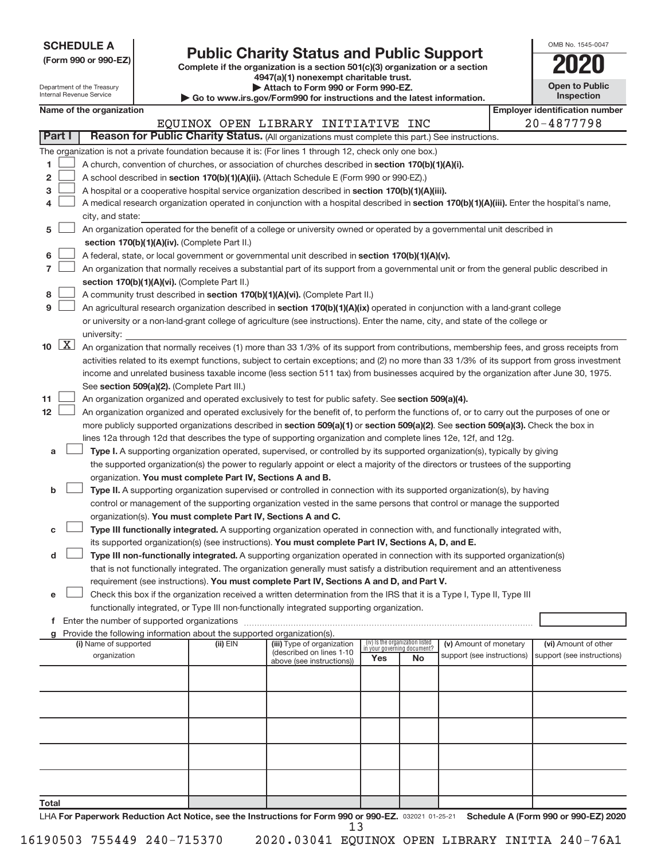| <b>SCHEDULE A</b> |  |
|-------------------|--|
|-------------------|--|

| (Form 990 or 990-EZ) |  |  |
|----------------------|--|--|
|                      |  |  |

**(Form 990 or 990-EZ) Complete if the organization is a section 501(c)(3) organization or a section Public Charity Status and Public Support**<br> **Addition** is a section 501(c)(3) organization or a section<br>  $\frac{4947(a)(1)$  nonexempt charitable trust.

| OMB No. 1545-0047     |
|-----------------------|
| 2020                  |
| <b>Open to Public</b> |

| Department of the Treasury<br>Internal Revenue Service |                     |                          |                                               | <del>ove</del> r (a) Truncaempt chantable trust.<br>Attach to Form 990 or Form 990-EZ.<br>$\blacktriangleright$ Go to www.irs.gov/Form990 for instructions and the latest information. | <b>Open to Public</b><br><b>Inspection</b>                                                                                                                                                                                       |                                 |                             |                            |  |                                       |
|--------------------------------------------------------|---------------------|--------------------------|-----------------------------------------------|----------------------------------------------------------------------------------------------------------------------------------------------------------------------------------------|----------------------------------------------------------------------------------------------------------------------------------------------------------------------------------------------------------------------------------|---------------------------------|-----------------------------|----------------------------|--|---------------------------------------|
|                                                        |                     | Name of the organization |                                               |                                                                                                                                                                                        |                                                                                                                                                                                                                                  |                                 |                             |                            |  | <b>Employer identification number</b> |
|                                                        |                     |                          |                                               |                                                                                                                                                                                        | EQUINOX OPEN LIBRARY INITIATIVE INC                                                                                                                                                                                              |                                 |                             |                            |  | 20-4877798                            |
| <b>Part I</b>                                          |                     |                          |                                               |                                                                                                                                                                                        | Reason for Public Charity Status. (All organizations must complete this part.) See instructions.                                                                                                                                 |                                 |                             |                            |  |                                       |
|                                                        |                     |                          |                                               |                                                                                                                                                                                        | The organization is not a private foundation because it is: (For lines 1 through 12, check only one box.)                                                                                                                        |                                 |                             |                            |  |                                       |
| 1                                                      |                     |                          |                                               |                                                                                                                                                                                        | A church, convention of churches, or association of churches described in section 170(b)(1)(A)(i).                                                                                                                               |                                 |                             |                            |  |                                       |
| 2                                                      |                     |                          |                                               |                                                                                                                                                                                        | A school described in section 170(b)(1)(A)(ii). (Attach Schedule E (Form 990 or 990-EZ).)                                                                                                                                        |                                 |                             |                            |  |                                       |
| 3                                                      |                     |                          |                                               |                                                                                                                                                                                        | A hospital or a cooperative hospital service organization described in section 170(b)(1)(A)(iii).                                                                                                                                |                                 |                             |                            |  |                                       |
|                                                        |                     |                          |                                               |                                                                                                                                                                                        | A medical research organization operated in conjunction with a hospital described in section 170(b)(1)(A)(iii). Enter the hospital's name,                                                                                       |                                 |                             |                            |  |                                       |
|                                                        |                     | city, and state:         |                                               |                                                                                                                                                                                        |                                                                                                                                                                                                                                  |                                 |                             |                            |  |                                       |
| 5                                                      |                     |                          |                                               |                                                                                                                                                                                        | An organization operated for the benefit of a college or university owned or operated by a governmental unit described in                                                                                                        |                                 |                             |                            |  |                                       |
|                                                        |                     |                          |                                               | section 170(b)(1)(A)(iv). (Complete Part II.)                                                                                                                                          |                                                                                                                                                                                                                                  |                                 |                             |                            |  |                                       |
| 6                                                      |                     |                          |                                               |                                                                                                                                                                                        | A federal, state, or local government or governmental unit described in section 170(b)(1)(A)(v).                                                                                                                                 |                                 |                             |                            |  |                                       |
| 7                                                      |                     |                          |                                               |                                                                                                                                                                                        | An organization that normally receives a substantial part of its support from a governmental unit or from the general public described in                                                                                        |                                 |                             |                            |  |                                       |
|                                                        |                     |                          |                                               | section 170(b)(1)(A)(vi). (Complete Part II.)                                                                                                                                          |                                                                                                                                                                                                                                  |                                 |                             |                            |  |                                       |
| 8                                                      |                     |                          |                                               |                                                                                                                                                                                        | A community trust described in section 170(b)(1)(A)(vi). (Complete Part II.)                                                                                                                                                     |                                 |                             |                            |  |                                       |
| 9                                                      |                     |                          |                                               |                                                                                                                                                                                        | An agricultural research organization described in section 170(b)(1)(A)(ix) operated in conjunction with a land-grant college                                                                                                    |                                 |                             |                            |  |                                       |
|                                                        |                     |                          |                                               |                                                                                                                                                                                        | or university or a non-land-grant college of agriculture (see instructions). Enter the name, city, and state of the college or                                                                                                   |                                 |                             |                            |  |                                       |
|                                                        |                     | university:              |                                               |                                                                                                                                                                                        |                                                                                                                                                                                                                                  |                                 |                             |                            |  |                                       |
| 10                                                     | $\lfloor x \rfloor$ |                          |                                               |                                                                                                                                                                                        | An organization that normally receives (1) more than 33 1/3% of its support from contributions, membership fees, and gross receipts from                                                                                         |                                 |                             |                            |  |                                       |
|                                                        |                     |                          |                                               |                                                                                                                                                                                        | activities related to its exempt functions, subject to certain exceptions; and (2) no more than 33 1/3% of its support from gross investment                                                                                     |                                 |                             |                            |  |                                       |
|                                                        |                     |                          |                                               |                                                                                                                                                                                        | income and unrelated business taxable income (less section 511 tax) from businesses acquired by the organization after June 30, 1975.                                                                                            |                                 |                             |                            |  |                                       |
|                                                        |                     |                          |                                               | See section 509(a)(2). (Complete Part III.)                                                                                                                                            |                                                                                                                                                                                                                                  |                                 |                             |                            |  |                                       |
| 11                                                     |                     |                          |                                               |                                                                                                                                                                                        | An organization organized and operated exclusively to test for public safety. See section 509(a)(4).                                                                                                                             |                                 |                             |                            |  |                                       |
| 12                                                     |                     |                          |                                               |                                                                                                                                                                                        | An organization organized and operated exclusively for the benefit of, to perform the functions of, or to carry out the purposes of one or                                                                                       |                                 |                             |                            |  |                                       |
|                                                        |                     |                          |                                               |                                                                                                                                                                                        | more publicly supported organizations described in section 509(a)(1) or section 509(a)(2). See section 509(a)(3). Check the box in                                                                                               |                                 |                             |                            |  |                                       |
|                                                        |                     |                          |                                               |                                                                                                                                                                                        | lines 12a through 12d that describes the type of supporting organization and complete lines 12e, 12f, and 12g.                                                                                                                   |                                 |                             |                            |  |                                       |
| a                                                      |                     |                          |                                               |                                                                                                                                                                                        | Type I. A supporting organization operated, supervised, or controlled by its supported organization(s), typically by giving                                                                                                      |                                 |                             |                            |  |                                       |
|                                                        |                     |                          |                                               |                                                                                                                                                                                        | the supported organization(s) the power to regularly appoint or elect a majority of the directors or trustees of the supporting                                                                                                  |                                 |                             |                            |  |                                       |
|                                                        |                     |                          |                                               | organization. You must complete Part IV, Sections A and B.                                                                                                                             |                                                                                                                                                                                                                                  |                                 |                             |                            |  |                                       |
| b                                                      |                     |                          |                                               |                                                                                                                                                                                        | Type II. A supporting organization supervised or controlled in connection with its supported organization(s), by having                                                                                                          |                                 |                             |                            |  |                                       |
|                                                        |                     |                          |                                               |                                                                                                                                                                                        | control or management of the supporting organization vested in the same persons that control or manage the supported                                                                                                             |                                 |                             |                            |  |                                       |
|                                                        |                     |                          |                                               | organization(s). You must complete Part IV, Sections A and C.                                                                                                                          |                                                                                                                                                                                                                                  |                                 |                             |                            |  |                                       |
| c                                                      |                     |                          |                                               |                                                                                                                                                                                        | Type III functionally integrated. A supporting organization operated in connection with, and functionally integrated with,<br>its supported organization(s) (see instructions). You must complete Part IV, Sections A, D, and E. |                                 |                             |                            |  |                                       |
| d                                                      |                     |                          |                                               |                                                                                                                                                                                        | Type III non-functionally integrated. A supporting organization operated in connection with its supported organization(s)                                                                                                        |                                 |                             |                            |  |                                       |
|                                                        |                     |                          |                                               |                                                                                                                                                                                        | that is not functionally integrated. The organization generally must satisfy a distribution requirement and an attentiveness                                                                                                     |                                 |                             |                            |  |                                       |
|                                                        |                     |                          |                                               |                                                                                                                                                                                        | requirement (see instructions). You must complete Part IV, Sections A and D, and Part V.                                                                                                                                         |                                 |                             |                            |  |                                       |
| e                                                      |                     |                          |                                               |                                                                                                                                                                                        | Check this box if the organization received a written determination from the IRS that it is a Type I, Type II, Type III                                                                                                          |                                 |                             |                            |  |                                       |
|                                                        |                     |                          |                                               |                                                                                                                                                                                        | functionally integrated, or Type III non-functionally integrated supporting organization.                                                                                                                                        |                                 |                             |                            |  |                                       |
|                                                        |                     |                          | f Enter the number of supported organizations |                                                                                                                                                                                        |                                                                                                                                                                                                                                  |                                 |                             |                            |  |                                       |
|                                                        |                     |                          |                                               | g Provide the following information about the supported organization(s).                                                                                                               |                                                                                                                                                                                                                                  |                                 |                             |                            |  |                                       |
|                                                        |                     | (i) Name of supported    |                                               | (ii) EIN                                                                                                                                                                               | (iii) Type of organization                                                                                                                                                                                                       | (iv) Is the organization listed | in your governing document? | (v) Amount of monetary     |  | (vi) Amount of other                  |
|                                                        |                     | organization             |                                               |                                                                                                                                                                                        | (described on lines 1-10<br>above (see instructions))                                                                                                                                                                            | Yes                             | No.                         | support (see instructions) |  | support (see instructions)            |
|                                                        |                     |                          |                                               |                                                                                                                                                                                        |                                                                                                                                                                                                                                  |                                 |                             |                            |  |                                       |
|                                                        |                     |                          |                                               |                                                                                                                                                                                        |                                                                                                                                                                                                                                  |                                 |                             |                            |  |                                       |
|                                                        |                     |                          |                                               |                                                                                                                                                                                        |                                                                                                                                                                                                                                  |                                 |                             |                            |  |                                       |
|                                                        |                     |                          |                                               |                                                                                                                                                                                        |                                                                                                                                                                                                                                  |                                 |                             |                            |  |                                       |
|                                                        |                     |                          |                                               |                                                                                                                                                                                        |                                                                                                                                                                                                                                  |                                 |                             |                            |  |                                       |
|                                                        |                     |                          |                                               |                                                                                                                                                                                        |                                                                                                                                                                                                                                  |                                 |                             |                            |  |                                       |
|                                                        |                     |                          |                                               |                                                                                                                                                                                        |                                                                                                                                                                                                                                  |                                 |                             |                            |  |                                       |
|                                                        |                     |                          |                                               |                                                                                                                                                                                        |                                                                                                                                                                                                                                  |                                 |                             |                            |  |                                       |
|                                                        |                     |                          |                                               |                                                                                                                                                                                        |                                                                                                                                                                                                                                  |                                 |                             |                            |  |                                       |
| Total                                                  |                     |                          |                                               |                                                                                                                                                                                        |                                                                                                                                                                                                                                  |                                 |                             |                            |  |                                       |

LHA For Paperwork Reduction Act Notice, see the Instructions for Form 990 or 990-EZ. 032021 01-25-21 Schedule A (Form 990 or 990-EZ) 2020 13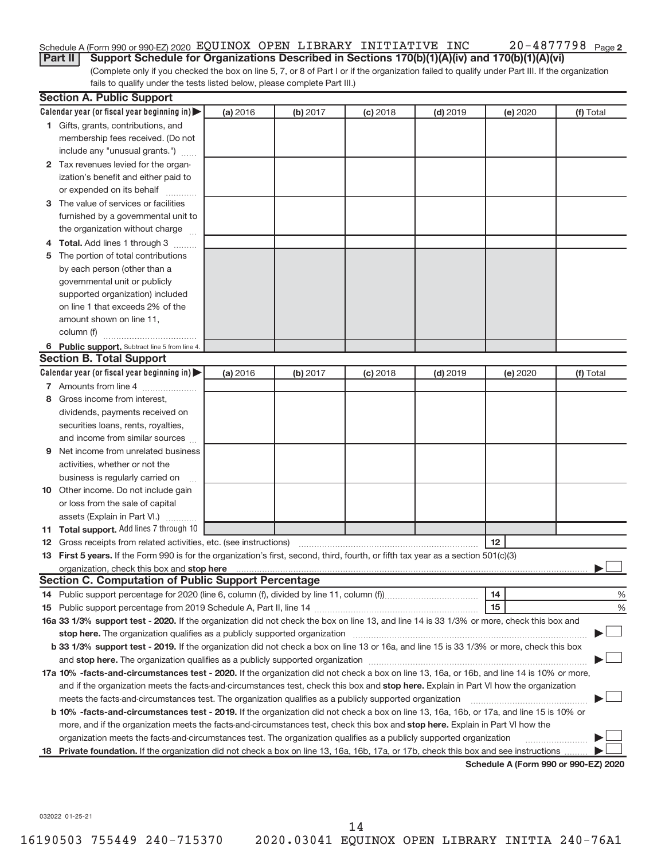#### 20-4877798 Page 2 Schedule A (Form 990 or 990-EZ) 2020  $\,$  EQUINOX  $\,$  OPEN <code>LIBRARY INITIATIVE</code> <code>INC</code>  $\,$  <code>20–4877798</code> <code> Page</code>

(Complete only if you checked the box on line 5, 7, or 8 of Part I or if the organization failed to qualify under Part III. If the organization fails to qualify under the tests listed below, please complete Part III.) **Part II** Support Schedule for Organizations Described in Sections 170(b)(1)(A)(iv) and 170(b)(1)(A)(vi)

|   | <b>Section A. Public Support</b>                                                                                                                                                                                               |          |          |            |            |          |                                      |
|---|--------------------------------------------------------------------------------------------------------------------------------------------------------------------------------------------------------------------------------|----------|----------|------------|------------|----------|--------------------------------------|
|   | Calendar year (or fiscal year beginning in)                                                                                                                                                                                    | (a) 2016 | (b) 2017 | $(c)$ 2018 | $(d)$ 2019 | (e) 2020 | (f) Total                            |
|   | 1 Gifts, grants, contributions, and                                                                                                                                                                                            |          |          |            |            |          |                                      |
|   | membership fees received. (Do not                                                                                                                                                                                              |          |          |            |            |          |                                      |
|   | include any "unusual grants.")                                                                                                                                                                                                 |          |          |            |            |          |                                      |
|   | 2 Tax revenues levied for the organ-                                                                                                                                                                                           |          |          |            |            |          |                                      |
|   | ization's benefit and either paid to                                                                                                                                                                                           |          |          |            |            |          |                                      |
|   | or expended on its behalf                                                                                                                                                                                                      |          |          |            |            |          |                                      |
|   | 3 The value of services or facilities                                                                                                                                                                                          |          |          |            |            |          |                                      |
|   | furnished by a governmental unit to                                                                                                                                                                                            |          |          |            |            |          |                                      |
|   | the organization without charge                                                                                                                                                                                                |          |          |            |            |          |                                      |
|   | 4 Total. Add lines 1 through 3                                                                                                                                                                                                 |          |          |            |            |          |                                      |
| 5 | The portion of total contributions                                                                                                                                                                                             |          |          |            |            |          |                                      |
|   | by each person (other than a                                                                                                                                                                                                   |          |          |            |            |          |                                      |
|   | governmental unit or publicly                                                                                                                                                                                                  |          |          |            |            |          |                                      |
|   | supported organization) included                                                                                                                                                                                               |          |          |            |            |          |                                      |
|   | on line 1 that exceeds 2% of the                                                                                                                                                                                               |          |          |            |            |          |                                      |
|   | amount shown on line 11,                                                                                                                                                                                                       |          |          |            |            |          |                                      |
|   | column (f)                                                                                                                                                                                                                     |          |          |            |            |          |                                      |
|   | 6 Public support. Subtract line 5 from line 4.                                                                                                                                                                                 |          |          |            |            |          |                                      |
|   | <b>Section B. Total Support</b>                                                                                                                                                                                                |          |          |            |            |          |                                      |
|   | Calendar year (or fiscal year beginning in)                                                                                                                                                                                    | (a) 2016 | (b) 2017 | $(c)$ 2018 | $(d)$ 2019 | (e) 2020 | (f) Total                            |
|   | 7 Amounts from line 4                                                                                                                                                                                                          |          |          |            |            |          |                                      |
| 8 | Gross income from interest.                                                                                                                                                                                                    |          |          |            |            |          |                                      |
|   | dividends, payments received on                                                                                                                                                                                                |          |          |            |            |          |                                      |
|   | securities loans, rents, royalties,                                                                                                                                                                                            |          |          |            |            |          |                                      |
|   | and income from similar sources                                                                                                                                                                                                |          |          |            |            |          |                                      |
| 9 | Net income from unrelated business                                                                                                                                                                                             |          |          |            |            |          |                                      |
|   | activities, whether or not the                                                                                                                                                                                                 |          |          |            |            |          |                                      |
|   | business is regularly carried on                                                                                                                                                                                               |          |          |            |            |          |                                      |
|   | 10 Other income. Do not include gain                                                                                                                                                                                           |          |          |            |            |          |                                      |
|   | or loss from the sale of capital                                                                                                                                                                                               |          |          |            |            |          |                                      |
|   | assets (Explain in Part VI.)                                                                                                                                                                                                   |          |          |            |            |          |                                      |
|   | 11 Total support. Add lines 7 through 10                                                                                                                                                                                       |          |          |            |            |          |                                      |
|   |                                                                                                                                                                                                                                |          |          |            |            | 12       |                                      |
|   | 13 First 5 years. If the Form 990 is for the organization's first, second, third, fourth, or fifth tax year as a section 501(c)(3)                                                                                             |          |          |            |            |          |                                      |
|   |                                                                                                                                                                                                                                |          |          |            |            |          |                                      |
|   | <b>Section C. Computation of Public Support Percentage</b>                                                                                                                                                                     |          |          |            |            |          |                                      |
|   |                                                                                                                                                                                                                                |          |          |            |            | 14       | %                                    |
|   |                                                                                                                                                                                                                                |          |          |            |            | 15       | %                                    |
|   | 16a 33 1/3% support test - 2020. If the organization did not check the box on line 13, and line 14 is 33 1/3% or more, check this box and                                                                                      |          |          |            |            |          |                                      |
|   | stop here. The organization qualifies as a publicly supported organization manufactured content and the support of the state of the state of the state of the state of the state of the state of the state of the state of the |          |          |            |            |          |                                      |
|   | b 33 1/3% support test - 2019. If the organization did not check a box on line 13 or 16a, and line 15 is 33 1/3% or more, check this box                                                                                       |          |          |            |            |          |                                      |
|   |                                                                                                                                                                                                                                |          |          |            |            |          |                                      |
|   | 17a 10% -facts-and-circumstances test - 2020. If the organization did not check a box on line 13, 16a, or 16b, and line 14 is 10% or more,                                                                                     |          |          |            |            |          |                                      |
|   | and if the organization meets the facts-and-circumstances test, check this box and stop here. Explain in Part VI how the organization                                                                                          |          |          |            |            |          |                                      |
|   | meets the facts-and-circumstances test. The organization qualifies as a publicly supported organization                                                                                                                        |          |          |            |            |          |                                      |
|   | b 10% -facts-and-circumstances test - 2019. If the organization did not check a box on line 13, 16a, 16b, or 17a, and line 15 is 10% or                                                                                        |          |          |            |            |          |                                      |
|   | more, and if the organization meets the facts-and-circumstances test, check this box and stop here. Explain in Part VI how the                                                                                                 |          |          |            |            |          |                                      |
|   | organization meets the facts-and-circumstances test. The organization qualifies as a publicly supported organization                                                                                                           |          |          |            |            |          |                                      |
|   | 18 Private foundation. If the organization did not check a box on line 13, 16a, 16b, 17a, or 17b, check this box and see instructions                                                                                          |          |          |            |            |          |                                      |
|   |                                                                                                                                                                                                                                |          |          |            |            |          | Schodule A (Form 000 or 000 F7) 2020 |

**Schedule A (Form 990 or 990-EZ) 2020**

032022 01-25-21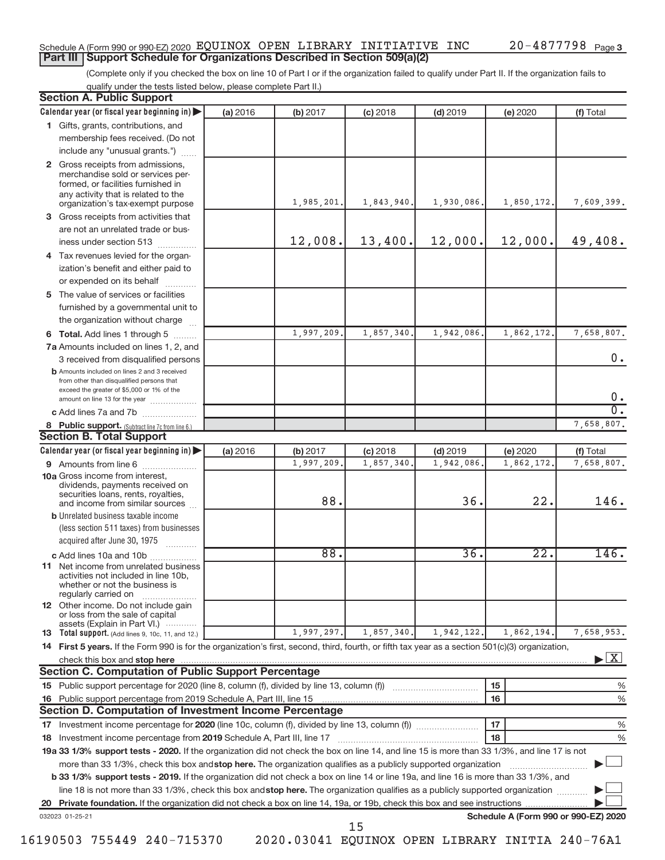#### Schedule A (Form 990 or 990-EZ) 2020  $\,$  EQUINOX  $\,$  OPEN <code>LIBRARY INITIATIVE</code> <code>INC</code>  $\,$  <code>20–4877798</code> <code> Page</code> **Part III | Support Schedule for Organizations Described in Section 509(a)(2)**

(Complete only if you checked the box on line 10 of Part I or if the organization failed to qualify under Part II. If the organization fails to qualify under the tests listed below, please complete Part II.)

| <b>Section A. Public Support</b>                                                                                                                                                                                                                                                     |          |            |            |            |                                      |                                   |
|--------------------------------------------------------------------------------------------------------------------------------------------------------------------------------------------------------------------------------------------------------------------------------------|----------|------------|------------|------------|--------------------------------------|-----------------------------------|
| Calendar year (or fiscal year beginning in)                                                                                                                                                                                                                                          | (a) 2016 | (b) 2017   | $(c)$ 2018 | $(d)$ 2019 | (e) 2020                             | (f) Total                         |
| 1 Gifts, grants, contributions, and                                                                                                                                                                                                                                                  |          |            |            |            |                                      |                                   |
| membership fees received. (Do not                                                                                                                                                                                                                                                    |          |            |            |            |                                      |                                   |
| include any "unusual grants.")                                                                                                                                                                                                                                                       |          |            |            |            |                                      |                                   |
| 2 Gross receipts from admissions,<br>merchandise sold or services per-<br>formed, or facilities furnished in<br>any activity that is related to the<br>organization's tax-exempt purpose                                                                                             |          | 1,985,201. | 1,843,940. | 1,930,086. | 1,850,172.                           | 7,609,399.                        |
| 3 Gross receipts from activities that                                                                                                                                                                                                                                                |          |            |            |            |                                      |                                   |
| are not an unrelated trade or bus-                                                                                                                                                                                                                                                   |          |            |            |            |                                      |                                   |
| iness under section 513                                                                                                                                                                                                                                                              |          | 12,008.    | 13,400.    | 12,000.    | 12,000.                              | 49,408.                           |
| 4 Tax revenues levied for the organ-                                                                                                                                                                                                                                                 |          |            |            |            |                                      |                                   |
| ization's benefit and either paid to<br>or expended on its behalf<br>.                                                                                                                                                                                                               |          |            |            |            |                                      |                                   |
| 5 The value of services or facilities                                                                                                                                                                                                                                                |          |            |            |            |                                      |                                   |
| furnished by a governmental unit to<br>the organization without charge                                                                                                                                                                                                               |          |            |            |            |                                      |                                   |
| 6 Total. Add lines 1 through 5                                                                                                                                                                                                                                                       |          | 1,997,209. | 1,857,340  | 1,942,086  | 1,862,172.                           | 7,658,807.                        |
| 7a Amounts included on lines 1, 2, and                                                                                                                                                                                                                                               |          |            |            |            |                                      |                                   |
| 3 received from disqualified persons                                                                                                                                                                                                                                                 |          |            |            |            |                                      | 0.                                |
| <b>b</b> Amounts included on lines 2 and 3 received<br>from other than disqualified persons that<br>exceed the greater of \$5,000 or 1% of the                                                                                                                                       |          |            |            |            |                                      | 0.                                |
| amount on line 13 for the year<br>c Add lines 7a and 7b                                                                                                                                                                                                                              |          |            |            |            |                                      | σ.                                |
|                                                                                                                                                                                                                                                                                      |          |            |            |            |                                      | 7,658,807.                        |
| 8 Public support. (Subtract line 7c from line 6.)<br><b>Section B. Total Support</b>                                                                                                                                                                                                 |          |            |            |            |                                      |                                   |
| Calendar year (or fiscal year beginning in)                                                                                                                                                                                                                                          | (a) 2016 | (b) 2017   | $(c)$ 2018 | $(d)$ 2019 | (e) 2020                             | (f) Total                         |
| 9 Amounts from line 6                                                                                                                                                                                                                                                                |          | 1,997,209. | 1,857,340  | 1,942,086  | 1,862,172.                           | 7,658,807.                        |
| <b>10a</b> Gross income from interest,<br>dividends, payments received on<br>securities loans, rents, royalties,                                                                                                                                                                     |          | 88.        |            | 36.        | 22.                                  | 146.                              |
| and income from similar sources<br><b>b</b> Unrelated business taxable income                                                                                                                                                                                                        |          |            |            |            |                                      |                                   |
| (less section 511 taxes) from businesses<br>acquired after June 30, 1975                                                                                                                                                                                                             |          |            |            |            |                                      |                                   |
| c Add lines 10a and 10b                                                                                                                                                                                                                                                              |          | 88.        |            | 36.        | $\overline{22}$ .                    | 146.                              |
| <b>11</b> Net income from unrelated business<br>activities not included in line 10b,<br>whether or not the business is<br>regularly carried on                                                                                                                                       |          |            |            |            |                                      |                                   |
| 12 Other income. Do not include gain<br>or loss from the sale of capital<br>assets (Explain in Part VI.)                                                                                                                                                                             |          |            |            |            |                                      |                                   |
| <b>13</b> Total support. (Add lines 9, 10c, 11, and 12.)                                                                                                                                                                                                                             |          | 1,997,297. | 1,857,340. | 1,942,122. | 1,862,194.                           | 7,658,953.                        |
| 14 First 5 years. If the Form 990 is for the organization's first, second, third, fourth, or fifth tax year as a section 501(c)(3) organization,                                                                                                                                     |          |            |            |            |                                      |                                   |
| check this box and stop here contain and contain and contain and stop here contained the box and stop here contained and stop here contained and stop here contained and stop here contained and stop here contained and stop<br>Section C. Computation of Public Support Percentage |          |            |            |            |                                      | $\blacktriangleright$ $\lfloor$ X |
|                                                                                                                                                                                                                                                                                      |          |            |            |            | 15                                   | %                                 |
|                                                                                                                                                                                                                                                                                      |          |            |            |            | 16                                   | %                                 |
| Section D. Computation of Investment Income Percentage                                                                                                                                                                                                                               |          |            |            |            |                                      |                                   |
| 17 Investment income percentage for 2020 (line 10c, column (f), divided by line 13, column (f))                                                                                                                                                                                      |          |            |            |            | 17                                   | %                                 |
| 18 Investment income percentage from 2019 Schedule A, Part III, line 17                                                                                                                                                                                                              |          |            |            |            | 18                                   | %                                 |
| 19a 33 1/3% support tests - 2020. If the organization did not check the box on line 14, and line 15 is more than 33 1/3%, and line 17 is not                                                                                                                                         |          |            |            |            |                                      |                                   |
| more than 33 1/3%, check this box and stop here. The organization qualifies as a publicly supported organization                                                                                                                                                                     |          |            |            |            |                                      |                                   |
| b 33 1/3% support tests - 2019. If the organization did not check a box on line 14 or line 19a, and line 16 is more than 33 1/3%, and                                                                                                                                                |          |            |            |            |                                      |                                   |
| line 18 is not more than 33 1/3%, check this box and stop here. The organization qualifies as a publicly supported organization                                                                                                                                                      |          |            |            |            |                                      |                                   |
|                                                                                                                                                                                                                                                                                      |          |            |            |            |                                      |                                   |
| 032023 01-25-21                                                                                                                                                                                                                                                                      |          |            |            |            | Schedule A (Form 990 or 990-EZ) 2020 |                                   |
|                                                                                                                                                                                                                                                                                      |          |            | 15         |            |                                      |                                   |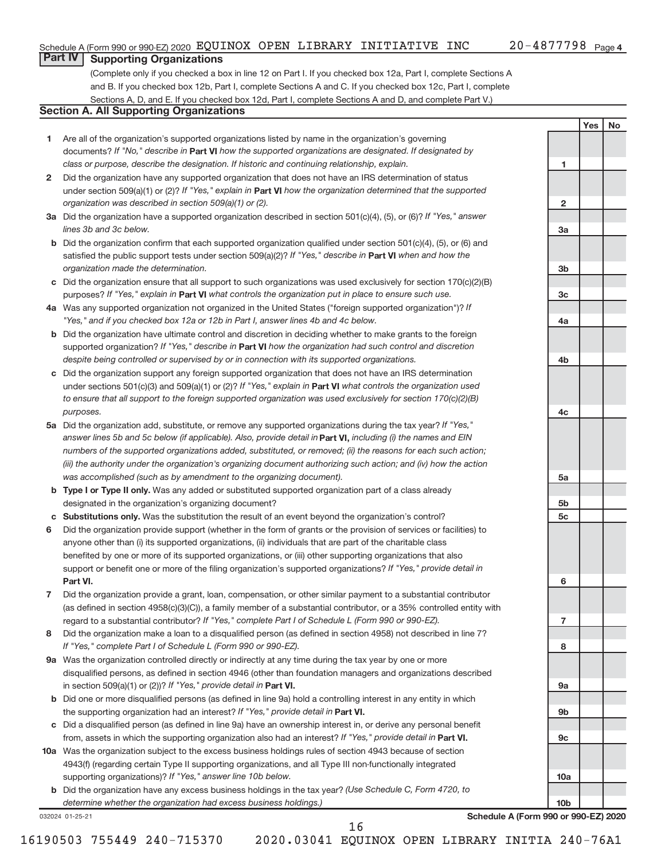**1**

**2**

**3a**

**3b**

**3c**

**4a**

**4b**

**4c**

**5a**

**5b 5c**

**6**

**7**

**8**

**9a**

**9b**

**9c**

**10a**

**10b**

**Yes No**

## **Part IV Supporting Organizations**

(Complete only if you checked a box in line 12 on Part I. If you checked box 12a, Part I, complete Sections A and B. If you checked box 12b, Part I, complete Sections A and C. If you checked box 12c, Part I, complete Sections A, D, and E. If you checked box 12d, Part I, complete Sections A and D, and complete Part V.)

### **Section A. All Supporting Organizations**

- **1** Are all of the organization's supported organizations listed by name in the organization's governing documents? If "No," describe in Part VI how the supported organizations are designated. If designated by *class or purpose, describe the designation. If historic and continuing relationship, explain.*
- **2** Did the organization have any supported organization that does not have an IRS determination of status under section 509(a)(1) or (2)? If "Yes," explain in Part **VI** how the organization determined that the supported *organization was described in section 509(a)(1) or (2).*
- **3a** Did the organization have a supported organization described in section 501(c)(4), (5), or (6)? If "Yes," answer *lines 3b and 3c below.*
- **b** Did the organization confirm that each supported organization qualified under section 501(c)(4), (5), or (6) and satisfied the public support tests under section 509(a)(2)? If "Yes," describe in Part VI when and how the *organization made the determination.*
- **c** Did the organization ensure that all support to such organizations was used exclusively for section 170(c)(2)(B) purposes? If "Yes," explain in Part VI what controls the organization put in place to ensure such use.
- **4 a** *If* Was any supported organization not organized in the United States ("foreign supported organization")? *"Yes," and if you checked box 12a or 12b in Part I, answer lines 4b and 4c below.*
- **b** Did the organization have ultimate control and discretion in deciding whether to make grants to the foreign supported organization? If "Yes," describe in Part VI how the organization had such control and discretion *despite being controlled or supervised by or in connection with its supported organizations.*
- **c** Did the organization support any foreign supported organization that does not have an IRS determination under sections 501(c)(3) and 509(a)(1) or (2)? If "Yes," explain in Part VI what controls the organization used *to ensure that all support to the foreign supported organization was used exclusively for section 170(c)(2)(B) purposes.*
- **5a** Did the organization add, substitute, or remove any supported organizations during the tax year? If "Yes," answer lines 5b and 5c below (if applicable). Also, provide detail in **Part VI,** including (i) the names and EIN *numbers of the supported organizations added, substituted, or removed; (ii) the reasons for each such action; (iii) the authority under the organization's organizing document authorizing such action; and (iv) how the action was accomplished (such as by amendment to the organizing document).*
- **b** Type I or Type II only. Was any added or substituted supported organization part of a class already designated in the organization's organizing document?
- **c Substitutions only.**  Was the substitution the result of an event beyond the organization's control?
- **6** Did the organization provide support (whether in the form of grants or the provision of services or facilities) to **Part VI.** support or benefit one or more of the filing organization's supported organizations? If "Yes," provide detail in anyone other than (i) its supported organizations, (ii) individuals that are part of the charitable class benefited by one or more of its supported organizations, or (iii) other supporting organizations that also
- **7** Did the organization provide a grant, loan, compensation, or other similar payment to a substantial contributor regard to a substantial contributor? If "Yes," complete Part I of Schedule L (Form 990 or 990-EZ). (as defined in section 4958(c)(3)(C)), a family member of a substantial contributor, or a 35% controlled entity with
- **8** Did the organization make a loan to a disqualified person (as defined in section 4958) not described in line 7? *If "Yes," complete Part I of Schedule L (Form 990 or 990-EZ).*
- **9 a** Was the organization controlled directly or indirectly at any time during the tax year by one or more in section 509(a)(1) or (2))? If "Yes," provide detail in **Part VI.** disqualified persons, as defined in section 4946 (other than foundation managers and organizations described
- **b** Did one or more disqualified persons (as defined in line 9a) hold a controlling interest in any entity in which the supporting organization had an interest? If "Yes," provide detail in Part VI.
- **c** Did a disqualified person (as defined in line 9a) have an ownership interest in, or derive any personal benefit from, assets in which the supporting organization also had an interest? If "Yes," provide detail in Part VI.
- **10 a** Was the organization subject to the excess business holdings rules of section 4943 because of section supporting organizations)? If "Yes," answer line 10b below. 4943(f) (regarding certain Type II supporting organizations, and all Type III non-functionally integrated
	- **b** Did the organization have any excess business holdings in the tax year? (Use Schedule C, Form 4720, to *determine whether the organization had excess business holdings.)*

032024 01-25-21

**Schedule A (Form 990 or 990-EZ) 2020**

16190503 755449 240-715370 2020.03041 EQUINOX OPEN LIBRARY INITIA 240-76A1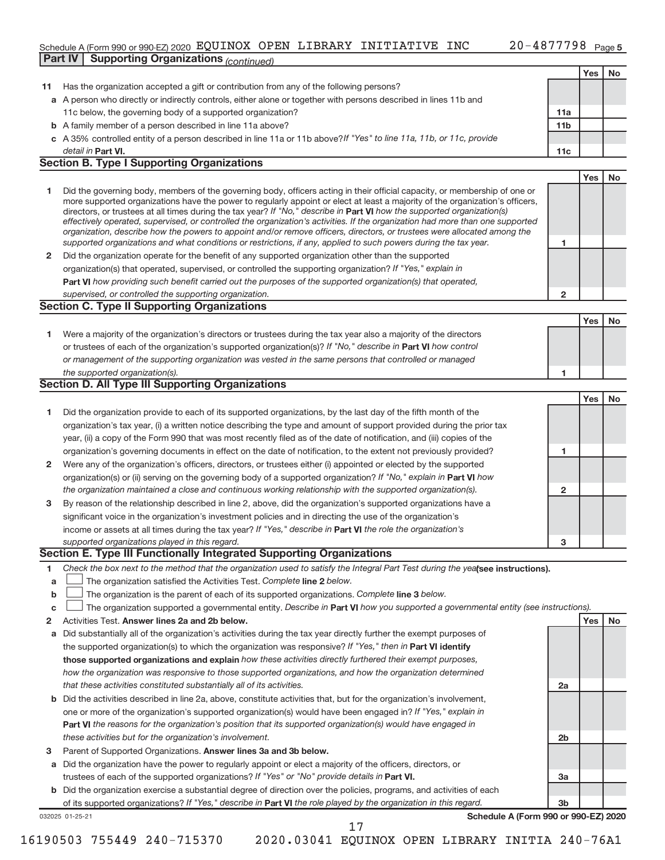#### Schedule A (Form 990 or 990-EZ) 2020 EQUINOX OPEN LIBRARY INITIATIVE INC  $_{\rm 20-4877798~p_{age5}}$ **Part IV | Supporting Organizations** *(continued)* **All and Supporting Organizations** *<i>(continued)* **All and Supporting Organizations** *<i>(continued)* **All and Supporting Organizations** *Physis Physis**<b>Physis*

|              |                                                                                                                                                                                                                                                          |                         | Yes | No |
|--------------|----------------------------------------------------------------------------------------------------------------------------------------------------------------------------------------------------------------------------------------------------------|-------------------------|-----|----|
| 11           | Has the organization accepted a gift or contribution from any of the following persons?                                                                                                                                                                  |                         |     |    |
|              | a A person who directly or indirectly controls, either alone or together with persons described in lines 11b and                                                                                                                                         |                         |     |    |
|              | 11c below, the governing body of a supported organization?                                                                                                                                                                                               | 11a                     |     |    |
|              | <b>b</b> A family member of a person described in line 11a above?                                                                                                                                                                                        | 11b                     |     |    |
|              | c A 35% controlled entity of a person described in line 11a or 11b above? If "Yes" to line 11a, 11b, or 11c, provide                                                                                                                                     |                         |     |    |
|              |                                                                                                                                                                                                                                                          |                         |     |    |
|              | detail in Part VI.<br><b>Section B. Type I Supporting Organizations</b>                                                                                                                                                                                  | 11c                     |     |    |
|              |                                                                                                                                                                                                                                                          |                         |     |    |
|              |                                                                                                                                                                                                                                                          |                         | Yes | No |
| 1            | Did the governing body, members of the governing body, officers acting in their official capacity, or membership of one or                                                                                                                               |                         |     |    |
|              | more supported organizations have the power to regularly appoint or elect at least a majority of the organization's officers,<br>directors, or trustees at all times during the tax year? If "No," describe in Part VI how the supported organization(s) |                         |     |    |
|              | effectively operated, supervised, or controlled the organization's activities. If the organization had more than one supported                                                                                                                           |                         |     |    |
|              | organization, describe how the powers to appoint and/or remove officers, directors, or trustees were allocated among the                                                                                                                                 |                         |     |    |
|              | supported organizations and what conditions or restrictions, if any, applied to such powers during the tax year.                                                                                                                                         | 1                       |     |    |
| $\mathbf{2}$ | Did the organization operate for the benefit of any supported organization other than the supported                                                                                                                                                      |                         |     |    |
|              | organization(s) that operated, supervised, or controlled the supporting organization? If "Yes," explain in                                                                                                                                               |                         |     |    |
|              | Part VI how providing such benefit carried out the purposes of the supported organization(s) that operated,                                                                                                                                              |                         |     |    |
|              | supervised, or controlled the supporting organization.                                                                                                                                                                                                   | $\overline{\mathbf{c}}$ |     |    |
|              | <b>Section C. Type II Supporting Organizations</b>                                                                                                                                                                                                       |                         |     |    |
|              |                                                                                                                                                                                                                                                          |                         | Yes | No |
|              |                                                                                                                                                                                                                                                          |                         |     |    |
| 1            | Were a majority of the organization's directors or trustees during the tax year also a majority of the directors                                                                                                                                         |                         |     |    |
|              | or trustees of each of the organization's supported organization(s)? If "No," describe in Part VI how control                                                                                                                                            |                         |     |    |
|              | or management of the supporting organization was vested in the same persons that controlled or managed                                                                                                                                                   |                         |     |    |
|              | the supported organization(s).                                                                                                                                                                                                                           | 1                       |     |    |
|              | <b>Section D. All Type III Supporting Organizations</b>                                                                                                                                                                                                  |                         |     |    |
|              |                                                                                                                                                                                                                                                          |                         | Yes | No |
| 1            | Did the organization provide to each of its supported organizations, by the last day of the fifth month of the                                                                                                                                           |                         |     |    |
|              | organization's tax year, (i) a written notice describing the type and amount of support provided during the prior tax                                                                                                                                    |                         |     |    |
|              | year, (ii) a copy of the Form 990 that was most recently filed as of the date of notification, and (iii) copies of the                                                                                                                                   |                         |     |    |
|              | organization's governing documents in effect on the date of notification, to the extent not previously provided?                                                                                                                                         | 1                       |     |    |
| 2            | Were any of the organization's officers, directors, or trustees either (i) appointed or elected by the supported                                                                                                                                         |                         |     |    |
|              | organization(s) or (ii) serving on the governing body of a supported organization? If "No," explain in Part VI how                                                                                                                                       |                         |     |    |
|              | the organization maintained a close and continuous working relationship with the supported organization(s).                                                                                                                                              | $\mathbf{2}$            |     |    |
| 3            | By reason of the relationship described in line 2, above, did the organization's supported organizations have a                                                                                                                                          |                         |     |    |
|              |                                                                                                                                                                                                                                                          |                         |     |    |
|              | significant voice in the organization's investment policies and in directing the use of the organization's                                                                                                                                               |                         |     |    |
|              | income or assets at all times during the tax year? If "Yes," describe in Part VI the role the organization's                                                                                                                                             |                         |     |    |
|              | supported organizations played in this regard.                                                                                                                                                                                                           | 3                       |     |    |
|              | Section E. Type III Functionally Integrated Supporting Organizations                                                                                                                                                                                     |                         |     |    |
| 1            | Check the box next to the method that the organization used to satisfy the Integral Part Test during the yealsee instructions).                                                                                                                          |                         |     |    |
| a            | The organization satisfied the Activities Test. Complete line 2 below.                                                                                                                                                                                   |                         |     |    |
| b            | The organization is the parent of each of its supported organizations. Complete line 3 below.                                                                                                                                                            |                         |     |    |
| C            | The organization supported a governmental entity. Describe in Part VI how you supported a governmental entity (see instructions).                                                                                                                        |                         |     |    |
| 2            | Activities Test. Answer lines 2a and 2b below.                                                                                                                                                                                                           |                         | Yes | No |
| a            | Did substantially all of the organization's activities during the tax year directly further the exempt purposes of                                                                                                                                       |                         |     |    |
|              | the supported organization(s) to which the organization was responsive? If "Yes," then in Part VI identify                                                                                                                                               |                         |     |    |
|              | those supported organizations and explain how these activities directly furthered their exempt purposes,                                                                                                                                                 |                         |     |    |
|              | how the organization was responsive to those supported organizations, and how the organization determined                                                                                                                                                |                         |     |    |
|              | that these activities constituted substantially all of its activities.                                                                                                                                                                                   | 2a                      |     |    |
| b            | Did the activities described in line 2a, above, constitute activities that, but for the organization's involvement,                                                                                                                                      |                         |     |    |
|              | one or more of the organization's supported organization(s) would have been engaged in? If "Yes," explain in                                                                                                                                             |                         |     |    |
|              | <b>Part VI</b> the reasons for the organization's position that its supported organization(s) would have engaged in                                                                                                                                      |                         |     |    |
|              |                                                                                                                                                                                                                                                          |                         |     |    |
|              | these activities but for the organization's involvement.                                                                                                                                                                                                 | 2b                      |     |    |
| з            | Parent of Supported Organizations. Answer lines 3a and 3b below.                                                                                                                                                                                         |                         |     |    |
| а            | Did the organization have the power to regularly appoint or elect a majority of the officers, directors, or                                                                                                                                              |                         |     |    |
|              | trustees of each of the supported organizations? If "Yes" or "No" provide details in Part VI.                                                                                                                                                            | За                      |     |    |
|              | b Did the organization exercise a substantial degree of direction over the policies, programs, and activities of each                                                                                                                                    |                         |     |    |
|              | of its supported organizations? If "Yes," describe in Part VI the role played by the organization in this regard.                                                                                                                                        | 3b                      |     |    |
|              | Schedule A (Form 990 or 990-EZ) 2020<br>032025 01-25-21                                                                                                                                                                                                  |                         |     |    |
|              | 17                                                                                                                                                                                                                                                       |                         |     |    |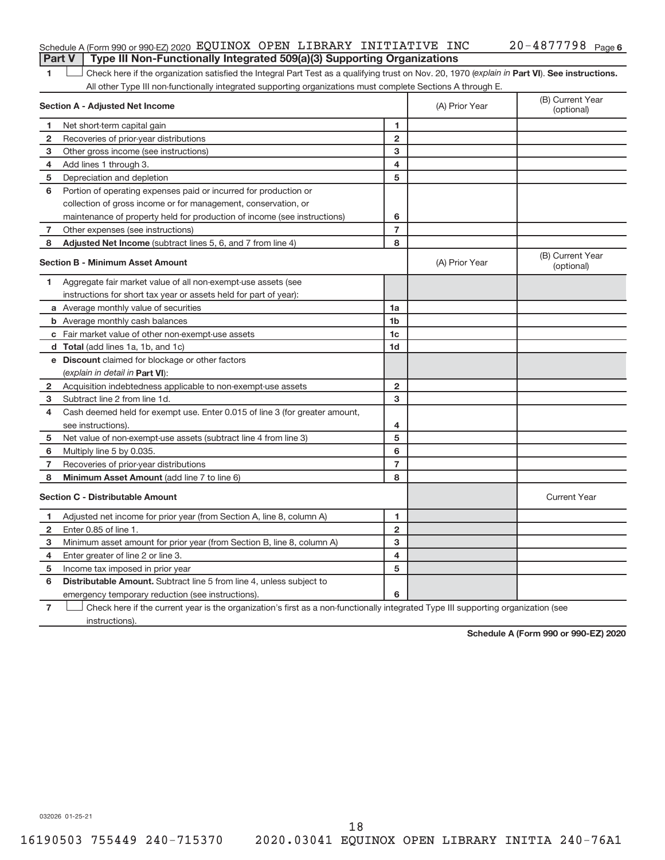#### Schedule A (Form 990 or 990-EZ) 2020  $\,$  EQUINOX  $\,$  OPEN <code>LIBRARY INITIATIVE</code> <code>INC</code>  $\,$  <code>20–4877798</code> <code> Page</code> **Part V** | Type III Non-Functionally Integrated 509(a)(3) Supporting Organizations

1 **Luck Liet also here if the organization satisfied the Integral Part Test as a qualifying trust on Nov. 20, 1970 (***explain in* **Part <b>VI**). See instructions. All other Type III non-functionally integrated supporting organizations must complete Sections A through E.

|                | Section A - Adjusted Net Income                                                                                                   |                         | (A) Prior Year | (B) Current Year<br>(optional) |
|----------------|-----------------------------------------------------------------------------------------------------------------------------------|-------------------------|----------------|--------------------------------|
| 1              | Net short-term capital gain                                                                                                       | 1                       |                |                                |
| $\overline{2}$ | Recoveries of prior-year distributions                                                                                            | $\overline{2}$          |                |                                |
| 3              | Other gross income (see instructions)                                                                                             | 3                       |                |                                |
| 4              | Add lines 1 through 3.                                                                                                            | $\overline{\mathbf{4}}$ |                |                                |
| 5              | Depreciation and depletion                                                                                                        | 5                       |                |                                |
| 6              | Portion of operating expenses paid or incurred for production or                                                                  |                         |                |                                |
|                | collection of gross income or for management, conservation, or                                                                    |                         |                |                                |
|                | maintenance of property held for production of income (see instructions)                                                          | 6                       |                |                                |
| $\overline{7}$ | Other expenses (see instructions)                                                                                                 | $\overline{7}$          |                |                                |
| 8              | Adjusted Net Income (subtract lines 5, 6, and 7 from line 4)                                                                      | 8                       |                |                                |
|                | <b>Section B - Minimum Asset Amount</b>                                                                                           |                         | (A) Prior Year | (B) Current Year<br>(optional) |
| 1.             | Aggregate fair market value of all non-exempt-use assets (see                                                                     |                         |                |                                |
|                | instructions for short tax year or assets held for part of year):                                                                 |                         |                |                                |
|                | <b>a</b> Average monthly value of securities                                                                                      | 1a                      |                |                                |
|                | <b>b</b> Average monthly cash balances                                                                                            | 1 <sub>b</sub>          |                |                                |
|                | c Fair market value of other non-exempt-use assets                                                                                | 1 <sub>c</sub>          |                |                                |
|                | d Total (add lines 1a, 1b, and 1c)                                                                                                | 1d                      |                |                                |
|                | e Discount claimed for blockage or other factors                                                                                  |                         |                |                                |
|                | (explain in detail in <b>Part VI</b> ):                                                                                           |                         |                |                                |
| 2              | Acquisition indebtedness applicable to non-exempt-use assets                                                                      | $\mathbf{2}$            |                |                                |
| 3              | Subtract line 2 from line 1d.                                                                                                     | 3                       |                |                                |
| 4              | Cash deemed held for exempt use. Enter 0.015 of line 3 (for greater amount,                                                       |                         |                |                                |
|                | see instructions).                                                                                                                | 4                       |                |                                |
| 5              | Net value of non-exempt-use assets (subtract line 4 from line 3)                                                                  | 5                       |                |                                |
| 6              | Multiply line 5 by 0.035.                                                                                                         | 6                       |                |                                |
| 7              | Recoveries of prior-year distributions                                                                                            | 7                       |                |                                |
| 8              | Minimum Asset Amount (add line 7 to line 6)                                                                                       | 8                       |                |                                |
|                | <b>Section C - Distributable Amount</b>                                                                                           |                         |                | <b>Current Year</b>            |
| 1.             | Adjusted net income for prior year (from Section A, line 8, column A)                                                             | 1                       |                |                                |
| $\overline{2}$ | Enter 0.85 of line 1.                                                                                                             | $\overline{2}$          |                |                                |
| 3              | Minimum asset amount for prior year (from Section B, line 8, column A)                                                            | 3                       |                |                                |
| 4              | Enter greater of line 2 or line 3.                                                                                                | 4                       |                |                                |
| 5              | Income tax imposed in prior year                                                                                                  | 5                       |                |                                |
| 6              | <b>Distributable Amount.</b> Subtract line 5 from line 4, unless subject to                                                       |                         |                |                                |
|                | emergency temporary reduction (see instructions).                                                                                 | 6                       |                |                                |
| $\overline{7}$ | Check here if the current year is the organization's first as a non-functionally integrated Type III supporting organization (see |                         |                |                                |

**7** instructions).

**Schedule A (Form 990 or 990-EZ) 2020**

032026 01-25-21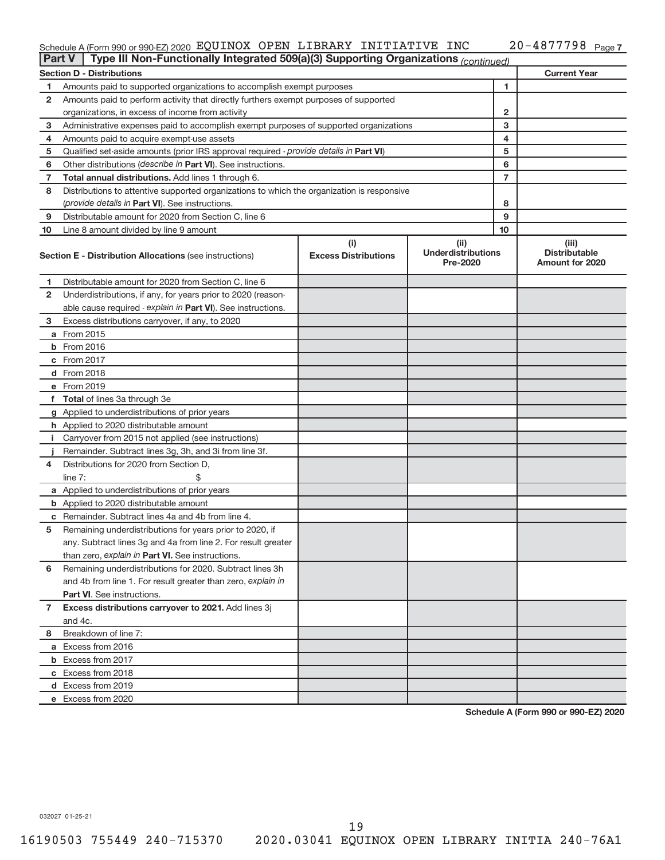#### Schedule A (Form 990 or 990-EZ) 2020 Pagu LIOX OPEN LIBRARY INITIATIVE INC ZU-4877798 Page EQUINOX OPEN LIBRARY INITIATIVE INC 20-4877798

| <b>Part V</b>  | Type III Non-Functionally Integrated 509(a)(3) Supporting Organizations (continued)        |                                    |                                               |                |                                                         |
|----------------|--------------------------------------------------------------------------------------------|------------------------------------|-----------------------------------------------|----------------|---------------------------------------------------------|
|                | <b>Section D - Distributions</b>                                                           |                                    |                                               |                | <b>Current Year</b>                                     |
| 1              | Amounts paid to supported organizations to accomplish exempt purposes                      |                                    |                                               | 1              |                                                         |
| 2              | Amounts paid to perform activity that directly furthers exempt purposes of supported       |                                    |                                               |                |                                                         |
|                | organizations, in excess of income from activity                                           |                                    |                                               | 2              |                                                         |
| 3              | Administrative expenses paid to accomplish exempt purposes of supported organizations      |                                    |                                               | 3              |                                                         |
| 4              | Amounts paid to acquire exempt-use assets                                                  |                                    | 4                                             |                |                                                         |
| 5              | Qualified set-aside amounts (prior IRS approval required - provide details in Part VI)     |                                    | 5                                             |                |                                                         |
| 6              | Other distributions ( <i>describe in Part VI</i> ). See instructions.                      |                                    |                                               | 6              |                                                         |
| 7              | Total annual distributions. Add lines 1 through 6.                                         |                                    |                                               | $\overline{7}$ |                                                         |
| 8              | Distributions to attentive supported organizations to which the organization is responsive |                                    |                                               |                |                                                         |
|                | (provide details in Part VI). See instructions.                                            |                                    |                                               | 8              |                                                         |
| 9              | Distributable amount for 2020 from Section C, line 6                                       |                                    |                                               | 9              |                                                         |
| 10             | Line 8 amount divided by line 9 amount                                                     |                                    |                                               | 10             |                                                         |
|                | <b>Section E - Distribution Allocations (see instructions)</b>                             | (i)<br><b>Excess Distributions</b> | (ii)<br><b>Underdistributions</b><br>Pre-2020 |                | (iii)<br><b>Distributable</b><br><b>Amount for 2020</b> |
| 1              | Distributable amount for 2020 from Section C, line 6                                       |                                    |                                               |                |                                                         |
| 2              | Underdistributions, if any, for years prior to 2020 (reason-                               |                                    |                                               |                |                                                         |
|                | able cause required - explain in Part VI). See instructions.                               |                                    |                                               |                |                                                         |
| 3              | Excess distributions carryover, if any, to 2020                                            |                                    |                                               |                |                                                         |
|                | a From 2015                                                                                |                                    |                                               |                |                                                         |
|                | <b>b</b> From 2016                                                                         |                                    |                                               |                |                                                         |
|                | c From 2017                                                                                |                                    |                                               |                |                                                         |
|                | d From 2018                                                                                |                                    |                                               |                |                                                         |
|                | e From 2019                                                                                |                                    |                                               |                |                                                         |
|                | f Total of lines 3a through 3e                                                             |                                    |                                               |                |                                                         |
|                | g Applied to underdistributions of prior years                                             |                                    |                                               |                |                                                         |
|                | h Applied to 2020 distributable amount                                                     |                                    |                                               |                |                                                         |
| L.             | Carryover from 2015 not applied (see instructions)                                         |                                    |                                               |                |                                                         |
|                | Remainder. Subtract lines 3g, 3h, and 3i from line 3f.                                     |                                    |                                               |                |                                                         |
| 4              | Distributions for 2020 from Section D,                                                     |                                    |                                               |                |                                                         |
|                | line 7:                                                                                    |                                    |                                               |                |                                                         |
|                | a Applied to underdistributions of prior years                                             |                                    |                                               |                |                                                         |
|                | <b>b</b> Applied to 2020 distributable amount                                              |                                    |                                               |                |                                                         |
|                | c Remainder. Subtract lines 4a and 4b from line 4.                                         |                                    |                                               |                |                                                         |
| 5              | Remaining underdistributions for years prior to 2020, if                                   |                                    |                                               |                |                                                         |
|                | any. Subtract lines 3g and 4a from line 2. For result greater                              |                                    |                                               |                |                                                         |
|                | than zero, explain in Part VI. See instructions.                                           |                                    |                                               |                |                                                         |
| 6              | Remaining underdistributions for 2020. Subtract lines 3h                                   |                                    |                                               |                |                                                         |
|                | and 4b from line 1. For result greater than zero, explain in                               |                                    |                                               |                |                                                         |
|                | <b>Part VI.</b> See instructions.                                                          |                                    |                                               |                |                                                         |
| $\overline{7}$ | Excess distributions carryover to 2021. Add lines 3j                                       |                                    |                                               |                |                                                         |
|                | and 4c.                                                                                    |                                    |                                               |                |                                                         |
| 8              | Breakdown of line 7:                                                                       |                                    |                                               |                |                                                         |
|                | a Excess from 2016                                                                         |                                    |                                               |                |                                                         |
|                | <b>b</b> Excess from 2017                                                                  |                                    |                                               |                |                                                         |
|                | c Excess from 2018                                                                         |                                    |                                               |                |                                                         |
|                | d Excess from 2019                                                                         |                                    |                                               |                |                                                         |
|                | e Excess from 2020                                                                         |                                    |                                               |                |                                                         |

**Schedule A (Form 990 or 990-EZ) 2020**

032027 01-25-21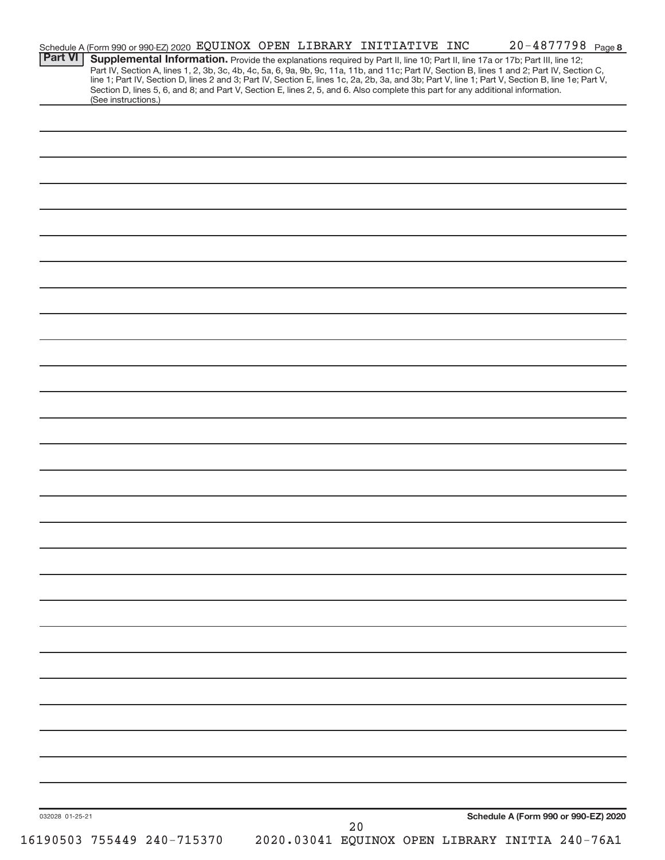|                 |                            | Schedule A (Form 990 or 990-EZ) 2020 EQUINOX OPEN LIBRARY INITIATIVE INC |  |    |  | 20-4877798 Page 8                                                                                                                                                                                                                                                                                                                                                                                                                 |  |
|-----------------|----------------------------|--------------------------------------------------------------------------|--|----|--|-----------------------------------------------------------------------------------------------------------------------------------------------------------------------------------------------------------------------------------------------------------------------------------------------------------------------------------------------------------------------------------------------------------------------------------|--|
| <b>Part VI</b>  |                            |                                                                          |  |    |  | Supplemental Information. Provide the explanations required by Part II, line 10; Part II, line 17a or 17b; Part III, line 12;<br>Part IV, Section A, lines 1, 2, 3b, 3c, 4b, 4c, 5a, 6, 9a, 9b, 9c, 11a, 11b, and 11c; Part IV, Section B, lines 1 and 2; Part IV, Section C,<br>line 1; Part IV, Section D, lines 2 and 3; Part IV, Section E, lines 1c, 2a, 2b, 3a, and 3b; Part V, line 1; Part V, Section B, line 1e; Part V, |  |
|                 | (See instructions.)        |                                                                          |  |    |  | Section D, lines 5, 6, and 8; and Part V, Section E, lines 2, 5, and 6. Also complete this part for any additional information.                                                                                                                                                                                                                                                                                                   |  |
|                 |                            |                                                                          |  |    |  |                                                                                                                                                                                                                                                                                                                                                                                                                                   |  |
|                 |                            |                                                                          |  |    |  |                                                                                                                                                                                                                                                                                                                                                                                                                                   |  |
|                 |                            |                                                                          |  |    |  |                                                                                                                                                                                                                                                                                                                                                                                                                                   |  |
|                 |                            |                                                                          |  |    |  |                                                                                                                                                                                                                                                                                                                                                                                                                                   |  |
|                 |                            |                                                                          |  |    |  |                                                                                                                                                                                                                                                                                                                                                                                                                                   |  |
|                 |                            |                                                                          |  |    |  |                                                                                                                                                                                                                                                                                                                                                                                                                                   |  |
|                 |                            |                                                                          |  |    |  |                                                                                                                                                                                                                                                                                                                                                                                                                                   |  |
|                 |                            |                                                                          |  |    |  |                                                                                                                                                                                                                                                                                                                                                                                                                                   |  |
|                 |                            |                                                                          |  |    |  |                                                                                                                                                                                                                                                                                                                                                                                                                                   |  |
|                 |                            |                                                                          |  |    |  |                                                                                                                                                                                                                                                                                                                                                                                                                                   |  |
|                 |                            |                                                                          |  |    |  |                                                                                                                                                                                                                                                                                                                                                                                                                                   |  |
|                 |                            |                                                                          |  |    |  |                                                                                                                                                                                                                                                                                                                                                                                                                                   |  |
|                 |                            |                                                                          |  |    |  |                                                                                                                                                                                                                                                                                                                                                                                                                                   |  |
|                 |                            |                                                                          |  |    |  |                                                                                                                                                                                                                                                                                                                                                                                                                                   |  |
|                 |                            |                                                                          |  |    |  |                                                                                                                                                                                                                                                                                                                                                                                                                                   |  |
|                 |                            |                                                                          |  |    |  |                                                                                                                                                                                                                                                                                                                                                                                                                                   |  |
|                 |                            |                                                                          |  |    |  |                                                                                                                                                                                                                                                                                                                                                                                                                                   |  |
|                 |                            |                                                                          |  |    |  |                                                                                                                                                                                                                                                                                                                                                                                                                                   |  |
|                 |                            |                                                                          |  |    |  |                                                                                                                                                                                                                                                                                                                                                                                                                                   |  |
|                 |                            |                                                                          |  |    |  |                                                                                                                                                                                                                                                                                                                                                                                                                                   |  |
|                 |                            |                                                                          |  |    |  |                                                                                                                                                                                                                                                                                                                                                                                                                                   |  |
|                 |                            |                                                                          |  |    |  |                                                                                                                                                                                                                                                                                                                                                                                                                                   |  |
|                 |                            |                                                                          |  |    |  |                                                                                                                                                                                                                                                                                                                                                                                                                                   |  |
|                 |                            |                                                                          |  |    |  |                                                                                                                                                                                                                                                                                                                                                                                                                                   |  |
|                 |                            |                                                                          |  |    |  |                                                                                                                                                                                                                                                                                                                                                                                                                                   |  |
|                 |                            |                                                                          |  |    |  |                                                                                                                                                                                                                                                                                                                                                                                                                                   |  |
|                 |                            |                                                                          |  |    |  |                                                                                                                                                                                                                                                                                                                                                                                                                                   |  |
|                 |                            |                                                                          |  |    |  |                                                                                                                                                                                                                                                                                                                                                                                                                                   |  |
|                 |                            |                                                                          |  |    |  |                                                                                                                                                                                                                                                                                                                                                                                                                                   |  |
|                 |                            |                                                                          |  |    |  |                                                                                                                                                                                                                                                                                                                                                                                                                                   |  |
|                 |                            |                                                                          |  |    |  |                                                                                                                                                                                                                                                                                                                                                                                                                                   |  |
|                 |                            |                                                                          |  |    |  |                                                                                                                                                                                                                                                                                                                                                                                                                                   |  |
|                 |                            |                                                                          |  |    |  |                                                                                                                                                                                                                                                                                                                                                                                                                                   |  |
| 032028 01-25-21 |                            |                                                                          |  | 20 |  | Schedule A (Form 990 or 990-EZ) 2020                                                                                                                                                                                                                                                                                                                                                                                              |  |
|                 | 16190503 755449 240-715370 |                                                                          |  |    |  | 2020.03041 EQUINOX OPEN LIBRARY INITIA 240-76A1                                                                                                                                                                                                                                                                                                                                                                                   |  |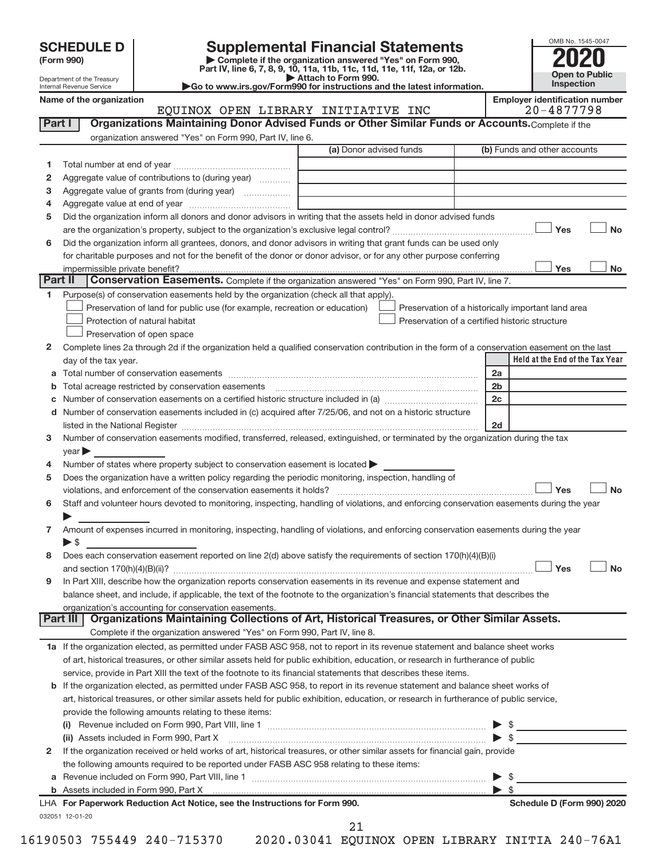Department of the Treasury Internal Revenue Service

| (Form 990) |  |
|------------|--|
|------------|--|

# **SCHEDULE D Supplemental Financial Statements**<br> **Form 990 2020**<br>
Part IV line 6.7.8.9.10, 11a, 11b, 11d, 11d, 11d, 11d, 11d, 20, 07, 12b

**(Form 990) | Complete if the organization answered "Yes" on Form 990, Part IV, line 6, 7, 8, 9, 10, 11a, 11b, 11c, 11d, 11e, 11f, 12a, or 12b.**

**| Attach to Form 990. |Go to www.irs.gov/Form990 for instructions and the latest information.**



Name of the organization<br> **EQUINOX** OPEN LIBRARY INITIATIVE INC 20-4877798 EQUINOX OPEN LIBRARY INITIATIVE INC 20-4877798

| 1      |                                                                                                                                                                                                                               | (a) Donor advised funds | (b) Funds and other accounts                       |
|--------|-------------------------------------------------------------------------------------------------------------------------------------------------------------------------------------------------------------------------------|-------------------------|----------------------------------------------------|
|        |                                                                                                                                                                                                                               |                         |                                                    |
| 2      | Aggregate value of contributions to (during year)                                                                                                                                                                             |                         |                                                    |
| 3      |                                                                                                                                                                                                                               |                         |                                                    |
| 4      |                                                                                                                                                                                                                               |                         |                                                    |
| 5      | Did the organization inform all donors and donor advisors in writing that the assets held in donor advised funds                                                                                                              |                         |                                                    |
|        |                                                                                                                                                                                                                               |                         | Yes                                                |
| 6      | Did the organization inform all grantees, donors, and donor advisors in writing that grant funds can be used only                                                                                                             |                         |                                                    |
|        | for charitable purposes and not for the benefit of the donor or donor advisor, or for any other purpose conferring                                                                                                            |                         |                                                    |
|        |                                                                                                                                                                                                                               |                         | Yes                                                |
|        | Part II<br>Conservation Easements. Complete if the organization answered "Yes" on Form 990, Part IV, line 7.                                                                                                                  |                         |                                                    |
| 1.     | Purpose(s) of conservation easements held by the organization (check all that apply).                                                                                                                                         |                         |                                                    |
|        | Preservation of land for public use (for example, recreation or education)                                                                                                                                                    |                         | Preservation of a historically important land area |
|        | Protection of natural habitat                                                                                                                                                                                                 |                         | Preservation of a certified historic structure     |
|        | Preservation of open space                                                                                                                                                                                                    |                         |                                                    |
| 2      | Complete lines 2a through 2d if the organization held a qualified conservation contribution in the form of a conservation easement on the last                                                                                |                         |                                                    |
|        | day of the tax year.                                                                                                                                                                                                          |                         | Held at the End of the Tax Year                    |
| а      |                                                                                                                                                                                                                               |                         | 2a                                                 |
|        | Total acreage restricted by conservation easements [11] matter continuum matter of the stricted by conservation easements [11] matter continuum matter of the stricted by conservation easements [11] matter continuum matter |                         | 2 <sub>b</sub>                                     |
|        | Number of conservation easements on a certified historic structure included in (a) manufacture included in (a)                                                                                                                |                         | 2 <sub>c</sub>                                     |
| d      | Number of conservation easements included in (c) acquired after 7/25/06, and not on a historic structure                                                                                                                      |                         |                                                    |
|        | listed in the National Register [111] [12] The Mational Register [11] Matter Mathematical Register [11] Matter                                                                                                                |                         | 2d                                                 |
| 3      | Number of conservation easements modified, transferred, released, extinguished, or terminated by the organization during the tax                                                                                              |                         |                                                    |
|        | year                                                                                                                                                                                                                          |                         |                                                    |
| 4      | Number of states where property subject to conservation easement is located >                                                                                                                                                 |                         |                                                    |
| 5      | Does the organization have a written policy regarding the periodic monitoring, inspection, handling of                                                                                                                        |                         |                                                    |
|        |                                                                                                                                                                                                                               |                         | Yes                                                |
| 6      | Staff and volunteer hours devoted to monitoring, inspecting, handling of violations, and enforcing conservation easements during the year                                                                                     |                         |                                                    |
|        |                                                                                                                                                                                                                               |                         |                                                    |
|        |                                                                                                                                                                                                                               |                         |                                                    |
|        | Amount of expenses incurred in monitoring, inspecting, handling of violations, and enforcing conservation easements during the year                                                                                           |                         |                                                    |
|        | $\blacktriangleright$ \$                                                                                                                                                                                                      |                         |                                                    |
| 7<br>8 | Does each conservation easement reported on line 2(d) above satisfy the requirements of section 170(h)(4)(B)(i)                                                                                                               |                         |                                                    |
|        |                                                                                                                                                                                                                               |                         | Yes                                                |
|        | In Part XIII, describe how the organization reports conservation easements in its revenue and expense statement and                                                                                                           |                         |                                                    |
|        | balance sheet, and include, if applicable, the text of the footnote to the organization's financial statements that describes the                                                                                             |                         |                                                    |
|        | organization's accounting for conservation easements.                                                                                                                                                                         |                         |                                                    |
|        | Organizations Maintaining Collections of Art, Historical Treasures, or Other Similar Assets.<br>Part III                                                                                                                      |                         |                                                    |
|        | Complete if the organization answered "Yes" on Form 990, Part IV, line 8.                                                                                                                                                     |                         |                                                    |
|        | 1a If the organization elected, as permitted under FASB ASC 958, not to report in its revenue statement and balance sheet works                                                                                               |                         |                                                    |
|        | of art, historical treasures, or other similar assets held for public exhibition, education, or research in furtherance of public                                                                                             |                         |                                                    |
|        | service, provide in Part XIII the text of the footnote to its financial statements that describes these items.                                                                                                                |                         |                                                    |
|        | b If the organization elected, as permitted under FASB ASC 958, to report in its revenue statement and balance sheet works of                                                                                                 |                         |                                                    |
|        | art, historical treasures, or other similar assets held for public exhibition, education, or research in furtherance of public service,                                                                                       |                         |                                                    |
|        | provide the following amounts relating to these items:                                                                                                                                                                        |                         |                                                    |
|        |                                                                                                                                                                                                                               |                         |                                                    |
|        |                                                                                                                                                                                                                               |                         |                                                    |
|        | If the organization received or held works of art, historical treasures, or other similar assets for financial gain, provide                                                                                                  |                         |                                                    |
| 9<br>2 | the following amounts required to be reported under FASB ASC 958 relating to these items:                                                                                                                                     |                         | $\blacktriangleright$ \$                           |
| а      |                                                                                                                                                                                                                               |                         | $\triangleright$ \$                                |
|        | LHA For Paperwork Reduction Act Notice, see the Instructions for Form 990.                                                                                                                                                    |                         | Schedule D (Form 990) 2020                         |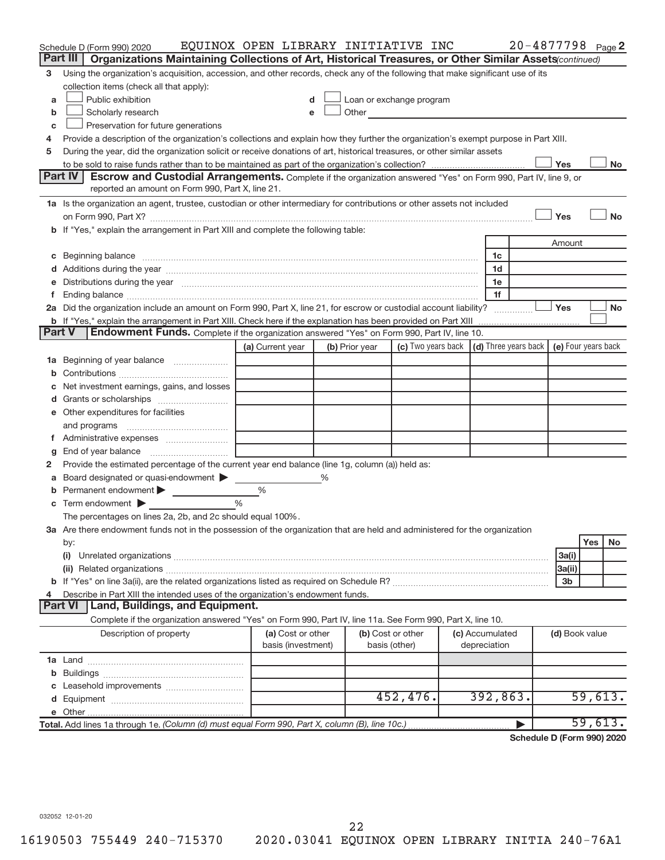|               | Schedule D (Form 990) 2020<br>Part III<br>Organizations Maintaining Collections of Art, Historical Treasures, or Other Similar Assets(continued)                                                                               | EQUINOX OPEN LIBRARY INITIATIVE INC     |   |                                                                                                                                                                                                                               |                                                                             |  |                                 | 20-4877798 Page 2 |                              |         |           |
|---------------|--------------------------------------------------------------------------------------------------------------------------------------------------------------------------------------------------------------------------------|-----------------------------------------|---|-------------------------------------------------------------------------------------------------------------------------------------------------------------------------------------------------------------------------------|-----------------------------------------------------------------------------|--|---------------------------------|-------------------|------------------------------|---------|-----------|
| 3             | Using the organization's acquisition, accession, and other records, check any of the following that make significant use of its                                                                                                |                                         |   |                                                                                                                                                                                                                               |                                                                             |  |                                 |                   |                              |         |           |
|               | collection items (check all that apply):                                                                                                                                                                                       |                                         |   |                                                                                                                                                                                                                               |                                                                             |  |                                 |                   |                              |         |           |
| a             | Public exhibition                                                                                                                                                                                                              |                                         |   | Loan or exchange program                                                                                                                                                                                                      |                                                                             |  |                                 |                   |                              |         |           |
| b             | Scholarly research                                                                                                                                                                                                             | e                                       |   | Other and the contract of the contract of the contract of the contract of the contract of the contract of the contract of the contract of the contract of the contract of the contract of the contract of the contract of the |                                                                             |  |                                 |                   |                              |         |           |
| С             | Preservation for future generations                                                                                                                                                                                            |                                         |   |                                                                                                                                                                                                                               |                                                                             |  |                                 |                   |                              |         |           |
| 4             | Provide a description of the organization's collections and explain how they further the organization's exempt purpose in Part XIII.                                                                                           |                                         |   |                                                                                                                                                                                                                               |                                                                             |  |                                 |                   |                              |         |           |
| 5             | During the year, did the organization solicit or receive donations of art, historical treasures, or other similar assets                                                                                                       |                                         |   |                                                                                                                                                                                                                               |                                                                             |  |                                 |                   |                              |         |           |
|               | Yes<br>No                                                                                                                                                                                                                      |                                         |   |                                                                                                                                                                                                                               |                                                                             |  |                                 |                   |                              |         |           |
|               | Part IV<br><b>Escrow and Custodial Arrangements.</b> Complete if the organization answered "Yes" on Form 990, Part IV, line 9, or                                                                                              |                                         |   |                                                                                                                                                                                                                               |                                                                             |  |                                 |                   |                              |         |           |
|               | reported an amount on Form 990, Part X, line 21.                                                                                                                                                                               |                                         |   |                                                                                                                                                                                                                               |                                                                             |  |                                 |                   |                              |         |           |
|               | 1a Is the organization an agent, trustee, custodian or other intermediary for contributions or other assets not included                                                                                                       |                                         |   |                                                                                                                                                                                                                               |                                                                             |  |                                 |                   |                              |         |           |
|               |                                                                                                                                                                                                                                |                                         |   |                                                                                                                                                                                                                               |                                                                             |  |                                 |                   | Yes                          |         | <b>No</b> |
|               | b If "Yes," explain the arrangement in Part XIII and complete the following table:                                                                                                                                             |                                         |   |                                                                                                                                                                                                                               |                                                                             |  |                                 |                   |                              |         |           |
|               |                                                                                                                                                                                                                                |                                         |   |                                                                                                                                                                                                                               |                                                                             |  |                                 |                   | Amount                       |         |           |
| С             | Beginning balance measurements and contact the contract of the contract of the contract of the contract of the                                                                                                                 |                                         |   |                                                                                                                                                                                                                               |                                                                             |  | 1c                              |                   |                              |         |           |
| d             | Additions during the year manufactured and an account of the year and year and year and year and year and year                                                                                                                 |                                         |   |                                                                                                                                                                                                                               |                                                                             |  | 1d                              |                   |                              |         |           |
| е             | Distributions during the year manufactured and continuum control of the year manufactured and the year manufactured and the year manufactured and the year manufactured and the year manufactured and the year manufactured an |                                         |   |                                                                                                                                                                                                                               |                                                                             |  | 1e                              |                   |                              |         |           |
| f.            |                                                                                                                                                                                                                                |                                         |   |                                                                                                                                                                                                                               |                                                                             |  | 1f                              |                   |                              |         |           |
|               | 2a Did the organization include an amount on Form 990, Part X, line 21, for escrow or custodial account liability?                                                                                                             |                                         |   |                                                                                                                                                                                                                               |                                                                             |  |                                 |                   | Yes                          |         | <b>No</b> |
| <b>Part V</b> | Endowment Funds. Complete if the organization answered "Yes" on Form 990, Part IV, line 10.                                                                                                                                    |                                         |   |                                                                                                                                                                                                                               |                                                                             |  |                                 |                   |                              |         |           |
|               |                                                                                                                                                                                                                                | (a) Current year                        |   | (b) Prior year                                                                                                                                                                                                                | (c) Two years back $\vert$ (d) Three years back $\vert$ (e) Four years back |  |                                 |                   |                              |         |           |
|               | Beginning of year balance                                                                                                                                                                                                      |                                         |   |                                                                                                                                                                                                                               |                                                                             |  |                                 |                   |                              |         |           |
| 1а<br>b       |                                                                                                                                                                                                                                |                                         |   |                                                                                                                                                                                                                               |                                                                             |  |                                 |                   |                              |         |           |
| С             | Net investment earnings, gains, and losses                                                                                                                                                                                     |                                         |   |                                                                                                                                                                                                                               |                                                                             |  |                                 |                   |                              |         |           |
| d             | Grants or scholarships <i></i>                                                                                                                                                                                                 |                                         |   |                                                                                                                                                                                                                               |                                                                             |  |                                 |                   |                              |         |           |
|               | e Other expenditures for facilities                                                                                                                                                                                            |                                         |   |                                                                                                                                                                                                                               |                                                                             |  |                                 |                   |                              |         |           |
|               | and programs                                                                                                                                                                                                                   |                                         |   |                                                                                                                                                                                                                               |                                                                             |  |                                 |                   |                              |         |           |
| f.            |                                                                                                                                                                                                                                |                                         |   |                                                                                                                                                                                                                               |                                                                             |  |                                 |                   |                              |         |           |
| g             |                                                                                                                                                                                                                                |                                         |   |                                                                                                                                                                                                                               |                                                                             |  |                                 |                   |                              |         |           |
| 2             | Provide the estimated percentage of the current year end balance (line 1g, column (a)) held as:                                                                                                                                |                                         |   |                                                                                                                                                                                                                               |                                                                             |  |                                 |                   |                              |         |           |
| а             | Board designated or quasi-endowment                                                                                                                                                                                            |                                         | % |                                                                                                                                                                                                                               |                                                                             |  |                                 |                   |                              |         |           |
| b             | Permanent endowment                                                                                                                                                                                                            | $\%$                                    |   |                                                                                                                                                                                                                               |                                                                             |  |                                 |                   |                              |         |           |
| С             | Term endowment                                                                                                                                                                                                                 | $\frac{0}{0}$                           |   |                                                                                                                                                                                                                               |                                                                             |  |                                 |                   |                              |         |           |
|               | The percentages on lines 2a, 2b, and 2c should equal 100%.                                                                                                                                                                     |                                         |   |                                                                                                                                                                                                                               |                                                                             |  |                                 |                   |                              |         |           |
|               | 3a Are there endowment funds not in the possession of the organization that are held and administered for the organization                                                                                                     |                                         |   |                                                                                                                                                                                                                               |                                                                             |  |                                 |                   |                              |         |           |
|               | by:                                                                                                                                                                                                                            |                                         |   |                                                                                                                                                                                                                               |                                                                             |  |                                 |                   |                              | Yes     | No        |
|               | (i)                                                                                                                                                                                                                            |                                         |   |                                                                                                                                                                                                                               |                                                                             |  |                                 |                   | 3a(i)                        |         |           |
|               |                                                                                                                                                                                                                                |                                         |   |                                                                                                                                                                                                                               |                                                                             |  |                                 |                   | 3a(ii)                       |         |           |
|               |                                                                                                                                                                                                                                |                                         |   |                                                                                                                                                                                                                               |                                                                             |  |                                 |                   | 3 <sub>b</sub>               |         |           |
| 4             | Describe in Part XIII the intended uses of the organization's endowment funds.                                                                                                                                                 |                                         |   |                                                                                                                                                                                                                               |                                                                             |  |                                 |                   |                              |         |           |
|               | <b>Land, Buildings, and Equipment.</b><br><b>Part VI</b>                                                                                                                                                                       |                                         |   |                                                                                                                                                                                                                               |                                                                             |  |                                 |                   |                              |         |           |
|               | Complete if the organization answered "Yes" on Form 990, Part IV, line 11a. See Form 990, Part X, line 10.                                                                                                                     |                                         |   |                                                                                                                                                                                                                               |                                                                             |  |                                 |                   |                              |         |           |
|               | Description of property                                                                                                                                                                                                        | (a) Cost or other<br>basis (investment) |   | (b) Cost or other<br>basis (other)                                                                                                                                                                                            |                                                                             |  | (c) Accumulated<br>depreciation |                   | (d) Book value               |         |           |
|               |                                                                                                                                                                                                                                |                                         |   |                                                                                                                                                                                                                               |                                                                             |  |                                 |                   |                              |         |           |
| b             |                                                                                                                                                                                                                                |                                         |   |                                                                                                                                                                                                                               |                                                                             |  |                                 |                   |                              |         |           |
| c             |                                                                                                                                                                                                                                |                                         |   |                                                                                                                                                                                                                               |                                                                             |  |                                 |                   |                              |         |           |
| d             |                                                                                                                                                                                                                                |                                         |   |                                                                                                                                                                                                                               | 452, 476.                                                                   |  | 392,863.                        |                   |                              | 59,613. |           |
| е             |                                                                                                                                                                                                                                |                                         |   |                                                                                                                                                                                                                               |                                                                             |  |                                 |                   |                              |         |           |
|               | Total. Add lines 1a through 1e. (Column (d) must equal Form 990, Part X, column (B), line 10c.)                                                                                                                                |                                         |   |                                                                                                                                                                                                                               |                                                                             |  |                                 |                   | <b>D. (Fauther 000) 0000</b> | 59,613. |           |

**Schedule D (Form 990) 2020**

032052 12-01-20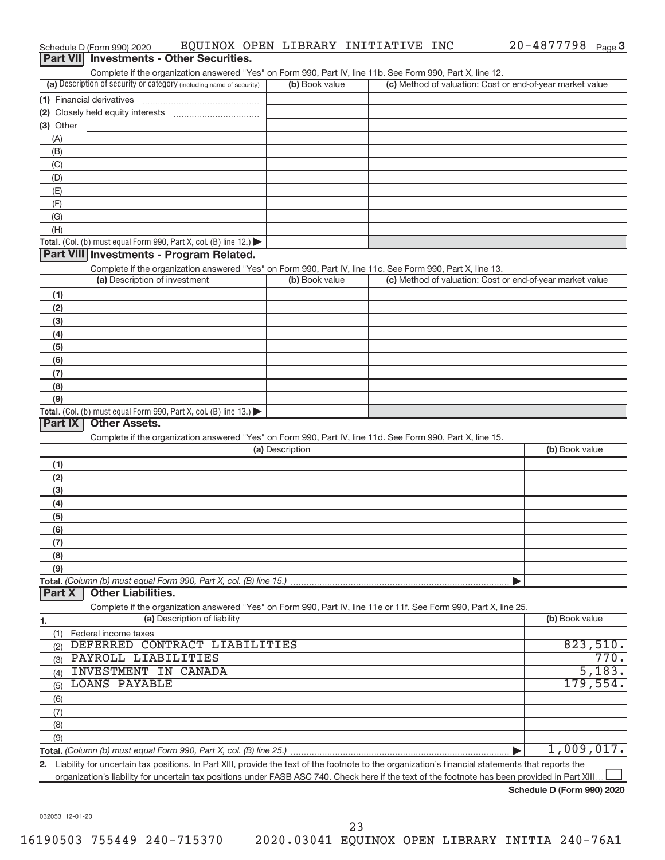| Part VII Investments - Other Securities.                                                                                                                                           |                 |                                                           |                |
|------------------------------------------------------------------------------------------------------------------------------------------------------------------------------------|-----------------|-----------------------------------------------------------|----------------|
| Complete if the organization answered "Yes" on Form 990, Part IV, line 11b. See Form 990, Part X, line 12.<br>(a) Description of security or category (including name of security) | (b) Book value  | (c) Method of valuation: Cost or end-of-year market value |                |
| (1) Financial derivatives                                                                                                                                                          |                 |                                                           |                |
|                                                                                                                                                                                    |                 |                                                           |                |
| $(3)$ Other                                                                                                                                                                        |                 |                                                           |                |
| (A)                                                                                                                                                                                |                 |                                                           |                |
| (B)                                                                                                                                                                                |                 |                                                           |                |
| (C)                                                                                                                                                                                |                 |                                                           |                |
| (D)                                                                                                                                                                                |                 |                                                           |                |
| (E)                                                                                                                                                                                |                 |                                                           |                |
| (F)                                                                                                                                                                                |                 |                                                           |                |
| (G)                                                                                                                                                                                |                 |                                                           |                |
| (H)                                                                                                                                                                                |                 |                                                           |                |
| Total. (Col. (b) must equal Form 990, Part X, col. (B) line 12.)                                                                                                                   |                 |                                                           |                |
| Part VIII Investments - Program Related.                                                                                                                                           |                 |                                                           |                |
| Complete if the organization answered "Yes" on Form 990, Part IV, line 11c. See Form 990, Part X, line 13.                                                                         |                 |                                                           |                |
| (a) Description of investment                                                                                                                                                      | (b) Book value  | (c) Method of valuation: Cost or end-of-year market value |                |
| (1)                                                                                                                                                                                |                 |                                                           |                |
| (2)                                                                                                                                                                                |                 |                                                           |                |
| (3)                                                                                                                                                                                |                 |                                                           |                |
| (4)                                                                                                                                                                                |                 |                                                           |                |
| (5)                                                                                                                                                                                |                 |                                                           |                |
| (6)                                                                                                                                                                                |                 |                                                           |                |
| (7)                                                                                                                                                                                |                 |                                                           |                |
| (8)                                                                                                                                                                                |                 |                                                           |                |
| (9)                                                                                                                                                                                |                 |                                                           |                |
| Total. (Col. (b) must equal Form 990, Part X, col. (B) line $13.$ )<br>Part IX                                                                                                     |                 |                                                           |                |
| <b>Other Assets.</b>                                                                                                                                                               |                 |                                                           |                |
| Complete if the organization answered "Yes" on Form 990, Part IV, line 11d. See Form 990, Part X, line 15.                                                                         | (a) Description |                                                           | (b) Book value |
|                                                                                                                                                                                    |                 |                                                           |                |
| (1)                                                                                                                                                                                |                 |                                                           |                |
| (2)                                                                                                                                                                                |                 |                                                           |                |
| (3)                                                                                                                                                                                |                 |                                                           |                |
| (4)<br>(5)                                                                                                                                                                         |                 |                                                           |                |
| (6)                                                                                                                                                                                |                 |                                                           |                |
| (7)                                                                                                                                                                                |                 |                                                           |                |
| (8)                                                                                                                                                                                |                 |                                                           |                |
| (9)                                                                                                                                                                                |                 |                                                           |                |
| Total. (Column (b) must equal Form 990, Part X, col. (B) line 15.)                                                                                                                 |                 |                                                           |                |
| <b>Other Liabilities.</b><br>Part X                                                                                                                                                |                 |                                                           |                |
| Complete if the organization answered "Yes" on Form 990, Part IV, line 11e or 11f. See Form 990, Part X, line 25.                                                                  |                 |                                                           |                |
| (a) Description of liability<br>1.                                                                                                                                                 |                 |                                                           | (b) Book value |
| (1) Federal income taxes                                                                                                                                                           |                 |                                                           |                |
| DEFERRED CONTRACT LIABILITIES<br>(2)                                                                                                                                               |                 |                                                           | 823,510.       |
| PAYROLL LIABILITIES<br>(3)                                                                                                                                                         |                 |                                                           | 770.           |
| INVESTMENT IN CANADA<br>(4)                                                                                                                                                        |                 |                                                           | 5,183.         |
| <b>LOANS PAYABLE</b><br>(5)                                                                                                                                                        |                 |                                                           | 179,554.       |
| (6)                                                                                                                                                                                |                 |                                                           |                |
| (7)                                                                                                                                                                                |                 |                                                           |                |
| (8)                                                                                                                                                                                |                 |                                                           |                |
| (9)                                                                                                                                                                                |                 |                                                           |                |
|                                                                                                                                                                                    |                 |                                                           | 1,009,017.     |
| 2. Liability for uncertain tax positions. In Part XIII, provide the text of the footnote to the organization's financial statements that reports the                               |                 |                                                           |                |

Schedule D (Form 990) 2020 EQUINOX OPEN LIBRARY INITIATIVE INC 20-4877798 Page

organization's liability for uncertain tax positions under FASB ASC 740. Check here if the text of the footnote has been provided in Part XIII...

**Schedule D (Form 990) 2020**

20-4877798 Page 3

032053 12-01-20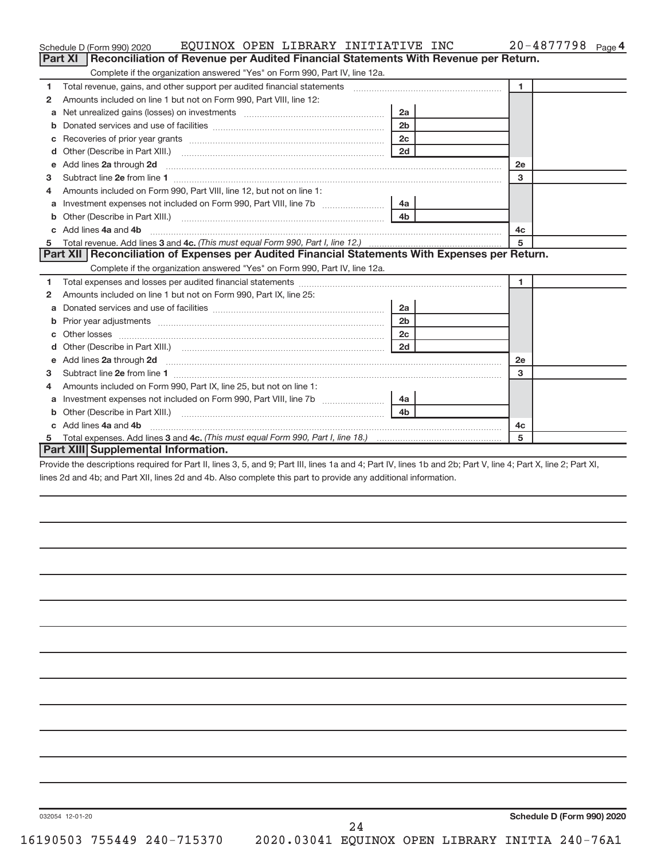|    | EQUINOX OPEN LIBRARY INITIATIVE INC<br>Schedule D (Form 990) 2020                                                                                            |                |                | $20 - 4877798$ Page 4 |
|----|--------------------------------------------------------------------------------------------------------------------------------------------------------------|----------------|----------------|-----------------------|
|    | Reconciliation of Revenue per Audited Financial Statements With Revenue per Return.<br><b>Part XI</b>                                                        |                |                |                       |
|    | Complete if the organization answered "Yes" on Form 990, Part IV, line 12a.                                                                                  |                |                |                       |
| 1  | Total revenue, gains, and other support per audited financial statements [111] [11] Total revenue, gains, and other support per audited financial statements |                | $\mathbf{1}$   |                       |
| 2  | Amounts included on line 1 but not on Form 990, Part VIII, line 12:                                                                                          |                |                |                       |
| a  | Net unrealized gains (losses) on investments [111] [12] matter contracts and a set of the set of the set of the                                              | 2a             |                |                       |
|    |                                                                                                                                                              | 2 <sub>b</sub> |                |                       |
| с  |                                                                                                                                                              | 2c             |                |                       |
| d  |                                                                                                                                                              | 2d             |                |                       |
| е  |                                                                                                                                                              |                | 2е             |                       |
| 3  |                                                                                                                                                              |                | 3              |                       |
| 4  | Amounts included on Form 990, Part VIII, line 12, but not on line 1:                                                                                         |                |                |                       |
|    |                                                                                                                                                              | 4a             |                |                       |
| b  |                                                                                                                                                              | 4 <sub>h</sub> |                |                       |
| C. | Add lines 4a and 4b                                                                                                                                          |                | 4с             |                       |
| 5  |                                                                                                                                                              |                | 5              |                       |
|    | Part XII Reconciliation of Expenses per Audited Financial Statements With Expenses per Return.                                                               |                |                |                       |
|    | Complete if the organization answered "Yes" on Form 990, Part IV, line 12a.                                                                                  |                |                |                       |
| 1  |                                                                                                                                                              |                | $\blacksquare$ |                       |
| 2  | Amounts included on line 1 but not on Form 990, Part IX, line 25:                                                                                            |                |                |                       |
| a  |                                                                                                                                                              | 2a             |                |                       |
| b  |                                                                                                                                                              | 2 <sub>b</sub> |                |                       |
|    |                                                                                                                                                              | 2 <sub>c</sub> |                |                       |
|    |                                                                                                                                                              | 2d             |                |                       |
| е  |                                                                                                                                                              |                | <b>2e</b>      |                       |
| 3. |                                                                                                                                                              |                | 3              |                       |
| 4  | Amounts included on Form 990, Part IX, line 25, but not on line 1:                                                                                           |                |                |                       |
| а  | Investment expenses not included on Form 990, Part VIII, line 7b [11, 111]                                                                                   | 4a             |                |                       |
|    |                                                                                                                                                              | 4 <sub>b</sub> |                |                       |
|    | Add lines 4a and 4b                                                                                                                                          |                | 4c             |                       |
| 5  |                                                                                                                                                              |                | 5              |                       |
|    | Part XIII Supplemental Information.                                                                                                                          |                |                |                       |

Provide the descriptions required for Part II, lines 3, 5, and 9; Part III, lines 1a and 4; Part IV, lines 1b and 2b; Part V, line 4; Part X, line 2; Part XI, lines 2d and 4b; and Part XII, lines 2d and 4b. Also complete this part to provide any additional information.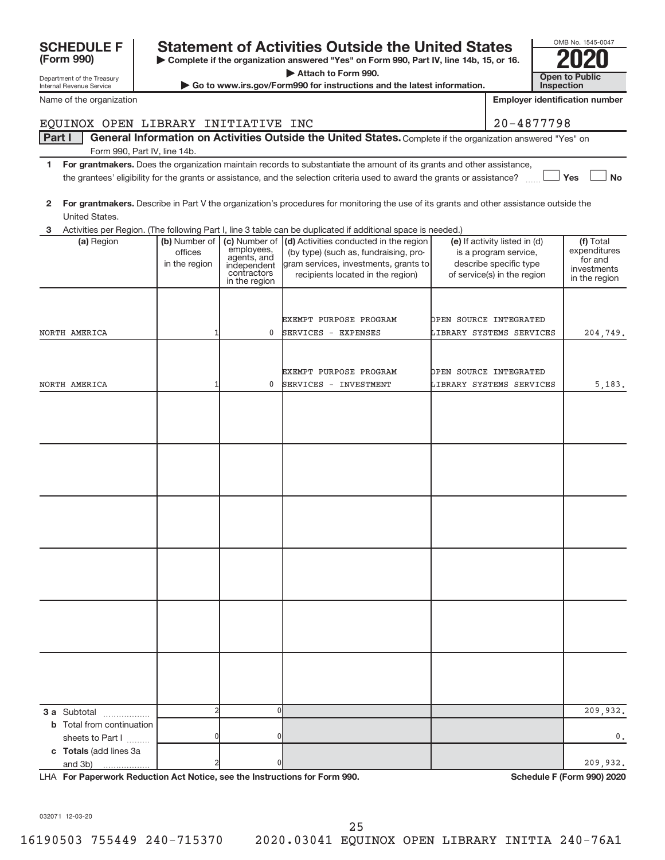| 032071 12-03-20 |                            |                                                 |     |  |  |
|-----------------|----------------------------|-------------------------------------------------|-----|--|--|
|                 | 16190503 755449 240-715370 | 2020.03041 EQUINOX OPEN LIBRARY INITIA 240-76A1 | -25 |  |  |
|                 |                            |                                                 |     |  |  |

2 0 0 209,932.

0 0 0.

| <b>SCHEDULE F</b><br>(Form 990)<br>Department of the Treasury<br>Internal Revenue Service | <b>Statement of Activities Outside the United States</b><br>► Complete if the organization answered "Yes" on Form 990, Part IV, line 14b, 15, or 16.<br>Attach to Form 990.<br>► Go to www.irs.gov/Form990 for instructions and the latest information. | OMB No. 1545-004<br><b>Open to Public</b><br>Inspection |
|-------------------------------------------------------------------------------------------|---------------------------------------------------------------------------------------------------------------------------------------------------------------------------------------------------------------------------------------------------------|---------------------------------------------------------|
| Name of the organization                                                                  |                                                                                                                                                                                                                                                         | <b>Employer identification num</b>                      |
|                                                                                           | EOUINOX OPEN LIBRARY INITIATIVE INC                                                                                                                                                                                                                     | 20-4877798                                              |
| Part I                                                                                    | General Information on Activities Outside the United States. Complete if the organization answered "Yes" on                                                                                                                                             |                                                         |
|                                                                                           | Form 990, Part IV, line 14b.                                                                                                                                                                                                                            |                                                         |
|                                                                                           | For grantmakers. Does the organization maintain records to substantiate the amount of its grants and other assistance,<br>the grantees' eligibility for the grants or assistance, and the selection criteria used to award the grants or assistance?    | Yes                                                     |
| $\mathbf{2}$<br>United States.                                                            | For grantmakers. Describe in Part V the organization's procedures for monitoring the use of its grants and other assistance outside the                                                                                                                 |                                                         |

| OMB No. 1545-0047     |
|-----------------------|
|                       |
|                       |
| <b>Open to Public</b> |
| <b>Inspection</b>     |

|  | <b>Employer identification number</b> |  |
|--|---------------------------------------|--|
|  |                                       |  |

| 20-4877798 |  |  |  |
|------------|--|--|--|

- **Yes No** grants and other assistance, ne grants or assistance?  $~\ldots$  L
- its grants and other assistance outside the

| UHILGU OLALGS. |                          |                                                                          |                                                                                                                                                                                                           |                                                                                                                 |                                                                      |
|----------------|--------------------------|--------------------------------------------------------------------------|-----------------------------------------------------------------------------------------------------------------------------------------------------------------------------------------------------------|-----------------------------------------------------------------------------------------------------------------|----------------------------------------------------------------------|
| 3              |                          |                                                                          | Activities per Region. (The following Part I, line 3 table can be duplicated if additional space is needed.)                                                                                              |                                                                                                                 |                                                                      |
| (a) Region     | offices<br>in the region | employees,<br>agents, and<br>independent<br>contractors<br>in the region | (b) Number of $\vert$ (c) Number of $\vert$ (d) Activities conducted in the region<br>(by type) (such as, fundraising, pro-<br>gram services, investments, grants to<br>recipients located in the region) | (e) If activity listed in (d)<br>is a program service,<br>describe specific type<br>of service(s) in the region | (f) Total<br>expenditures<br>for and<br>investments<br>in the region |
| NORTH AMERICA  |                          | 0                                                                        | EXEMPT PURPOSE PROGRAM<br>SERVICES - EXPENSES                                                                                                                                                             | OPEN SOURCE INTEGRATED<br>LIBRARY SYSTEMS SERVICES                                                              | 204,749.                                                             |
| NORTH AMERICA  |                          | $\mathbf{0}$                                                             | EXEMPT PURPOSE PROGRAM<br>SERVICES - INVESTMENT                                                                                                                                                           | OPEN SOURCE INTEGRATED<br>LIBRARY SYSTEMS SERVICES                                                              | 5, 183.                                                              |
|                |                          |                                                                          |                                                                                                                                                                                                           |                                                                                                                 |                                                                      |
|                |                          |                                                                          |                                                                                                                                                                                                           |                                                                                                                 |                                                                      |
|                |                          |                                                                          |                                                                                                                                                                                                           |                                                                                                                 |                                                                      |

2 0 209,932.

**3 a** Subtotal .................. **b** Total from continuation

**c Totals**  (add lines 3a

and 3b)

sheets to Part I  $\ldots$ ...

LHA For Paperwork Reduction Act Notice, see the Instructions for Form 990. **In the case of the Schedule F (Form 990) 2020**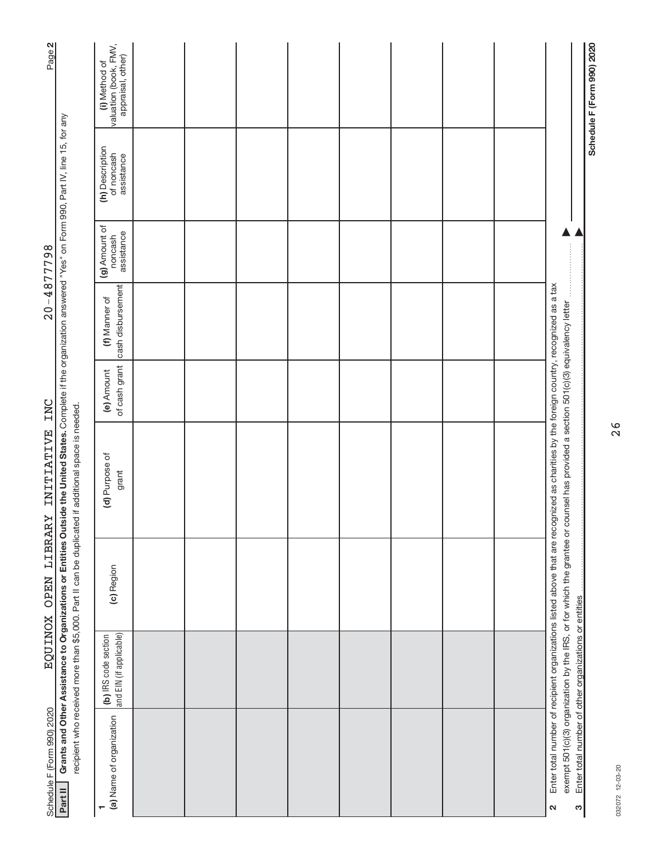| Page 2                     |                                                                                                                                                                                                                                                                              | (i) Method of<br>valuation (book, FMV,<br>appraisal, other) |  |  |  |  |                                                                                                                                                                                                        | Schedule F (Form 990) 2020                            |
|----------------------------|------------------------------------------------------------------------------------------------------------------------------------------------------------------------------------------------------------------------------------------------------------------------------|-------------------------------------------------------------|--|--|--|--|--------------------------------------------------------------------------------------------------------------------------------------------------------------------------------------------------------|-------------------------------------------------------|
|                            |                                                                                                                                                                                                                                                                              | (h) Description<br>of noncash<br>assistance                 |  |  |  |  |                                                                                                                                                                                                        |                                                       |
| $20 - 4877798$             |                                                                                                                                                                                                                                                                              | (g) Amount of<br>assistance<br>noncash                      |  |  |  |  |                                                                                                                                                                                                        |                                                       |
|                            |                                                                                                                                                                                                                                                                              | cash disbursement<br>(f) Manner of                          |  |  |  |  |                                                                                                                                                                                                        |                                                       |
| INC                        |                                                                                                                                                                                                                                                                              | of cash grant<br>(e) Amount                                 |  |  |  |  |                                                                                                                                                                                                        |                                                       |
| <b>INITIATIVE</b>          | Grants and Other Assistance to Organizations or Entities Outside the United States. Complete if the organization answered "Yes" on Form 990, Part IV, line 15, for any<br>recipient who received more than \$5,000. Part II can be duplicated if additional space is needed. | (d) Purpose of<br>grant                                     |  |  |  |  | Enter total number of recipient organizations listed above that are recognized as charities by the foreign country, recognized as a tax<br>counsel has provided a section 501(c)(3) equivalency letter |                                                       |
| LIBRARY<br><b>OPEN</b>     |                                                                                                                                                                                                                                                                              | (c) Region                                                  |  |  |  |  | exempt 501(c)(3) organization by the IRS, or for which the grantee or                                                                                                                                  |                                                       |
| EQUINOX                    |                                                                                                                                                                                                                                                                              | and EIN (if applicable)<br>(b) IRS code section             |  |  |  |  |                                                                                                                                                                                                        |                                                       |
| Schedule F (Form 990) 2020 | Part II                                                                                                                                                                                                                                                                      | (a) Name of organization                                    |  |  |  |  | w<br>$\mathbf{\Omega}$                                                                                                                                                                                 | Enter total number of other organizations or entities |

032072 12-03-20 032072 12-03-20

26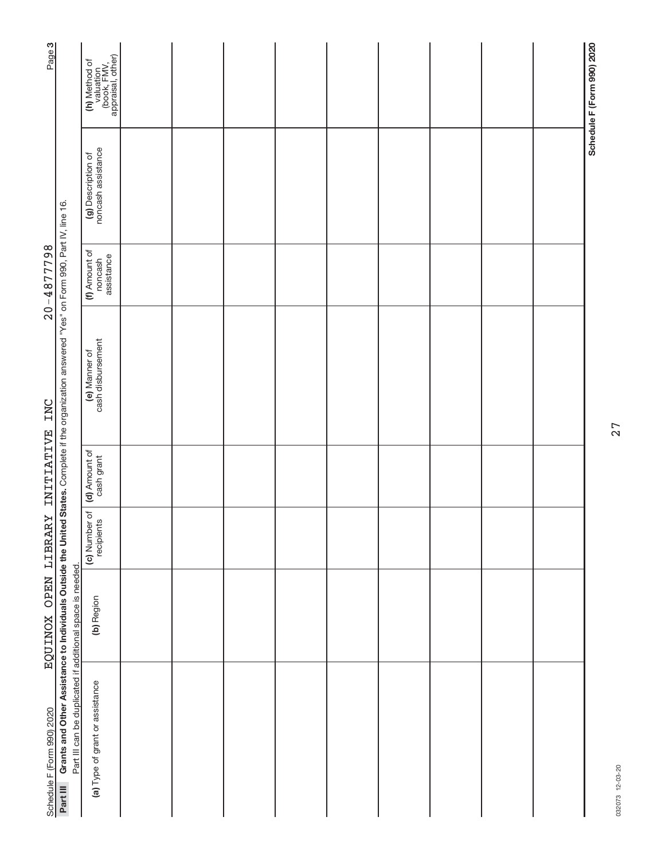| Page <sub>3</sub>                   |                                                                                                                                                  | (h) Method of<br>valuation<br>(book, FMV,<br>appraisal, other) |  |  |  |  | Schedule F (Form 990) 2020 |
|-------------------------------------|--------------------------------------------------------------------------------------------------------------------------------------------------|----------------------------------------------------------------|--|--|--|--|----------------------------|
|                                     |                                                                                                                                                  | (g) Description of<br>noncash assistance                       |  |  |  |  |                            |
| $20 - 4877798$                      |                                                                                                                                                  | (f) Amount of<br>assistance<br>noncash                         |  |  |  |  |                            |
|                                     | Grants and Other Assistance to Individuals Outside the United States. Complete if the organization answered "Yes" on Form 990, Part IV, line 16. | cash disbursement<br>(e) Manner of                             |  |  |  |  |                            |
|                                     |                                                                                                                                                  | (d) Amount of<br>cash grant                                    |  |  |  |  |                            |
|                                     |                                                                                                                                                  | (c) Number of<br>recipients                                    |  |  |  |  |                            |
| EQUINOX OPEN LIBRARY INITIATIVE INC |                                                                                                                                                  | (b) Region                                                     |  |  |  |  |                            |
| Schedule F (Form 990) 2020          | Part III can be duplicated if additional space is needed.<br>Part III                                                                            | (a) Type of grant or assistance                                |  |  |  |  |                            |

032073 12-03-20 032073 12-03-20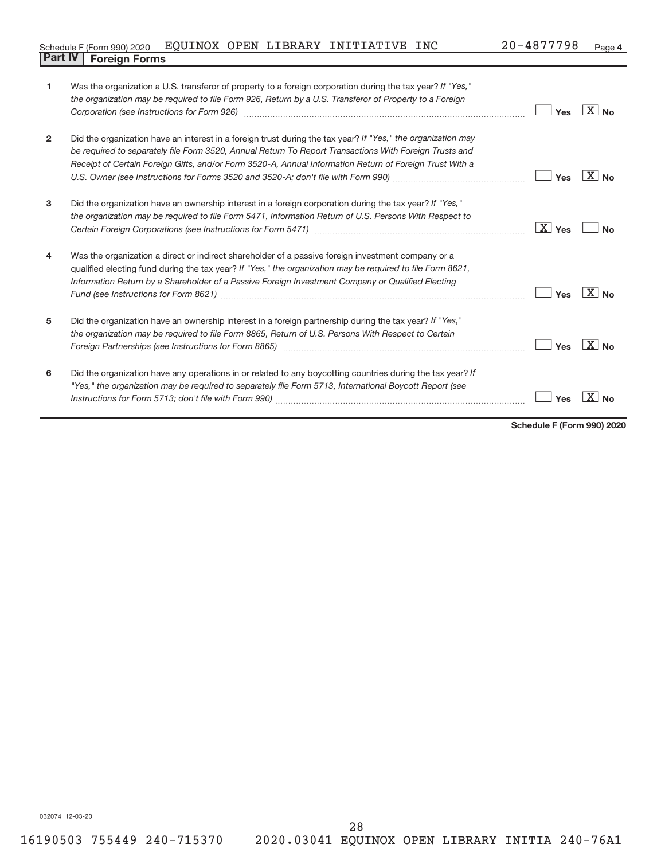| Schedule F (Form 990) 2020 EQUINOX OPEN LIBRARY INITIATIVE INC |  |  | 20-4877798 | Page 4 |
|----------------------------------------------------------------|--|--|------------|--------|
| <b>Part IV   Foreign Forms</b>                                 |  |  |            |        |

| 1              | Was the organization a U.S. transferor of property to a foreign corporation during the tax year? If "Yes,"<br>the organization may be required to file Form 926, Return by a U.S. Transferor of Property to a Foreign<br>Corporation (see Instructions for Form 926)                                                              | Yes     | $\overline{X}$ No     |
|----------------|-----------------------------------------------------------------------------------------------------------------------------------------------------------------------------------------------------------------------------------------------------------------------------------------------------------------------------------|---------|-----------------------|
| $\overline{2}$ | Did the organization have an interest in a foreign trust during the tax year? If "Yes," the organization may<br>be required to separately file Form 3520, Annual Return To Report Transactions With Foreign Trusts and<br>Receipt of Certain Foreign Gifts, and/or Form 3520-A, Annual Information Return of Foreign Trust With a | Yes     | $X_{\text{No}}$       |
| 3              | Did the organization have an ownership interest in a foreign corporation during the tax year? If "Yes,"<br>the organization may be required to file Form 5471, Information Return of U.S. Persons With Respect to                                                                                                                 | $X$ Yes | No                    |
| $\overline{4}$ | Was the organization a direct or indirect shareholder of a passive foreign investment company or a<br>qualified electing fund during the tax year? If "Yes," the organization may be required to file Form 8621,<br>Information Return by a Shareholder of a Passive Foreign Investment Company or Qualified Electing             | Yes     | $\boxed{\text{X}}$ No |
| 5              | Did the organization have an ownership interest in a foreign partnership during the tax year? If "Yes,"<br>the organization may be required to file Form 8865, Return of U.S. Persons With Respect to Certain                                                                                                                     | Yes     | $\boxed{\text{X}}$ No |
| 6              | Did the organization have any operations in or related to any boycotting countries during the tax year? If<br>"Yes," the organization may be required to separately file Form 5713, International Boycott Report (see                                                                                                             | Yes     |                       |

**Schedule F (Form 990) 2020**

032074 12-03-20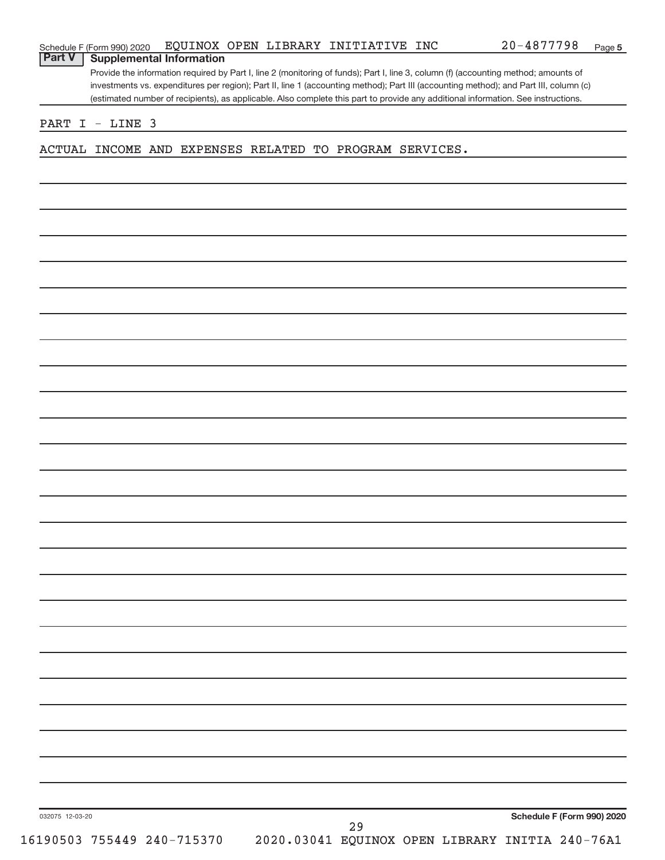## **Part V Supplemental Information**

Provide the information required by Part I, line 2 (monitoring of funds); Part I, line 3, column (f) (accounting method; amounts of investments vs. expenditures per region); Part II, line 1 (accounting method); Part III (accounting method); and Part III, column (c) (estimated number of recipients), as applicable. Also complete this part to provide any additional information. See instructions.

#### PART I - LINE 3

ACTUAL INCOME AND EXPENSES RELATED TO PROGRAM SERVICES.

032075 12-03-20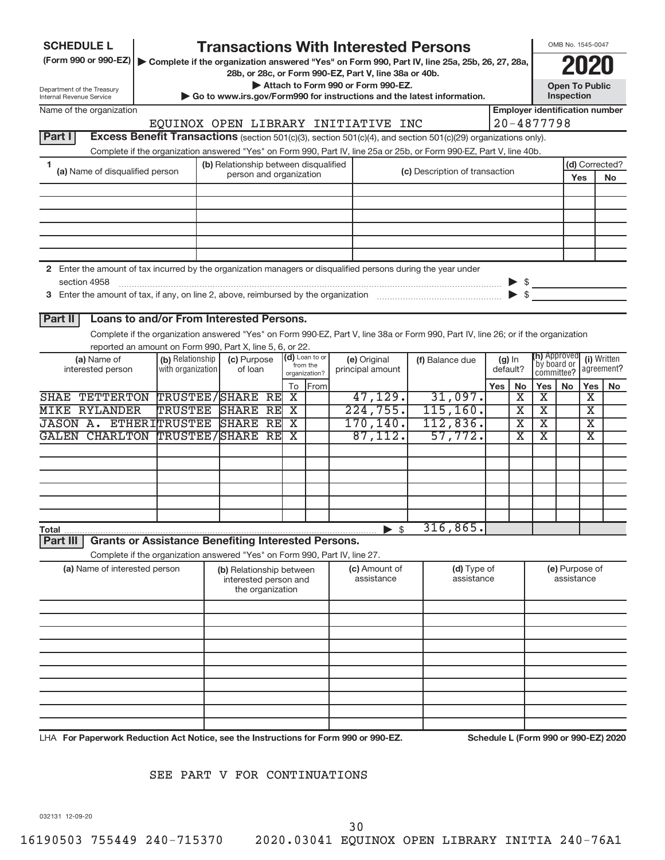| <b>SCHEDULE L</b>                                      |                                 |                      | <b>Transactions With Interested Persons</b>                                          |                                                                                                                 |  |                                    |                                                                                                                                    |                                      |                             | OMB No. 1545-0047                   |                         |
|--------------------------------------------------------|---------------------------------|----------------------|--------------------------------------------------------------------------------------|-----------------------------------------------------------------------------------------------------------------|--|------------------------------------|------------------------------------------------------------------------------------------------------------------------------------|--------------------------------------|-----------------------------|-------------------------------------|-------------------------|
| (Form 990 or 990-EZ)                                   |                                 |                      |                                                                                      |                                                                                                                 |  |                                    | Complete if the organization answered "Yes" on Form 990, Part IV, line 25a, 25b, 26, 27, 28a,                                      |                                      |                             |                                     |                         |
|                                                        |                                 |                      | 28b, or 28c, or Form 990-EZ, Part V, line 38a or 40b.                                |                                                                                                                 |  |                                    |                                                                                                                                    |                                      |                             |                                     |                         |
| Department of the Treasury<br>Internal Revenue Service |                                 |                      |                                                                                      |                                                                                                                 |  | Attach to Form 990 or Form 990-EZ. |                                                                                                                                    |                                      |                             | <b>Open To Public</b><br>Inspection |                         |
| Name of the organization                               |                                 |                      |                                                                                      | Go to www.irs.gov/Form990 for instructions and the latest information.<br><b>Employer identification number</b> |  |                                    |                                                                                                                                    |                                      |                             |                                     |                         |
|                                                        |                                 |                      | EQUINOX OPEN LIBRARY INITIATIVE INC                                                  |                                                                                                                 |  |                                    |                                                                                                                                    | $20 - 4877798$                       |                             |                                     |                         |
| Part I                                                 |                                 |                      |                                                                                      |                                                                                                                 |  |                                    | Excess Benefit Transactions (section 501(c)(3), section 501(c)(4), and section 501(c)(29) organizations only).                     |                                      |                             |                                     |                         |
|                                                        |                                 |                      |                                                                                      |                                                                                                                 |  |                                    | Complete if the organization answered "Yes" on Form 990, Part IV, line 25a or 25b, or Form 990-EZ, Part V, line 40b.               |                                      |                             |                                     |                         |
| 1                                                      | (a) Name of disqualified person |                      | (b) Relationship between disqualified<br>person and organization                     |                                                                                                                 |  |                                    | (c) Description of transaction                                                                                                     |                                      |                             |                                     | (d) Corrected?          |
|                                                        |                                 |                      |                                                                                      |                                                                                                                 |  |                                    |                                                                                                                                    |                                      |                             | Yes                                 | No                      |
|                                                        |                                 |                      |                                                                                      |                                                                                                                 |  |                                    |                                                                                                                                    |                                      |                             |                                     |                         |
|                                                        |                                 |                      |                                                                                      |                                                                                                                 |  |                                    |                                                                                                                                    |                                      |                             |                                     |                         |
|                                                        |                                 |                      |                                                                                      |                                                                                                                 |  |                                    |                                                                                                                                    |                                      |                             |                                     |                         |
|                                                        |                                 |                      |                                                                                      |                                                                                                                 |  |                                    |                                                                                                                                    |                                      |                             |                                     |                         |
|                                                        |                                 |                      |                                                                                      |                                                                                                                 |  |                                    |                                                                                                                                    |                                      |                             |                                     |                         |
| section 4958                                           |                                 |                      |                                                                                      |                                                                                                                 |  |                                    | 2 Enter the amount of tax incurred by the organization managers or disqualified persons during the year under                      |                                      | $\blacktriangleright$ \$    |                                     |                         |
|                                                        |                                 |                      |                                                                                      |                                                                                                                 |  |                                    |                                                                                                                                    | $\triangleright$ s                   |                             |                                     |                         |
|                                                        |                                 |                      |                                                                                      |                                                                                                                 |  |                                    |                                                                                                                                    |                                      |                             |                                     |                         |
| Part II                                                |                                 |                      | Loans to and/or From Interested Persons.                                             |                                                                                                                 |  |                                    |                                                                                                                                    |                                      |                             |                                     |                         |
|                                                        |                                 |                      |                                                                                      |                                                                                                                 |  |                                    | Complete if the organization answered "Yes" on Form 990-EZ, Part V, line 38a or Form 990, Part IV, line 26; or if the organization |                                      |                             |                                     |                         |
|                                                        | (a) Name of                     | (b) Relationship     | reported an amount on Form 990, Part X, line 5, 6, or 22.<br>(c) Purpose             | (d) Loan to or                                                                                                  |  |                                    |                                                                                                                                    |                                      | (h) Approved                |                                     | (i) Written             |
|                                                        | interested person               | with organization    | of loan                                                                              | from the<br>organization?                                                                                       |  | (e) Original<br>principal amount   | (f) Balance due                                                                                                                    | $(g)$ In<br>default?                 | by board or<br>committee?   |                                     | agreement?              |
|                                                        |                                 |                      |                                                                                      | From<br>To                                                                                                      |  |                                    |                                                                                                                                    | Yes<br>No                            | Yes                         | No                                  | Yes<br><b>No</b>        |
| SHAE                                                   | <b>TETTERTON</b>                | TRUSTEE/SHARE        | RE                                                                                   | X                                                                                                               |  | 47, 129.                           | 31,097.                                                                                                                            | $\overline{\mathbf{x}}$              | $\overline{\mathbf{X}}$     |                                     | $\overline{\textbf{x}}$ |
| <b>MIKE RYLANDER</b>                                   |                                 | TRUSTEE              | <b>SHARE</b><br><b>RE</b>                                                            | $\overline{\textnormal{x}}$                                                                                     |  | 224,755.                           | 115, 160.                                                                                                                          | $\overline{\textnormal{x}}$          | $\overline{\textnormal{x}}$ |                                     | $\overline{\textbf{x}}$ |
|                                                        | <b>JASON A. ETHERITRUSTEE</b>   |                      | <b>SHARE</b><br>RE                                                                   | $\overline{\textbf{x}}$                                                                                         |  | 170, 140.                          | 112,836.                                                                                                                           | $\overline{\mathbf{x}}$              | $\overline{\textbf{X}}$     |                                     | $\overline{\textbf{x}}$ |
| GALEN                                                  | <b>CHARLTON</b>                 | <b>TRUSTEE/SHARE</b> | RE                                                                                   | $\overline{\textnormal{x}}$                                                                                     |  | 87,112.                            | 57,772.                                                                                                                            | X                                    | X                           |                                     | X                       |
|                                                        |                                 |                      |                                                                                      |                                                                                                                 |  |                                    |                                                                                                                                    |                                      |                             |                                     |                         |
|                                                        |                                 |                      |                                                                                      |                                                                                                                 |  |                                    |                                                                                                                                    |                                      |                             |                                     |                         |
|                                                        |                                 |                      |                                                                                      |                                                                                                                 |  |                                    |                                                                                                                                    |                                      |                             |                                     |                         |
|                                                        |                                 |                      |                                                                                      |                                                                                                                 |  |                                    |                                                                                                                                    |                                      |                             |                                     |                         |
|                                                        |                                 |                      |                                                                                      |                                                                                                                 |  |                                    |                                                                                                                                    |                                      |                             |                                     |                         |
| Total                                                  |                                 |                      |                                                                                      |                                                                                                                 |  | $\triangleright$ \$                | 316,865.                                                                                                                           |                                      |                             |                                     |                         |
| Part III                                               |                                 |                      | <b>Grants or Assistance Benefiting Interested Persons.</b>                           |                                                                                                                 |  |                                    |                                                                                                                                    |                                      |                             |                                     |                         |
|                                                        |                                 |                      | Complete if the organization answered "Yes" on Form 990, Part IV, line 27.           |                                                                                                                 |  |                                    |                                                                                                                                    |                                      |                             |                                     |                         |
|                                                        | (a) Name of interested person   |                      | (b) Relationship between<br>interested person and                                    |                                                                                                                 |  | (c) Amount of<br>assistance        | (d) Type of<br>assistance                                                                                                          |                                      |                             | (e) Purpose of<br>assistance        |                         |
|                                                        |                                 |                      | the organization                                                                     |                                                                                                                 |  |                                    |                                                                                                                                    |                                      |                             |                                     |                         |
|                                                        |                                 |                      |                                                                                      |                                                                                                                 |  |                                    |                                                                                                                                    |                                      |                             |                                     |                         |
|                                                        |                                 |                      |                                                                                      |                                                                                                                 |  |                                    |                                                                                                                                    |                                      |                             |                                     |                         |
|                                                        |                                 |                      |                                                                                      |                                                                                                                 |  |                                    |                                                                                                                                    |                                      |                             |                                     |                         |
|                                                        |                                 |                      |                                                                                      |                                                                                                                 |  |                                    |                                                                                                                                    |                                      |                             |                                     |                         |
|                                                        |                                 |                      |                                                                                      |                                                                                                                 |  |                                    |                                                                                                                                    |                                      |                             |                                     |                         |
|                                                        |                                 |                      |                                                                                      |                                                                                                                 |  |                                    |                                                                                                                                    |                                      |                             |                                     |                         |
|                                                        |                                 |                      |                                                                                      |                                                                                                                 |  |                                    |                                                                                                                                    |                                      |                             |                                     |                         |
|                                                        |                                 |                      |                                                                                      |                                                                                                                 |  |                                    |                                                                                                                                    |                                      |                             |                                     |                         |
|                                                        |                                 |                      |                                                                                      |                                                                                                                 |  |                                    |                                                                                                                                    |                                      |                             |                                     |                         |
|                                                        |                                 |                      | LHA For Paperwork Reduction Act Notice, see the Instructions for Form 990 or 990-EZ. |                                                                                                                 |  |                                    |                                                                                                                                    | Schedule L (Form 990 or 990-EZ) 2020 |                             |                                     |                         |

### SEE PART V FOR CONTINUATIONS

032131 12-09-20

30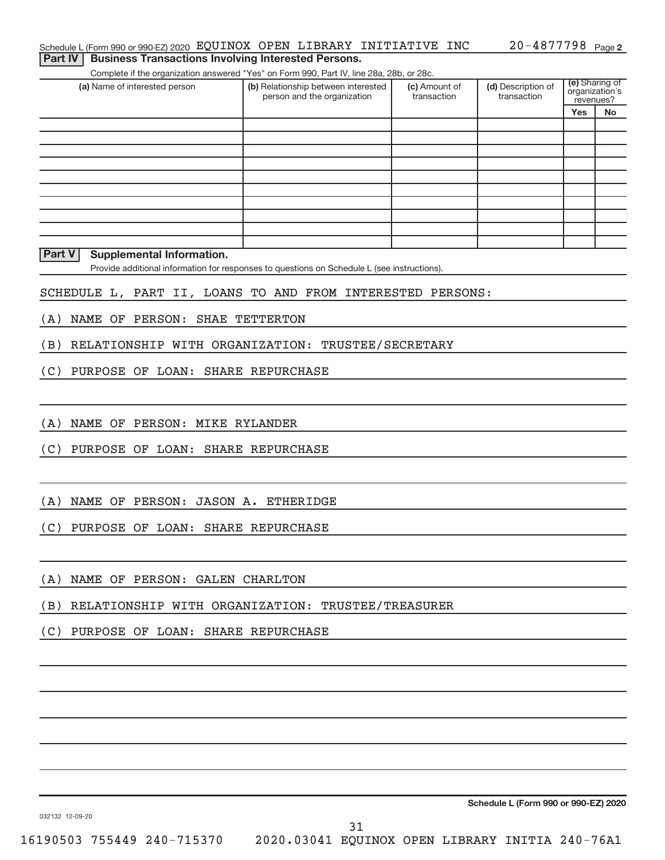**Yes No**

(e) Sharing of organization's revenues?

(a) Name of interested person (b) Relationship between interested (c) Amount of (d) Description of (e) Schedule L (Form 990 or 990-EZ) 2020  $\,$  EQUINOX  $\,$  OPEN <code>LIBRARY INITIATIVE</code> <code>INC</code>  $\,$  <code>20–4877798</code> <code>Page</code> Complete if the organization answered "Yes" on Form 990, Part IV, line 28a, 28b, or 28c. person and the organization (c) Amount of transaction (d) Description of transaction Provide additional information for responses to questions on Schedule L (see instructions). **Part IV | Business Transactions Involving Interested Persons. Part V Supplemental Information.** SCHEDULE L, PART II, LOANS TO AND FROM INTERESTED PERSONS: (A) NAME OF PERSON: SHAE TETTERTON (B) RELATIONSHIP WITH ORGANIZATION: TRUSTEE/SECRETARY (C) PURPOSE OF LOAN: SHARE REPURCHASE (A) NAME OF PERSON: MIKE RYLANDER (C) PURPOSE OF LOAN: SHARE REPURCHASE (A) NAME OF PERSON: JASON A. ETHERIDGE (C) PURPOSE OF LOAN: SHARE REPURCHASE

(A) NAME OF PERSON: GALEN CHARLTON

(B) RELATIONSHIP WITH ORGANIZATION: TRUSTEE/TREASURER

(C) PURPOSE OF LOAN: SHARE REPURCHASE

**Schedule L (Form 990 or 990-EZ) 2020**

032132 12-09-20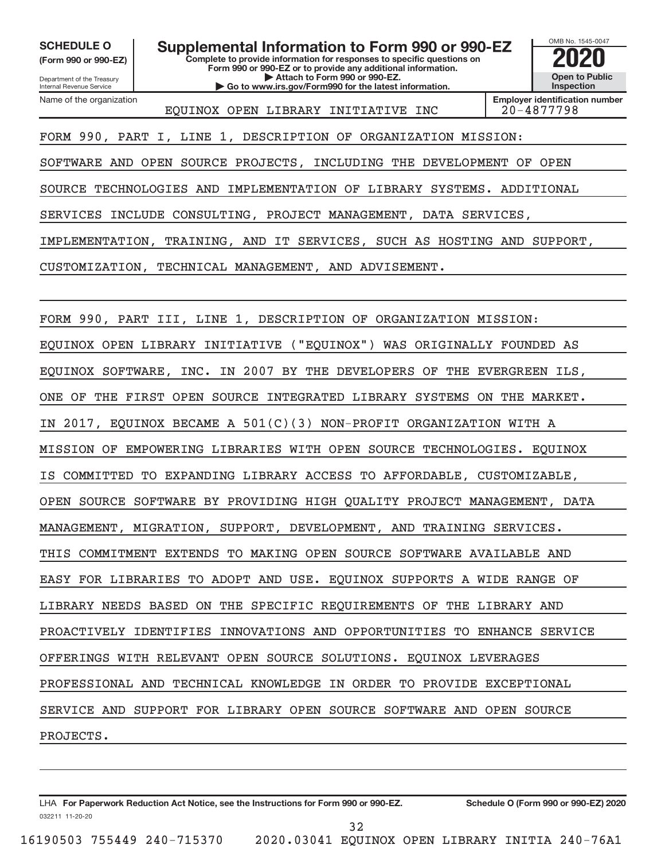**(Form 990 or 990-EZ)**

**SCHEDULE O Supplemental Information to Form 990 or 990-EZ 2020**<br>(Form 990 or 990-EZ) **2020** Complete to provide information for responses to specific questions on

**Complete to provide information for responses to specific questions on Form 990 or 990-EZ or to provide any additional information. | Attach to Form 990 or 990-EZ. | Go to www.irs.gov/Form990 for the latest information.**

Department of the Treasury Internal Revenue Service Name of the organization

EQUINOX OPEN LIBRARY INITIATIVE INC 20-4877798

**Employer identification number**

OMB No. 1545-0047

**Open to Public Inspection**

FORM 990, PART I, LINE 1, DESCRIPTION OF ORGANIZATION MISSION:

SOFTWARE AND OPEN SOURCE PROJECTS, INCLUDING THE DEVELOPMENT OF OPEN

SOURCE TECHNOLOGIES AND IMPLEMENTATION OF LIBRARY SYSTEMS. ADDITIONAL

SERVICES INCLUDE CONSULTING, PROJECT MANAGEMENT, DATA SERVICES,

IMPLEMENTATION, TRAINING, AND IT SERVICES, SUCH AS HOSTING AND SUPPORT,

CUSTOMIZATION, TECHNICAL MANAGEMENT, AND ADVISEMENT.

FORM 990, PART III, LINE 1, DESCRIPTION OF ORGANIZATION MISSION: EQUINOX OPEN LIBRARY INITIATIVE ("EQUINOX") WAS ORIGINALLY FOUNDED AS EQUINOX SOFTWARE, INC. IN 2007 BY THE DEVELOPERS OF THE EVERGREEN ILS, ONE OF THE FIRST OPEN SOURCE INTEGRATED LIBRARY SYSTEMS ON THE MARKET. IN 2017, EQUINOX BECAME A 501(C)(3) NON-PROFIT ORGANIZATION WITH A MISSION OF EMPOWERING LIBRARIES WITH OPEN SOURCE TECHNOLOGIES. EQUINOX IS COMMITTED TO EXPANDING LIBRARY ACCESS TO AFFORDABLE, CUSTOMIZABLE, OPEN SOURCE SOFTWARE BY PROVIDING HIGH QUALITY PROJECT MANAGEMENT, DATA MANAGEMENT, MIGRATION, SUPPORT, DEVELOPMENT, AND TRAINING SERVICES. THIS COMMITMENT EXTENDS TO MAKING OPEN SOURCE SOFTWARE AVAILABLE AND EASY FOR LIBRARIES TO ADOPT AND USE. EQUINOX SUPPORTS A WIDE RANGE OF LIBRARY NEEDS BASED ON THE SPECIFIC REQUIREMENTS OF THE LIBRARY AND PROACTIVELY IDENTIFIES INNOVATIONS AND OPPORTUNITIES TO ENHANCE SERVICE OFFERINGS WITH RELEVANT OPEN SOURCE SOLUTIONS. EQUINOX LEVERAGES PROFESSIONAL AND TECHNICAL KNOWLEDGE IN ORDER TO PROVIDE EXCEPTIONAL SERVICE AND SUPPORT FOR LIBRARY OPEN SOURCE SOFTWARE AND OPEN SOURCE PROJECTS.

032211 11-20-20 **For Paperwork Reduction Act Notice, see the Instructions for Form 990 or 990-EZ. Schedule O (Form 990 or 990-EZ) 2020** LHA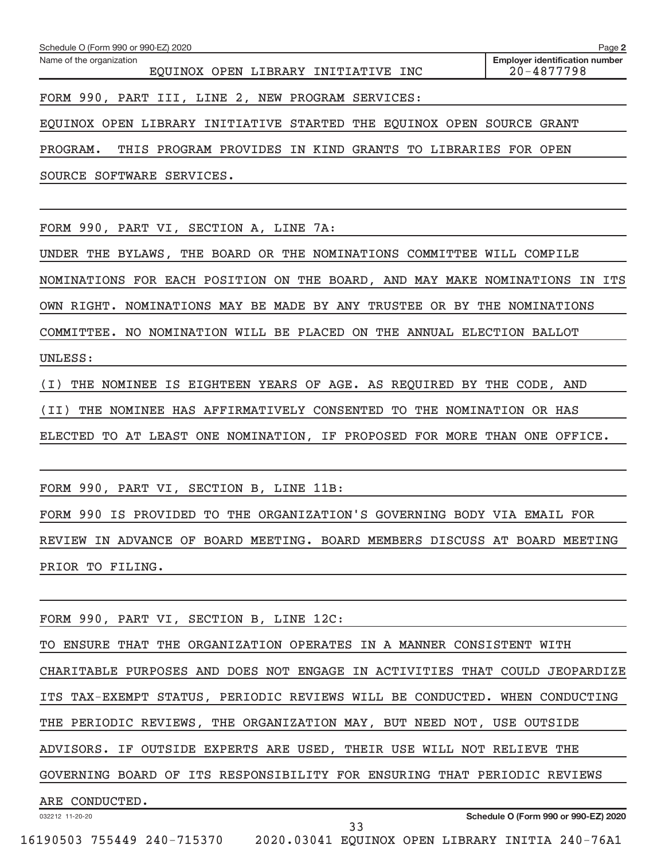| Name of the organization<br>EQUINOX OPEN LIBRARY INITIATIVE INC             | <b>Employer identification number</b><br>20-4877798 |
|-----------------------------------------------------------------------------|-----------------------------------------------------|
| FORM 990, PART III, LINE 2, NEW PROGRAM SERVICES:                           |                                                     |
| EQUINOX OPEN LIBRARY INITIATIVE STARTED THE EQUINOX OPEN SOURCE GRANT       |                                                     |
| PROGRAM.<br>THIS PROGRAM PROVIDES IN KIND GRANTS TO LIBRARIES FOR OPEN      |                                                     |
| SOURCE SOFTWARE SERVICES.                                                   |                                                     |
|                                                                             |                                                     |
| FORM 990, PART VI, SECTION A, LINE 7A:                                      |                                                     |
| UNDER THE BYLAWS, THE BOARD OR THE NOMINATIONS COMMITTEE WILL COMPILE       |                                                     |
| NOMINATIONS FOR EACH POSITION ON THE BOARD, AND MAY MAKE NOMINATIONS IN ITS |                                                     |
| OWN RIGHT. NOMINATIONS MAY BE MADE BY ANY TRUSTEE OR BY THE NOMINATIONS     |                                                     |
| COMMITTEE. NO NOMINATION WILL BE PLACED ON THE ANNUAL ELECTION BALLOT       |                                                     |
| UNLESS:                                                                     |                                                     |
| THE NOMINEE IS EIGHTEEN YEARS OF AGE. AS REQUIRED BY THE CODE, AND<br>(I)   |                                                     |
| (II)<br>THE NOMINEE HAS AFFIRMATIVELY CONSENTED TO THE NOMINATION OR HAS    |                                                     |
| ELECTED TO AT LEAST ONE NOMINATION, IF PROPOSED FOR MORE THAN ONE OFFICE.   |                                                     |
|                                                                             |                                                     |
| FORM 990, PART VI, SECTION B, LINE 11B:                                     |                                                     |
| FORM 990 IS PROVIDED TO THE ORGANIZATION'S GOVERNING BODY VIA EMAIL FOR     |                                                     |
| REVIEW IN ADVANCE OF BOARD MEETING. BOARD MEMBERS DISCUSS AT BOARD MEETING  |                                                     |
| PRIOR TO FILING.                                                            |                                                     |
|                                                                             |                                                     |
| FORM 990, PART VI, SECTION B, LINE 12C:                                     |                                                     |
| TO ENSURE THAT THE ORGANIZATION OPERATES IN A MANNER CONSISTENT WITH        |                                                     |
| CHARITABLE PURPOSES AND DOES NOT ENGAGE IN ACTIVITIES THAT COULD JEOPARDIZE |                                                     |
| ITS TAX-EXEMPT STATUS, PERIODIC REVIEWS WILL BE CONDUCTED. WHEN CONDUCTING  |                                                     |
| THE PERIODIC REVIEWS, THE ORGANIZATION MAY, BUT NEED NOT, USE OUTSIDE       |                                                     |
| ADVISORS. IF OUTSIDE EXPERTS ARE USED, THEIR USE WILL NOT RELIEVE THE       |                                                     |
| GOVERNING BOARD OF ITS RESPONSIBILITY FOR ENSURING THAT PERIODIC REVIEWS    |                                                     |
| ARE CONDUCTED.                                                              |                                                     |
| 032212 11-20-20<br>33                                                       | Schedule O (Form 990 or 990-EZ) 2020                |

Schedule O (Form 990 or 990-EZ) 2020

**2**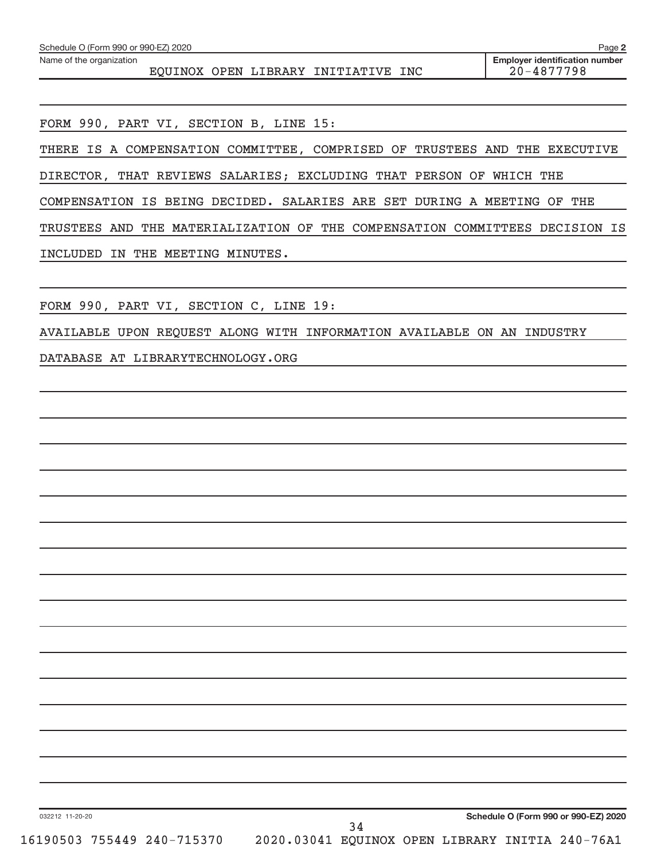| Schedule O (Form 990 or 990-EZ) 2020                                           | Page 2                                                  |
|--------------------------------------------------------------------------------|---------------------------------------------------------|
| Name of the organization<br>EQUINOX OPEN LIBRARY INITIATIVE INC                | <b>Employer identification number</b><br>$20 - 4877798$ |
|                                                                                |                                                         |
| FORM 990, PART VI, SECTION B, LINE 15:                                         |                                                         |
| THERE IS A COMPENSATION COMMITTEE, COMPRISED OF TRUSTEES AND THE EXECUTIVE     |                                                         |
| DIRECTOR, THAT REVIEWS SALARIES; EXCLUDING THAT PERSON OF WHICH THE            |                                                         |
| COMPENSATION IS BEING DECIDED. SALARIES ARE SET DURING A MEETING OF            | THE                                                     |
| THE MATERIALIZATION OF THE COMPENSATION COMMITTEES DECISION IS<br>TRUSTEES AND |                                                         |
| INCLUDED IN THE MEETING MINUTES.                                               |                                                         |
|                                                                                |                                                         |
| FORM 990, PART VI, SECTION C, LINE 19:                                         |                                                         |
| AVAILABLE UPON REQUEST ALONG WITH INFORMATION AVAILABLE ON AN INDUSTRY         |                                                         |
| DATABASE AT LIBRARYTECHNOLOGY.ORG                                              |                                                         |
|                                                                                |                                                         |
|                                                                                |                                                         |
|                                                                                |                                                         |
|                                                                                |                                                         |
|                                                                                |                                                         |
|                                                                                |                                                         |
|                                                                                |                                                         |
|                                                                                |                                                         |
|                                                                                |                                                         |
|                                                                                |                                                         |
|                                                                                |                                                         |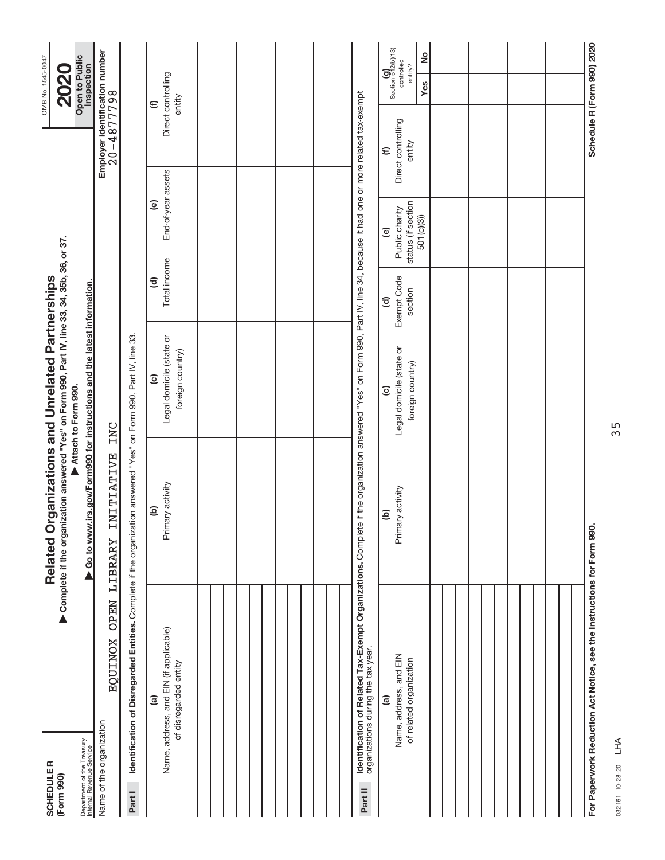| <b>SCHEDULER</b><br>(Form 990)                                                                                               | Complete if the organization answered "Yes" on Form 990, Part IV, line 33, 34, 35b, 36, or 37.<br>Related O | rganizations and Unrelated Partnerships                                                                         |                                              |                                                                             |                                                          | OMB No. 1545-0047<br><b>2020</b>                         |
|------------------------------------------------------------------------------------------------------------------------------|-------------------------------------------------------------------------------------------------------------|-----------------------------------------------------------------------------------------------------------------|----------------------------------------------|-----------------------------------------------------------------------------|----------------------------------------------------------|----------------------------------------------------------|
| Department of the Treasury<br>Internal Revenue Service                                                                       | ▶ Go to www.irs.gov/Form990 for instructions and the latest information.                                    | Attach to Form 990.                                                                                             |                                              |                                                                             |                                                          | Open to Public<br>Inspection                             |
| <b>OPEN</b><br><b>EQUINOX</b><br>Name of the organization                                                                    | <b>INITIATIVE</b><br>LIBRARY                                                                                | INC                                                                                                             |                                              |                                                                             | Employer identification number<br>20-4877798             |                                                          |
| Identification of Disregarded Entities. Complete if the organization answered "Yes" on Form 990, Part IV, line 33.<br>Part I |                                                                                                             |                                                                                                                 |                                              |                                                                             |                                                          |                                                          |
| Name, address, and EIN (if applicable)<br>of disregarded entity<br>$\widehat{a}$                                             | Primary activity<br>e)                                                                                      | Legal domicile (state or<br>foreign country)<br>$\widehat{c}$                                                   | Total income<br>$\widehat{\mathbf{c}}$       | End-of-year assets<br>$\widehat{\mathbf{e}}$                                |                                                          | Direct controlling<br>entity<br>$\mathbf{\widehat{\Xi}}$ |
|                                                                                                                              |                                                                                                             |                                                                                                                 |                                              |                                                                             |                                                          |                                                          |
|                                                                                                                              |                                                                                                             |                                                                                                                 |                                              |                                                                             |                                                          |                                                          |
|                                                                                                                              |                                                                                                             |                                                                                                                 |                                              |                                                                             |                                                          |                                                          |
|                                                                                                                              |                                                                                                             |                                                                                                                 |                                              |                                                                             |                                                          |                                                          |
| Identification of Related Tax-Exempt Organizations. Complete<br>organizations during the tax year.<br>Part II                |                                                                                                             | if the organization answered "Yes" on Form 990, Part IV, line 34, because it had one or more related tax-exempt |                                              |                                                                             |                                                          |                                                          |
| Name, address, and EIN<br>of related organization<br>$\widehat{a}$                                                           | Primary activity<br>ê                                                                                       | Legal domicile (state or<br>foreign country)<br>$\widehat{c}$                                                   | Exempt Code<br>section<br>$\widehat{\sigma}$ | status (if section<br>Public charity<br>501(c)(3)<br>$\widehat{\mathbf{e}}$ | Direct controlling<br>entity<br>$\mathbf{\widehat{\Xi}}$ | Section 512(b)(13)<br>ž<br>controlled<br>entity?<br>Yes  |
|                                                                                                                              |                                                                                                             |                                                                                                                 |                                              |                                                                             |                                                          |                                                          |
|                                                                                                                              |                                                                                                             |                                                                                                                 |                                              |                                                                             |                                                          |                                                          |
|                                                                                                                              |                                                                                                             |                                                                                                                 |                                              |                                                                             |                                                          |                                                          |
|                                                                                                                              |                                                                                                             |                                                                                                                 |                                              |                                                                             |                                                          |                                                          |
| For Paperwork Reduction Act Notice, see the Instructions for Form 990.                                                       |                                                                                                             |                                                                                                                 |                                              |                                                                             |                                                          | Schedule R (Form 990) 2020                               |

032161 10-28-20 032161 10-28-20 LHA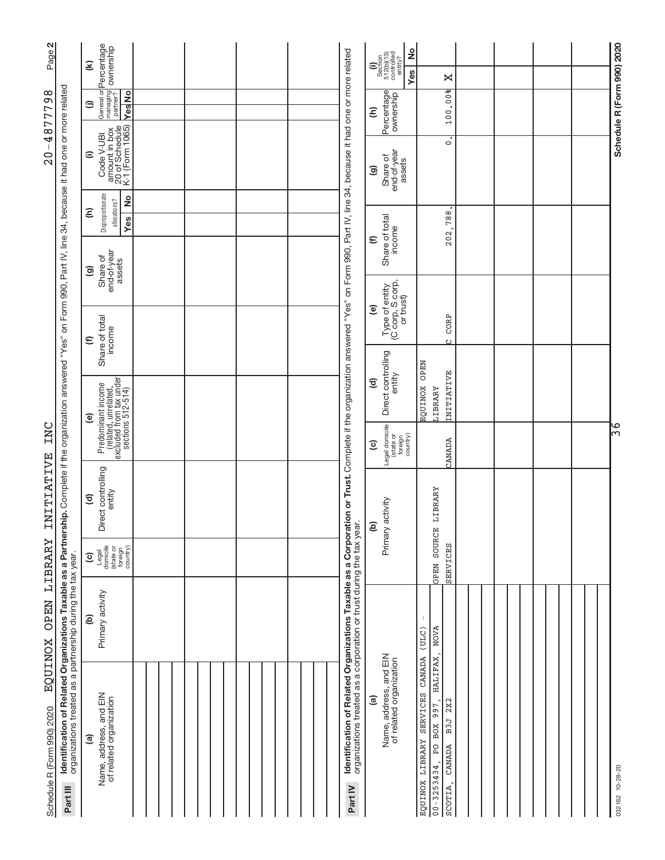| Page 2                                                                                                                                                                                                                                                                                 |                                                                                             | $\widehat{\boldsymbol{\epsilon}}$                                                               |  |                                                                   |                                                                                                                                                                                                           | $\frac{1}{2}$                                                                                                                                             |                                                                                                                                       |  |                            |                 |
|----------------------------------------------------------------------------------------------------------------------------------------------------------------------------------------------------------------------------------------------------------------------------------------|---------------------------------------------------------------------------------------------|-------------------------------------------------------------------------------------------------|--|-------------------------------------------------------------------|-----------------------------------------------------------------------------------------------------------------------------------------------------------------------------------------------------------|-----------------------------------------------------------------------------------------------------------------------------------------------------------|---------------------------------------------------------------------------------------------------------------------------------------|--|----------------------------|-----------------|
|                                                                                                                                                                                                                                                                                        |                                                                                             |                                                                                                 |  |                                                                   |                                                                                                                                                                                                           | $\begin{array}{c} \textbf{(i)}\\ \text{Section}\\ 512 \text{(b)} \text{(13)}\\ \text{controlled}\\ \text{controlved}\\ \text{entity?} \end{array}$<br>Yes | ×                                                                                                                                     |  |                            |                 |
| 4877798<br>$\overline{\phantom{a}}$<br>$\frac{0}{2}$                                                                                                                                                                                                                                   | General or <b>Percentage</b><br>managing<br>partner? <b>OWNership</b><br><b>Yes</b> No<br>⊜ |                                                                                                 |  |                                                                   | Percentage<br>ε                                                                                                                                                                                           | 100.00%                                                                                                                                                   |                                                                                                                                       |  |                            |                 |
|                                                                                                                                                                                                                                                                                        | amount in box<br>20 of Schedule<br>K-1 (Form 1065)<br>Code V-UBI<br>$\widehat{=}$           |                                                                                                 |  | on Form 990, Part IV, line 34, because it had one or more related | end-of-year<br>Share of<br>assets<br>ම                                                                                                                                                                    | $\circ$                                                                                                                                                   |                                                                                                                                       |  | Schedule R (Form 990) 2020 |                 |
|                                                                                                                                                                                                                                                                                        |                                                                                             | Disproportionate<br>$\frac{1}{2}$<br>allocations?<br>ε<br><b>Yes</b>                            |  |                                                                   |                                                                                                                                                                                                           |                                                                                                                                                           | 788                                                                                                                                   |  |                            |                 |
|                                                                                                                                                                                                                                                                                        |                                                                                             | end-of-year<br>assets<br>Share of<br>ම                                                          |  |                                                                   |                                                                                                                                                                                                           | Share of total<br>income<br>$\widehat{\epsilon}$                                                                                                          | 202                                                                                                                                   |  |                            |                 |
| I <b>dentification of Related Organizations Taxable as a Partnership.</b> Complete if the organization answered "Yes" on Form 990, Part IV, line 34, because it had one or more related<br>organizations treated as a partnership durin<br>INC<br>INITIATIVE<br>LIBRARY<br><b>OPEN</b> |                                                                                             |                                                                                                 |  |                                                                   |                                                                                                                                                                                                           | Type of entity<br>(C corp, S corp,<br>or trust)<br>$\widehat{\mathbf{e}}$                                                                                 | CORP                                                                                                                                  |  |                            |                 |
|                                                                                                                                                                                                                                                                                        |                                                                                             | Share of total<br>income<br>$\widehat{\epsilon}$                                                |  |                                                                   |                                                                                                                                                                                                           |                                                                                                                                                           | $\mathfrak{c}$<br><b>OPEN</b>                                                                                                         |  |                            |                 |
|                                                                                                                                                                                                                                                                                        |                                                                                             | Predominant income<br>(related, unrelated,<br>excluded from tax under<br>sections 512-514)<br>ම |  |                                                                   |                                                                                                                                                                                                           | Direct controlling<br>entity<br>$\widehat{\mathbf{c}}$                                                                                                    | INITIATIVE<br><b>EQUINOX</b><br><b>LIBRARY</b>                                                                                        |  |                            |                 |
|                                                                                                                                                                                                                                                                                        |                                                                                             |                                                                                                 |  |                                                                   |                                                                                                                                                                                                           | Legal domicile<br>(state or<br>foreign<br>country)<br>$\widehat{c}$                                                                                       | CANADA                                                                                                                                |  |                            | )မှ             |
|                                                                                                                                                                                                                                                                                        |                                                                                             | Direct controlling<br>entity<br>$\widehat{\sigma}$                                              |  |                                                                   |                                                                                                                                                                                                           | activity<br>e)                                                                                                                                            | LIBRARY                                                                                                                               |  |                            |                 |
|                                                                                                                                                                                                                                                                                        |                                                                                             | Legal<br>domicile<br>(state or<br>foreign<br>country)<br>$\widehat{\mathbf{c}}$                 |  |                                                                   |                                                                                                                                                                                                           | Primary                                                                                                                                                   | OPEN SOURCE<br>SERVICES                                                                                                               |  |                            |                 |
|                                                                                                                                                                                                                                                                                        |                                                                                             | Primary activity<br>$\widehat{e}$                                                               |  |                                                                   |                                                                                                                                                                                                           |                                                                                                                                                           | <b>NOVA</b><br>(ULC)                                                                                                                  |  |                            |                 |
| <b>EQUINOX</b><br>Schedule R (Form 990) 2020                                                                                                                                                                                                                                           | Part III                                                                                    | Name, address, and EIN<br>of related organization<br>$\widehat{\mathbf{e}}$                     |  |                                                                   | Identification of Related Organizations Taxable as a Corporation or Trust. Complete if the organization answered "Yes"<br>organizations treated as a corporation or trust during the tax year.<br>Part IV | Name, address, and EIN<br>of related organization<br>ම                                                                                                    | HALIFAX<br>CANADA<br>SERVICES<br>2X2<br>$\overline{PO}$ BOX 997,<br>B3J<br>LIBRARY<br>CANADA<br>$00 - 3253434$ ,<br>EQUINOX<br>SCOTIA |  |                            | 032162 10-28-20 |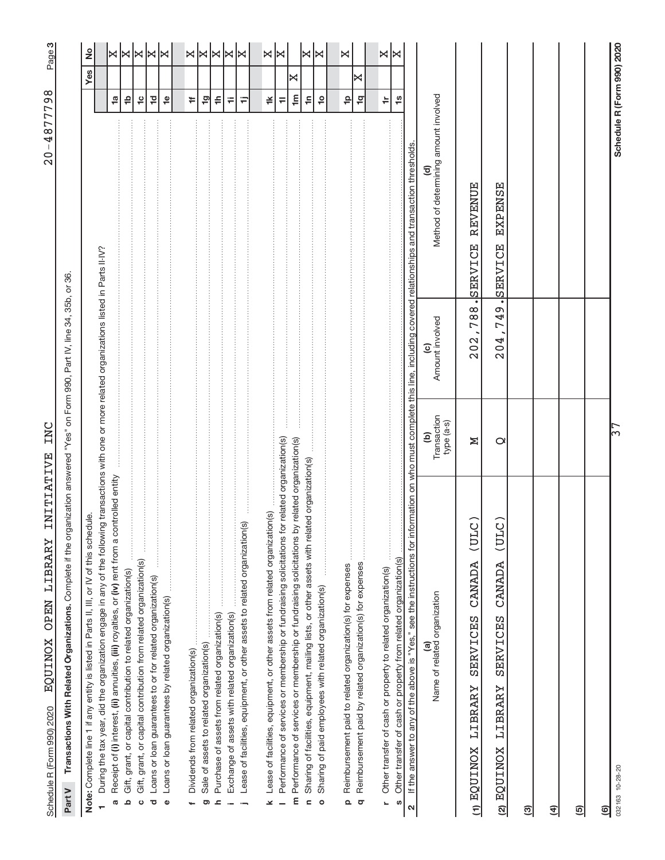| l<br>l<br>ı                                                                                                                                                        |  |
|--------------------------------------------------------------------------------------------------------------------------------------------------------------------|--|
|                                                                                                                                                                    |  |
|                                                                                                                                                                    |  |
| i<br>İ                                                                                                                                                             |  |
| ı<br>l<br>I                                                                                                                                                        |  |
| i<br>֕<br>Í<br>l<br>l<br>ĺ<br>֠<br>l                                                                                                                               |  |
| י<br> <br> <br>ļ<br>֖֖֖֖ׅׅ֧֚֚֚֚֚֚֚֚֚֚֚֚֚֚֚֚֚֚֚֚֚֚֚֚֚֚֚֬֡֡֓֡֓֡֓֞֡֡֓֓֞<br>Ó                                                                                          |  |
| ļ<br>י<br>Ī<br>i<br>֕<br>֚֘֝<br>Ï<br>I<br>Í<br>֠<br>and the state of the state of the state of the state of the state of the state of the state of the state of th |  |
| j<br>ׇ֚֓֡<br>$\frac{1}{2}$<br>į<br>l<br>ļ                                                                                                                          |  |
| ļ<br>J<br>¢                                                                                                                                                        |  |

 $20 - 4877798$ 

က|

Part V Transactions With Related Organizations. Complete if the organization answered "Yes" on Form 990, Part IV, line 34, 35b, or 36. Complete if the organization answered "Yes" on Form 990, Part IV, line 34, 35b, or 36. **Part V Transactions With Related Organizations.** 

| Note: Complete line 1 if any entity is listed in Parts II, III, or IV of this schedule.                                                             |                                |                 |                                                                                                       |                       | Yes | ž                           |
|-----------------------------------------------------------------------------------------------------------------------------------------------------|--------------------------------|-----------------|-------------------------------------------------------------------------------------------------------|-----------------------|-----|-----------------------------|
| During the tax year, did the organization engage in any of the following transactions with one or more related organizations listed in Parts II-IV? |                                |                 |                                                                                                       |                       |     |                             |
| Receipt of (i) interest, (ii) annuities, (iii) royalties, or (iv) rent from a controlled entity<br>Ø                                                |                                |                 |                                                                                                       | $\frac{1}{2}$         |     |                             |
| Gift, grant, or capital contribution to related organization(s)<br>ء                                                                                |                                |                 |                                                                                                       | $\frac{1}{2}$         |     | $\times$ $\times$ $\times$  |
| $\frac{1}{2}$<br>Gift, grant, or capital contribution from related organization(s)<br>$\circ$                                                       |                                |                 |                                                                                                       | $\frac{1}{2}$         |     |                             |
| Loans or loan guarantees to or for related organization(s)<br>ত                                                                                     |                                |                 |                                                                                                       | $\overline{c}$        |     |                             |
| Loans or loan guarantees by related organization(s)<br>$\pmb{\mathsf{O}}$                                                                           |                                |                 |                                                                                                       | $\frac{\omega}{\tau}$ |     | ∣≍                          |
|                                                                                                                                                     |                                |                 |                                                                                                       |                       |     |                             |
| Dividends from related organization(s)                                                                                                              |                                |                 |                                                                                                       | ŧ,                    |     | x x                         |
| Sale of assets to related organization(s)<br>ರಾ                                                                                                     |                                |                 |                                                                                                       | $\overline{1}$ g      |     |                             |
| Purchase of assets from related organization(s)<br>ᇰ                                                                                                |                                |                 |                                                                                                       | $\Rightarrow$         |     |                             |
| Exchange of assets with related organization(s)                                                                                                     |                                |                 |                                                                                                       | ₩                     |     |                             |
| Lease of facilities, equipment, or other assets to related organization(s)<br>$\overline{a}$                                                        |                                |                 |                                                                                                       | Ξ                     |     | $ \mathbb{X} $ $\mathbb{X}$ |
| Lease of facilities, equipment, or other assets from related organization(s)<br>⊻                                                                   |                                |                 |                                                                                                       | ≚                     |     |                             |
| Performance of services or membership or fundraising solicitations for related organization(s)                                                      |                                |                 |                                                                                                       | $\equiv$              |     | ×∣×                         |
| Performance of services or membership or fundraising solicitations by related organization(s)<br>E                                                  |                                |                 |                                                                                                       | $\mathbf{m}$          | ×   |                             |
| Sharing of facilities, equipment, mailing lists, or other assets with related organization(s)<br>$\epsilon$                                         |                                |                 |                                                                                                       | 두                     |     | X                           |
| $\frac{1}{2}$<br>Sharing of paid employees with related organization(s)<br>$\circ$                                                                  |                                |                 |                                                                                                       | $\frac{1}{2}$         |     | ∣≍                          |
|                                                                                                                                                     |                                |                 |                                                                                                       |                       |     |                             |
| Reimbursement paid to related organization(s) for expenses<br>$\Omega$                                                                              |                                |                 |                                                                                                       | $\frac{\rho}{\tau}$   |     | X                           |
| Reimbursement paid by related organization(s) for expenses<br>$\sigma$                                                                              |                                |                 |                                                                                                       | $\frac{1}{2}$         | ×   |                             |
|                                                                                                                                                     |                                |                 |                                                                                                       |                       |     |                             |
| Other transfer of cash or property to related organization(s)<br>L,                                                                                 |                                |                 |                                                                                                       | ≑                     |     | ×∣×                         |
| Other transfer of cash or property from related organization(s)<br>U)                                                                               |                                |                 |                                                                                                       | $\frac{6}{10}$        |     |                             |
| If the answer to any of the above is "Yes," see the instructions for in-<br>$\mathbf{\Omega}$                                                       |                                |                 | formation on who must complete this line, including covered relationships and transaction thresholds. |                       |     |                             |
| Name of related organization<br>@                                                                                                                   | Transaction<br>type (a-s)<br>ව | Amount involved | Method of determining amount involved<br>তূ                                                           |                       |     |                             |
| $\widehat{\circ}$<br>LUL)<br>CANADA<br>SERVICES<br><b>TARRITT XONITOR IN</b>                                                                        | N                              | 202,788.        | REVENUE<br>SERVICE                                                                                    |                       |     |                             |
| َن<br>LUL)<br>CANADA<br>SERVICES<br>LIBRARY<br><b>EQUINOX</b><br>$\mathbf{\widehat{z}}$                                                             | $\mathbf{\Omega}$              | 749<br>204      | <b>EXPENSE</b><br>SERVICE                                                                             |                       |     |                             |
| ල)                                                                                                                                                  |                                |                 |                                                                                                       |                       |     |                             |
| E)                                                                                                                                                  |                                |                 |                                                                                                       |                       |     |                             |
| ම                                                                                                                                                   |                                |                 |                                                                                                       |                       |     |                             |
| ම                                                                                                                                                   |                                |                 |                                                                                                       |                       |     |                             |
| 032163 10-28-20                                                                                                                                     | ∏స                             |                 | Schedule R (Form 990) 2020                                                                            |                       |     |                             |